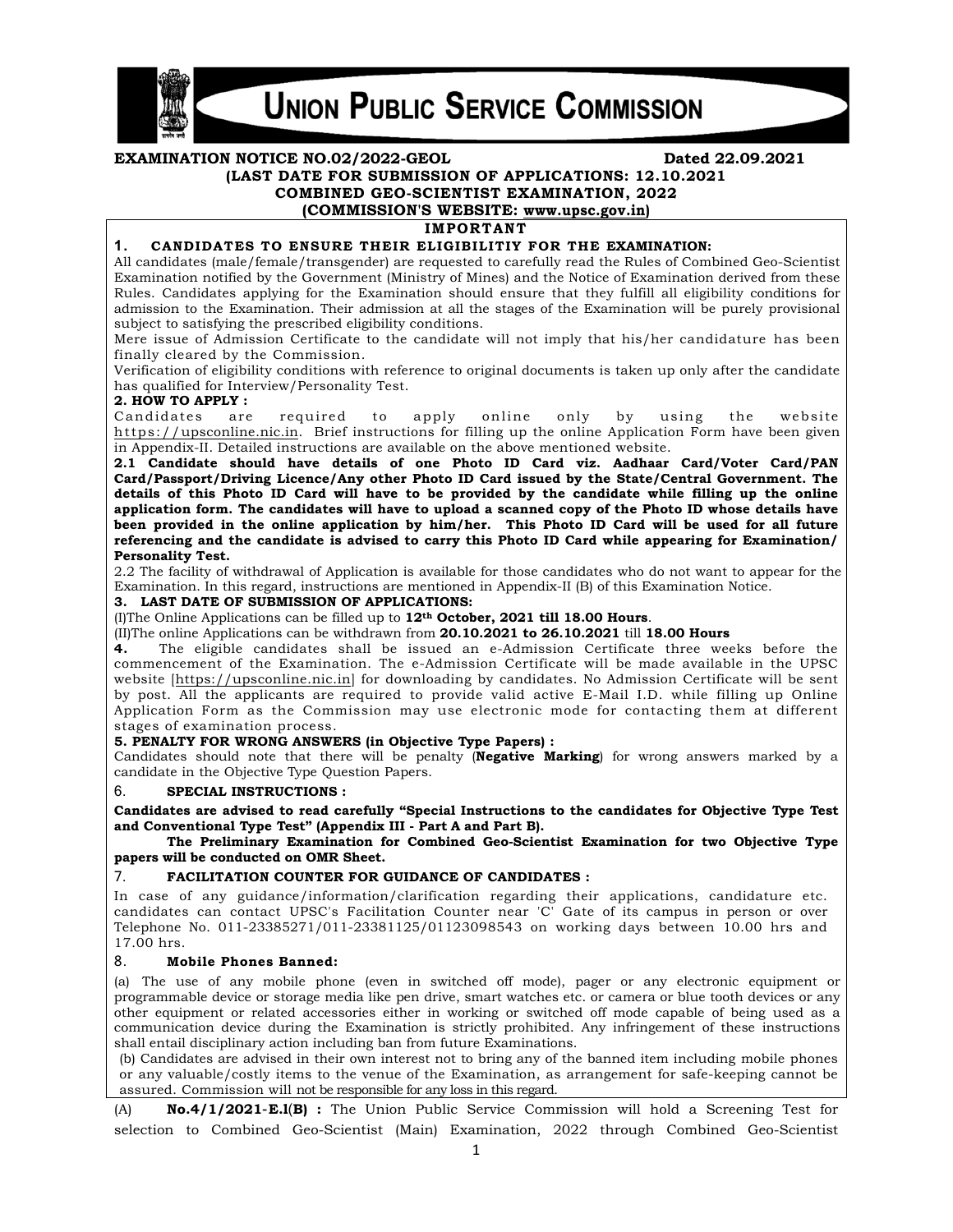

# **UNION PUBLIC SERVICE COMMISSION**

#### **EXAMINATION NOTICE NO.02/2022-GEOL Dated 22.09.2021 (LAST DATE FOR SUBMISSION OF APPLICATIONS: 12.10.2021 COMBINED GEO-SCIENTIST EXAMINATION, 2022 (COMMISSION'S WEBSITE: www.upsc.gov.in) IMPORTANT 1. CANDIDATES TO ENSURE THEIR ELIGIBILITIY FOR THE EXAMINATION:**  All candidates (male/female/transgender) are requested to carefully read the Rules of Combined Geo-Scientist Examination notified by the Government (Ministry of Mines) and the Notice of Examination derived from these Rules. Candidates applying for the Examination should ensure that they fulfill all eligibility conditions for admission to the Examination. Their admission at all the stages of the Examination will be purely provisional subject to satisfying the prescribed eligibility conditions. Mere issue of Admission Certificate to the candidate will not imply that his/her candidature has been finally cleared by the Commission. Verification of eligibility conditions with reference to original documents is taken up only after the candidate

has qualified for Interview/Personality Test.

# **2. HOW TO APPLY :**

Candidates are required to apply online only by using the website https://upsconline.nic.in. Brief instructions for filling up the online Application Form have been given in Appendix-II. Detailed instructions are available on the above mentioned website.

**2.1 Candidate should have details of one Photo ID Card viz. Aadhaar Card/Voter Card/PAN Card/Passport/Driving Licence/Any other Photo ID Card issued by the State/Central Government. The details of this Photo ID Card will have to be provided by the candidate while filling up the online application form. The candidates will have to upload a scanned copy of the Photo ID whose details have been provided in the online application by him/her. This Photo ID Card will be used for all future referencing and the candidate is advised to carry this Photo ID Card while appearing for Examination/ Personality Test.** 

2.2 The facility of withdrawal of Application is available for those candidates who do not want to appear for the Examination. In this regard, instructions are mentioned in Appendix-II (B) of this Examination Notice.

# **3. LAST DATE OF SUBMISSION OF APPLICATIONS:**

(I)The Online Applications can be filled up to **12th October, 2021 till 18.00 Hours**.

(II)The online Applications can be withdrawn from **20.10.2021 to 26.10.2021** till **18.00 Hours** 

**4.** The eligible candidates shall be issued an e-Admission Certificate three weeks before the commencement of the Examination. The e-Admission Certificate will be made available in the UPSC website [https://upsconline.nic.in] for downloading by candidates. No Admission Certificate will be sent by post. All the applicants are required to provide valid active E-Mail I.D. while filling up Online Application Form as the Commission may use electronic mode for contacting them at different stages of examination process.

#### **5. PENALTY FOR WRONG ANSWERS (in Objective Type Papers) :**

Candidates should note that there will be penalty (**Negative Marking**) for wrong answers marked by a candidate in the Objective Type Question Papers.

#### 6. **SPECIAL INSTRUCTIONS :**

**Candidates are advised to read carefully "Special Instructions to the candidates for Objective Type Test and Conventional Type Test" (Appendix III - Part A and Part B).** 

 **The Preliminary Examination for Combined Geo-Scientist Examination for two Objective Type papers will be conducted on OMR Sheet.**

# 7. **FACILITATION COUNTER FOR GUIDANCE OF CANDIDATES :**

In case of any guidance/information/clarification regarding their applications, candidature etc. candidates can contact UPSC's Facilitation Counter near 'C' Gate of its campus in person or over Telephone No. 011-23385271/011-23381125/01123098543 on working days between 10.00 hrs and 17.00 hrs.

# 8. **Mobile Phones Banned:**

(a) The use of any mobile phone (even in switched off mode), pager or any electronic equipment or programmable device or storage media like pen drive, smart watches etc. or camera or blue tooth devices or any other equipment or related accessories either in working or switched off mode capable of being used as a communication device during the Examination is strictly prohibited. Any infringement of these instructions shall entail disciplinary action including ban from future Examinations.

(b) Candidates are advised in their own interest not to bring any of the banned item including mobile phones or any valuable/costly items to the venue of the Examination, as arrangement for safe-keeping cannot be assured. Commission will not be responsible for any loss in this regard.

(A) **No.4/1/2021**-**E.l**(**B) :** The Union Public Service Commission will hold a Screening Test for selection to Combined Geo-Scientist (Main) Examination, 2022 through Combined Geo-Scientist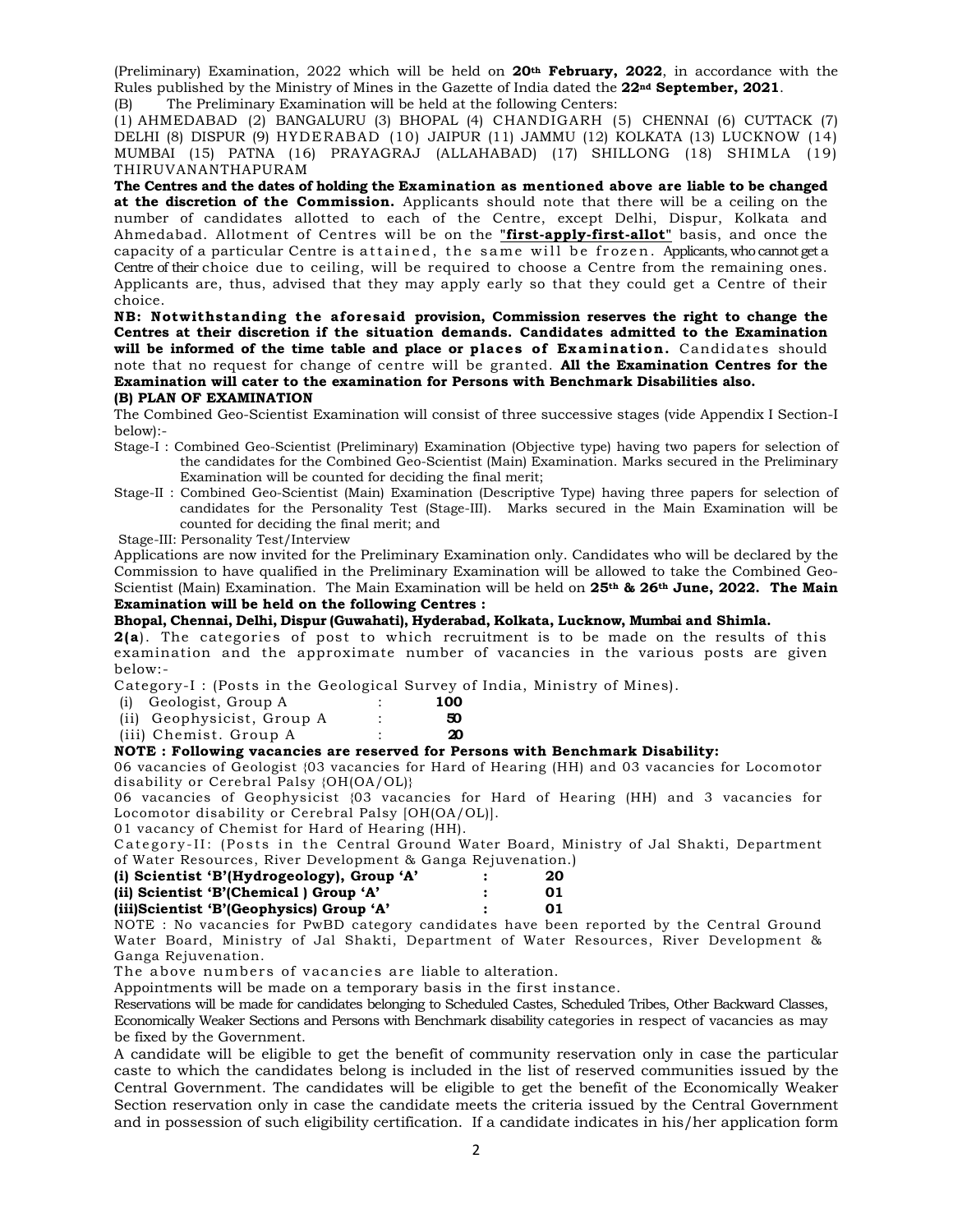(Preliminary) Examination, 2022 which will be held on **20th February, 2022**, in accordance with the Rules published by the Ministry of Mines in the Gazette of India dated the **22nd September, 2021**. (B) The Preliminary Examination will be held at the following Centers:

(1) AHMEDABAD (2) BANGALURU (3) BHOPAL (4) CHANDIGARH (5) CHENNAI (6) CUTTACK (7) DELHI (8) DISPUR (9) HYDERABAD (10) JAIPUR (11) JAMMU (12) KOLKATA (13) LUCKNOW (14) MUMBAI (15) PATNA (16) PRAYAGRAJ (ALLAHABAD) (17) SHILLONG (18) SHIMLA (19) THIRUVANANTHAPURAM

**The Centres and the dates of holding the Examination as mentioned above are liable to be changed at the discretion of the Commission.** Applicants should note that there will be a ceiling on the number of candidates allotted to each of the Centre, except Delhi, Dispur, Kolkata and Ahmedabad. Allotment of Centres will be on the **"first-apply-first-allot"** basis, and once the capacity of a particular Centre is attained, the same will be frozen. Applicants, who cannot get a Centre of their choice due to ceiling, will be required to choose a Centre from the remaining ones. Applicants are, thus, advised that they may apply early so that they could get a Centre of their choice.

**NB: Notwithstanding the aforesaid provision, Commission reserves the right to change the Centres at their discretion if the situation demands. Candidates admitted to the Examination**  will be informed of the time table and place or places of Examination. Candidates should note that no request for change of centre will be granted. **All the Examination Centres for the Examination will cater to the examination for Persons with Benchmark Disabilities also.** 

#### **(B) PLAN OF EXAMINATION**

The Combined Geo-Scientist Examination will consist of three successive stages (vide Appendix I Section-I below):-

- Stage-I : Combined Geo-Scientist (Preliminary) Examination (Objective type) having two papers for selection of the candidates for the Combined Geo-Scientist (Main) Examination. Marks secured in the Preliminary Examination will be counted for deciding the final merit;
- Stage-II : Combined Geo-Scientist (Main) Examination (Descriptive Type) having three papers for selection of candidates for the Personality Test (Stage-III). Marks secured in the Main Examination will be counted for deciding the final merit; and

Stage-III: Personality Test/Interview

Applications are now invited for the Preliminary Examination only. Candidates who will be declared by the Commission to have qualified in the Preliminary Examination will be allowed to take the Combined Geo-Scientist (Main) Examination. The Main Examination will be held on **25th & 26th June, 2022. The Main Examination will be held on the following Centres :** 

# **Bhopal, Chennai, Delhi, Dispur (Guwahati), Hyderabad, Kolkata, Lucknow, Mumbai and Shimla.**

**2(a**). The categories of post to which recruitment is to be made on the results of this examination and the approximate number of vacancies in the various posts are given below:-

Category-I : (Posts in the Geological Survey of India, Ministry of Mines).

| (i) Geologist, Group A     |   | 100 |
|----------------------------|---|-----|
| (ii) Geophysicist, Group A | ٠ | 50  |
| (iii) Chemist. Group A     |   | 20  |

# **NOTE : Following vacancies are reserved for Persons with Benchmark Disability:**

06 vacancies of Geologist {03 vacancies for Hard of Hearing (HH) and 03 vacancies for Locomotor disability or Cerebral Palsy {OH(OA/OL)}

06 vacancies of Geophysicist {03 vacancies for Hard of Hearing (HH) and 3 vacancies for Locomotor disability or Cerebral Palsy [OH(OA/OL)].

01 vacancy of Chemist for Hard of Hearing (HH).

Category-II: (Posts in the Central Ground Water Board, Ministry of Jal Shakti, Department of Water Resources, River Development & Ganga Rejuvenation.)

|    | 20 |
|----|----|
| 01 |    |
|    |    |
|    | 01 |

NOTE : No vacancies for PwBD category candidates have been reported by the Central Ground Water Board, Ministry of Jal Shakti, Department of Water Resources, River Development & Ganga Rejuvenation.

The above numbers of vacancies are liable to alteration.

Appointments will be made on a temporary basis in the first instance.

Reservations will be made for candidates belonging to Scheduled Castes, Scheduled Tribes, Other Backward Classes, Economically Weaker Sections and Persons with Benchmark disability categories in respect of vacancies as may be fixed by the Government.

A candidate will be eligible to get the benefit of community reservation only in case the particular caste to which the candidates belong is included in the list of reserved communities issued by the Central Government. The candidates will be eligible to get the benefit of the Economically Weaker Section reservation only in case the candidate meets the criteria issued by the Central Government and in possession of such eligibility certification. If a candidate indicates in his/her application form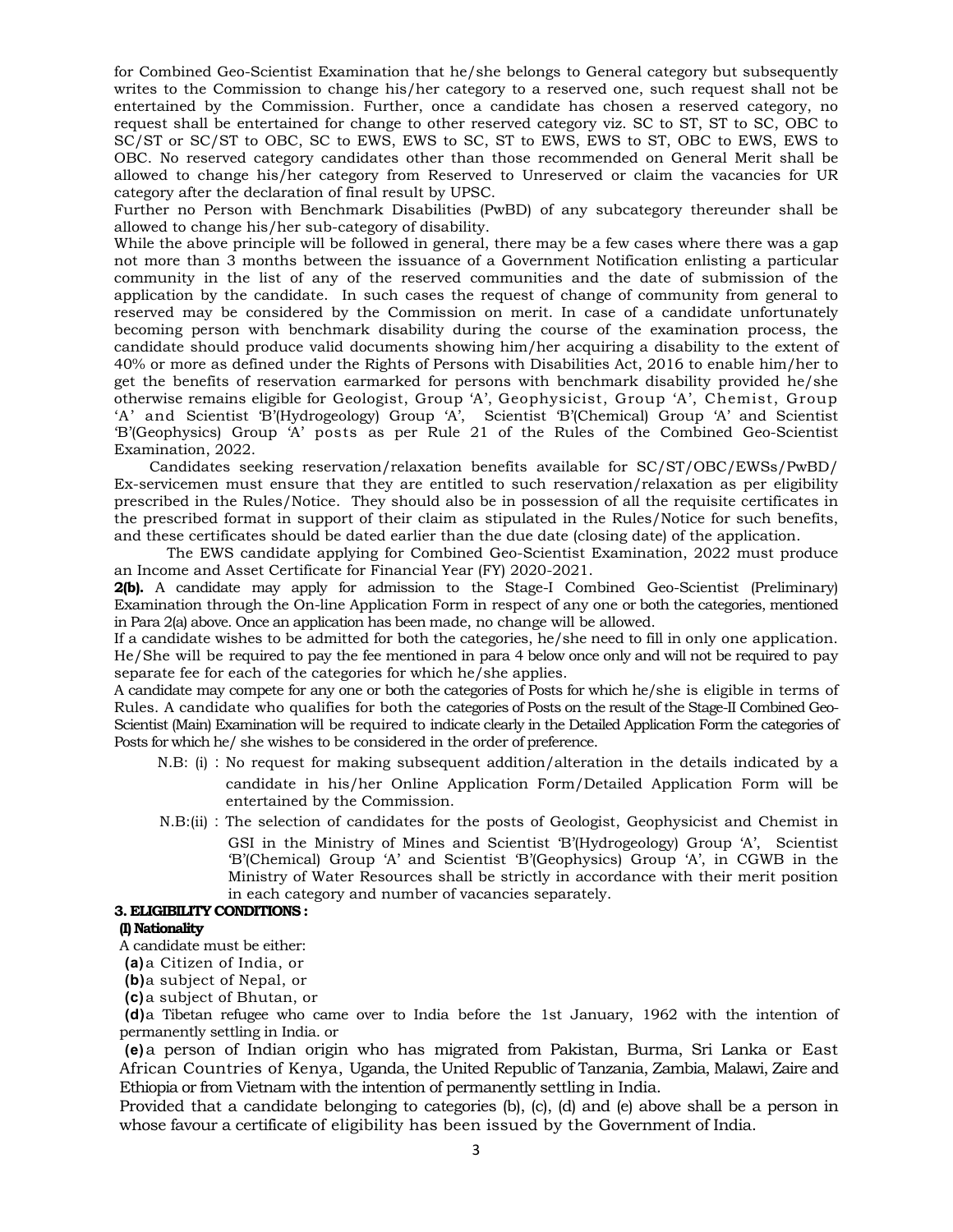for Combined Geo-Scientist Examination that he/she belongs to General category but subsequently writes to the Commission to change his/her category to a reserved one, such request shall not be entertained by the Commission. Further, once a candidate has chosen a reserved category, no request shall be entertained for change to other reserved category viz. SC to ST, ST to SC, OBC to SC/ST or SC/ST to OBC, SC to EWS, EWS to SC, ST to EWS, EWS to ST, OBC to EWS, EWS to OBC. No reserved category candidates other than those recommended on General Merit shall be allowed to change his/her category from Reserved to Unreserved or claim the vacancies for UR category after the declaration of final result by UPSC.

Further no Person with Benchmark Disabilities (PwBD) of any subcategory thereunder shall be allowed to change his/her sub-category of disability.

While the above principle will be followed in general, there may be a few cases where there was a gap not more than 3 months between the issuance of a Government Notification enlisting a particular community in the list of any of the reserved communities and the date of submission of the application by the candidate. In such cases the request of change of community from general to reserved may be considered by the Commission on merit. In case of a candidate unfortunately becoming person with benchmark disability during the course of the examination process, the candidate should produce valid documents showing him/her acquiring a disability to the extent of 40% or more as defined under the Rights of Persons with Disabilities Act, 2016 to enable him/her to get the benefits of reservation earmarked for persons with benchmark disability provided he/she otherwise remains eligible for Geologist, Group 'A', Geophysicist, Group 'A', Chemist, Group 'A' and Scientist 'B'(Hydrogeology) Group 'A', Scientist 'B'(Chemical) Group 'A' and Scientist 'B'(Geophysics) Group 'A' posts as per Rule 21 of the Rules of the Combined Geo-Scientist Examination, 2022.

Candidates seeking reservation/relaxation benefits available for SC/ST/OBC/EWSs/PwBD/ Ex-servicemen must ensure that they are entitled to such reservation/relaxation as per eligibility prescribed in the Rules/Notice. They should also be in possession of all the requisite certificates in the prescribed format in support of their claim as stipulated in the Rules/Notice for such benefits, and these certificates should be dated earlier than the due date (closing date) of the application.

 The EWS candidate applying for Combined Geo-Scientist Examination, 2022 must produce an Income and Asset Certificate for Financial Year (FY) 2020-2021.

**2(b).** A candidate may apply for admission to the Stage-I Combined Geo-Scientist (Preliminary) Examination through the On-line Application Form in respect of any one or both the categories, mentioned in Para 2(a) above. Once an application has been made, no change will be allowed.

If a candidate wishes to be admitted for both the categories, he/she need to fill in only one application. He/She will be required to pay the fee mentioned in para 4 below once only and will not be required to pay separate fee for each of the categories for which he/she applies.

A candidate may compete for any one or both the categories of Posts for which he/she is eligible in terms of Rules. A candidate who qualifies for both the categories of Posts on the result of the Stage-II Combined Geo-Scientist (Main) Examination will be required to indicate clearly in the Detailed Application Form the categories of Posts for which he/ she wishes to be considered in the order of preference.

- N.B: (i) : No request for making subsequent addition/alteration in the details indicated by a candidate in his/her Online Application Form/Detailed Application Form will be entertained by the Commission.
- N.B:(ii) : The selection of candidates for the posts of Geologist, Geophysicist and Chemist in GSI in the Ministry of Mines and Scientist 'B'(Hydrogeology) Group 'A', Scientist 'B'(Chemical) Group 'A' and Scientist 'B'(Geophysics) Group 'A', in CGWB in the Ministry of Water Resources shall be strictly in accordance with their merit position in each category and number of vacancies separately.

# **3. ELIGIBILITY CONDITIONS :**

# **(I) Nationality**

A candidate must be either:

**(a)** a Citizen of India, or

**(b)** a subject of Nepal, or

**(c)** a subject of Bhutan, or

**(d)** a Tibetan refugee who came over to India before the 1st January, 1962 with the intention of permanently settling in India. or

**(e)** a person of Indian origin who has migrated from Pakistan, Burma, Sri Lanka or East African Countries of Kenya, Uganda, the United Republic of Tanzania, Zambia, Malawi, Zaire and Ethiopia or from Vietnam with the intention of permanently settling in India.

Provided that a candidate belonging to categories (b), (c), (d) and (e) above shall be a person in whose favour a certificate of eligibility has been issued by the Government of India.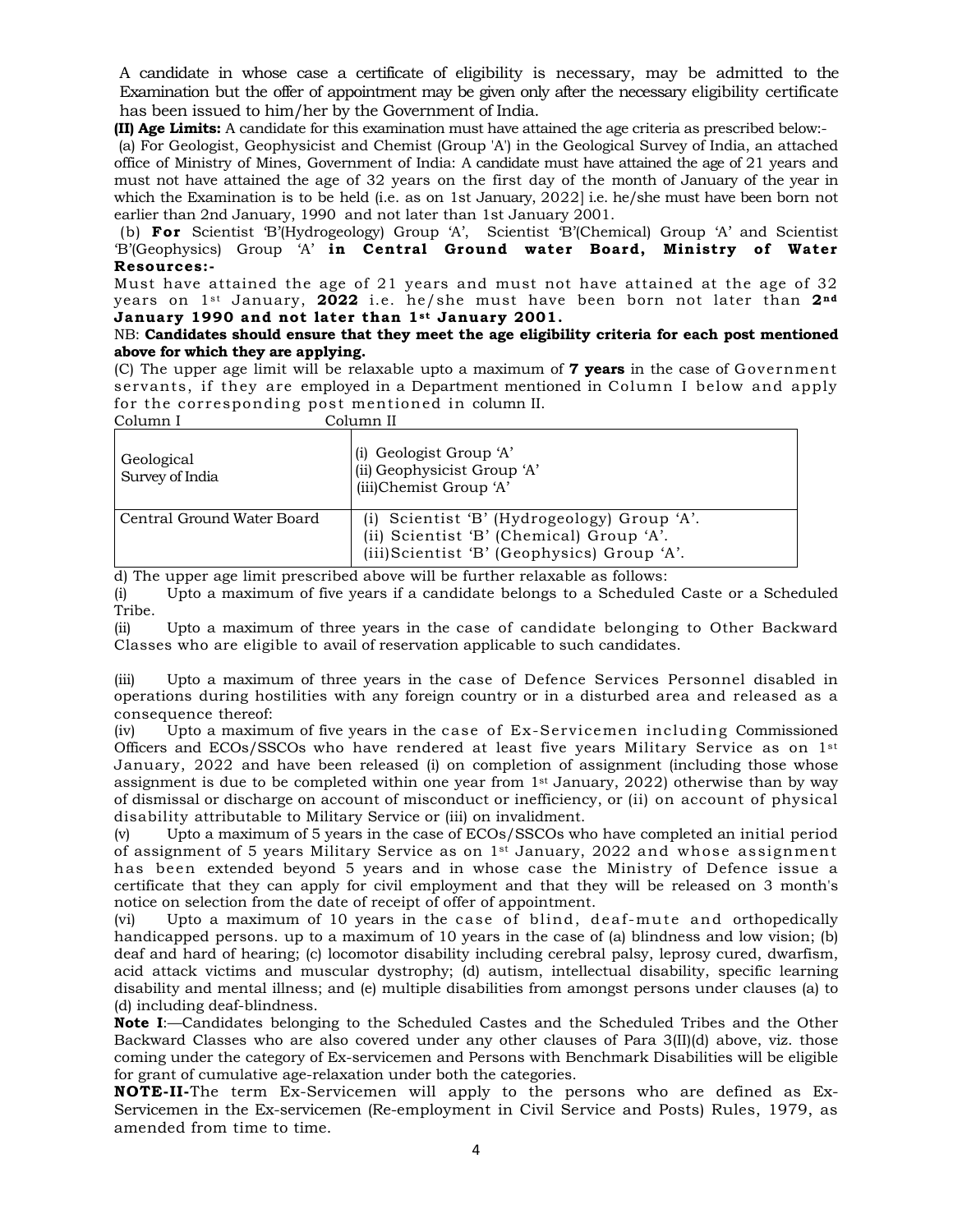A candidate in whose case a certificate of eligibility is necessary, may be admitted to the Examination but the offer of appointment may be given only after the necessary eligibility certificate has been issued to him/her by the Government of India.

**(II) Age Limits:** A candidate for this examination must have attained the age criteria as prescribed below:-

 (a) For Geologist, Geophysicist and Chemist (Group 'A') in the Geological Survey of India, an attached office of Ministry of Mines, Government of India: A candidate must have attained the age of 21 years and must not have attained the age of 32 years on the first day of the month of January of the year in which the Examination is to be held (i.e. as on 1st January, 2022] i.e. he/she must have been born not earlier than 2nd January, 1990 and not later than 1st January 2001.

 (b) **For** Scientist 'B'(Hydrogeology) Group 'A', Scientist 'B'(Chemical) Group 'A' and Scientist 'B'(Geophysics) Group 'A' **in Central Ground water Board, Ministry of Water Resources:-** 

Must have attained the age of 21 years and must not have attained at the age of 32 years on 1st January, **2022** i.e. he/she must have been born not later than **2nd** January 1990 and not later than 1st January 2001.

# NB: **Candidates should ensure that they meet the age eligibility criteria for each post mentioned above for which they are applying.**

(C) The upper age limit will be relaxable upto a maximum of **7 years** in the case of Government servants, if they are employed in a Department mentioned in Column I below and apply for the corresponding post mentioned in column II.  $C_0$ lumn II

| CORRILLE I                    | союшш п                                                                                                                                |
|-------------------------------|----------------------------------------------------------------------------------------------------------------------------------------|
| Geological<br>Survey of India | (i) Geologist Group 'A'<br>(ii) Geophysicist Group 'A'<br>(iii)Chemist Group 'A'                                                       |
| Central Ground Water Board    | (i) Scientist 'B' (Hydrogeology) Group 'A'.<br>(ii) Scientist 'B' (Chemical) Group 'A'.<br>(iii) Scientist 'B' (Geophysics) Group 'A'. |

d) The upper age limit prescribed above will be further relaxable as follows:

(i) Upto a maximum of five years if a candidate belongs to a Scheduled Caste or a Scheduled Tribe.

(ii) Upto a maximum of three years in the case of candidate belonging to Other Backward Classes who are eligible to avail of reservation applicable to such candidates.

(iii) Upto a maximum of three years in the case of Defence Services Personnel disabled in operations during hostilities with any foreign country or in a disturbed area and released as a consequence thereof:

(iv) Upto a maximum of five years in the case of Ex-Servicemen including Commissioned Officers and ECOs/SSCOs who have rendered at least five years Military Service as on 1st January, 2022 and have been released (i) on completion of assignment (including those whose assignment is due to be completed within one year from  $1<sup>st</sup>$  January, 2022) otherwise than by way of dismissal or discharge on account of misconduct or inefficiency, or (ii) on account of physical disability attributable to Military Service or (iii) on invalidment.

(v) Upto a maximum of 5 years in the case of ECOs/SSCOs who have completed an initial period of assignment of 5 years Military Service as on  $1<sup>st</sup>$  January, 2022 and whose assignment has been extended beyond 5 years and in whose case the Ministry of Defence issue a certificate that they can apply for civil employment and that they will be released on 3 month's notice on selection from the date of receipt of offer of appointment.

(vi) Upto a maximum of 10 years in the case of blind, deaf-mute and orthopedically handicapped persons. up to a maximum of 10 years in the case of (a) blindness and low vision; (b) deaf and hard of hearing; (c) locomotor disability including cerebral palsy, leprosy cured, dwarfism, acid attack victims and muscular dystrophy; (d) autism, intellectual disability, specific learning disability and mental illness; and (e) multiple disabilities from amongst persons under clauses (a) to (d) including deaf-blindness.

**Note I**:—Candidates belonging to the Scheduled Castes and the Scheduled Tribes and the Other Backward Classes who are also covered under any other clauses of Para 3(II)(d) above, viz. those coming under the category of Ex-servicemen and Persons with Benchmark Disabilities will be eligible for grant of cumulative age-relaxation under both the categories.

**NOTE-II-**The term Ex-Servicemen will apply to the persons who are defined as Ex-Servicemen in the Ex-servicemen (Re-employment in Civil Service and Posts) Rules, 1979, as amended from time to time.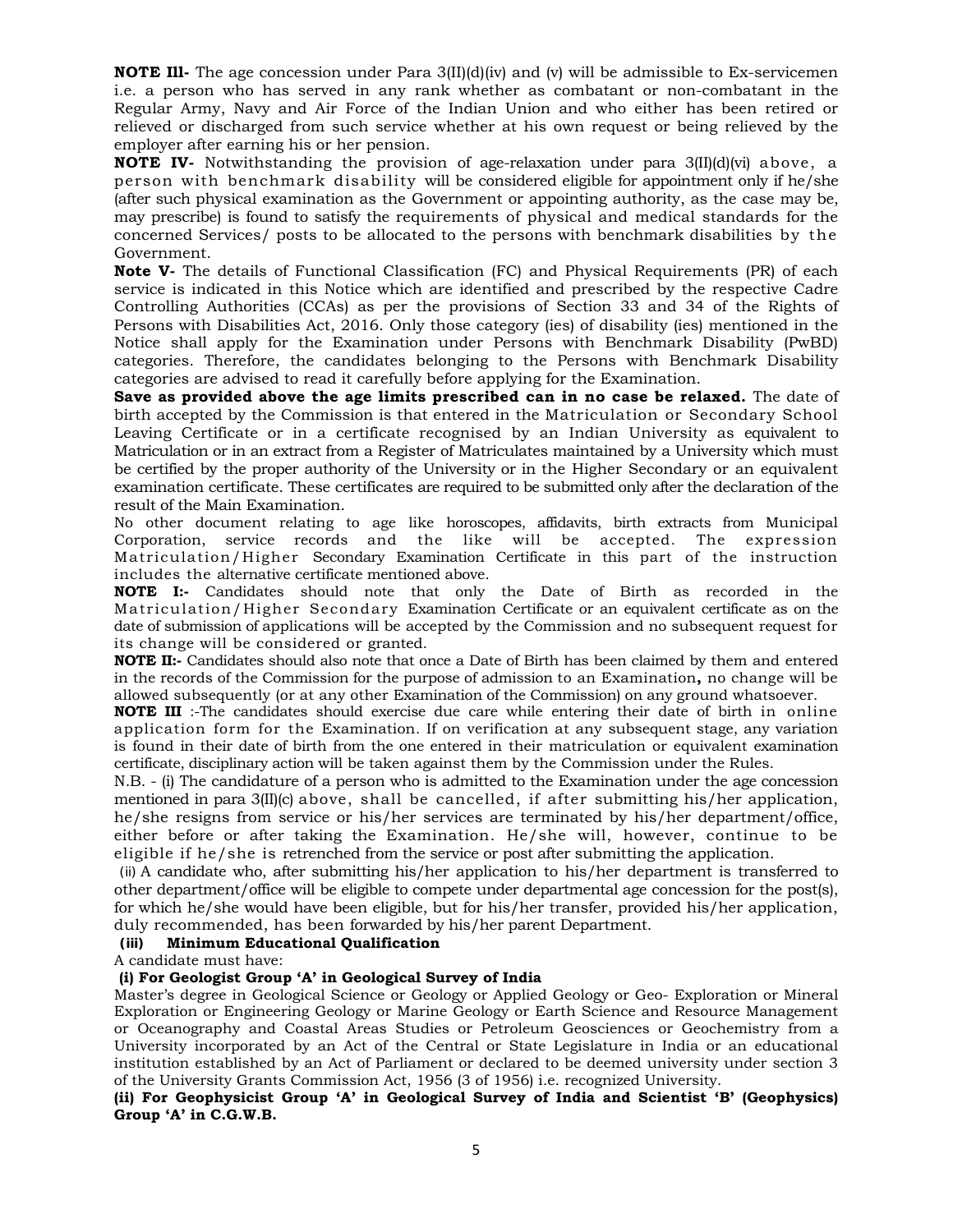**NOTE III-** The age concession under Para 3(II)(d)(iv) and (v) will be admissible to Ex-servicemen i.e. a person who has served in any rank whether as combatant or non-combatant in the Regular Army, Navy and Air Force of the Indian Union and who either has been retired or relieved or discharged from such service whether at his own request or being relieved by the employer after earning his or her pension.

**NOTE IV-** Notwithstanding the provision of age-relaxation under para 3(II)(d)(vi) above, a person with benchmark disability will be considered eligible for appointment only if he/she (after such physical examination as the Government or appointing authority, as the case may be, may prescribe) is found to satisfy the requirements of physical and medical standards for the concerned Services/ posts to be allocated to the persons with benchmark disabilities by the Government.

**Note V-** The details of Functional Classification (FC) and Physical Requirements (PR) of each service is indicated in this Notice which are identified and prescribed by the respective Cadre Controlling Authorities (CCAs) as per the provisions of Section 33 and 34 of the Rights of Persons with Disabilities Act, 2016. Only those category (ies) of disability (ies) mentioned in the Notice shall apply for the Examination under Persons with Benchmark Disability (PwBD) categories. Therefore, the candidates belonging to the Persons with Benchmark Disability categories are advised to read it carefully before applying for the Examination.

**Save as provided above the age limits prescribed can in no case be relaxed.** The date of birth accepted by the Commission is that entered in the Matriculation or Secondary School Leaving Certificate or in a certificate recognised by an Indian University as equivalent to Matriculation or in an extract from a Register of Matriculates maintained by a University which must be certified by the proper authority of the University or in the Higher Secondary or an equivalent examination certificate. These certificates are required to be submitted only after the declaration of the result of the Main Examination.

No other document relating to age like horoscopes, affidavits, birth extracts from Municipal Corporation, service records and the like will be accepted. The expression Matriculation/Higher Secondary Examination Certificate in this part of the instruction includes the alternative certificate mentioned above.

**NOTE I:-** Candidates should note that only the Date of Birth as recorded in the Matriculation/Higher Secondary Examination Certificate or an equivalent certificate as on the date of submission of applications will be accepted by the Commission and no subsequent request for its change will be considered or granted.

**NOTE II:-** Candidates should also note that once a Date of Birth has been claimed by them and entered in the records of the Commission for the purpose of admission to an Examination**,** no change will be allowed subsequently (or at any other Examination of the Commission) on any ground whatsoever.

**NOTE III** :-The candidates should exercise due care while entering their date of birth in online application form for the Examination. If on verification at any subsequent stage, any variation is found in their date of birth from the one entered in their matriculation or equivalent examination certificate, disciplinary action will be taken against them by the Commission under the Rules.

N.B. - (i) The candidature of a person who is admitted to the Examination under the age concession mentioned in para 3(II)(c) above, shall be cancelled, if after submitting his/her application, he/she resigns from service or his/her services are terminated by his/her department/office, either before or after taking the Examination. He/she will, however, continue to be eligible if he/she is retrenched from the service or post after submitting the application.

(ii) A candidate who, after submitting his/her application to his/her department is transferred to other department/office will be eligible to compete under departmental age concession for the post(s), for which he/she would have been eligible, but for his/her transfer, provided his/her application, duly recommended, has been forwarded by his/her parent Department.

# **(iii) Minimum Educational Qualification**

A candidate must have:

# **(i) For Geologist Group 'A' in Geological Survey of India**

Master's degree in Geological Science or Geology or Applied Geology or Geo- Exploration or Mineral Exploration or Engineering Geology or Marine Geology or Earth Science and Resource Management or Oceanography and Coastal Areas Studies or Petroleum Geosciences or Geochemistry from a University incorporated by an Act of the Central or State Legislature in India or an educational institution established by an Act of Parliament or declared to be deemed university under section 3 of the University Grants Commission Act, 1956 (3 of 1956) i.e. recognized University.

# **(ii) For Geophysicist Group 'A' in Geological Survey of India and Scientist 'B' (Geophysics) Group 'A' in C.G.W.B.**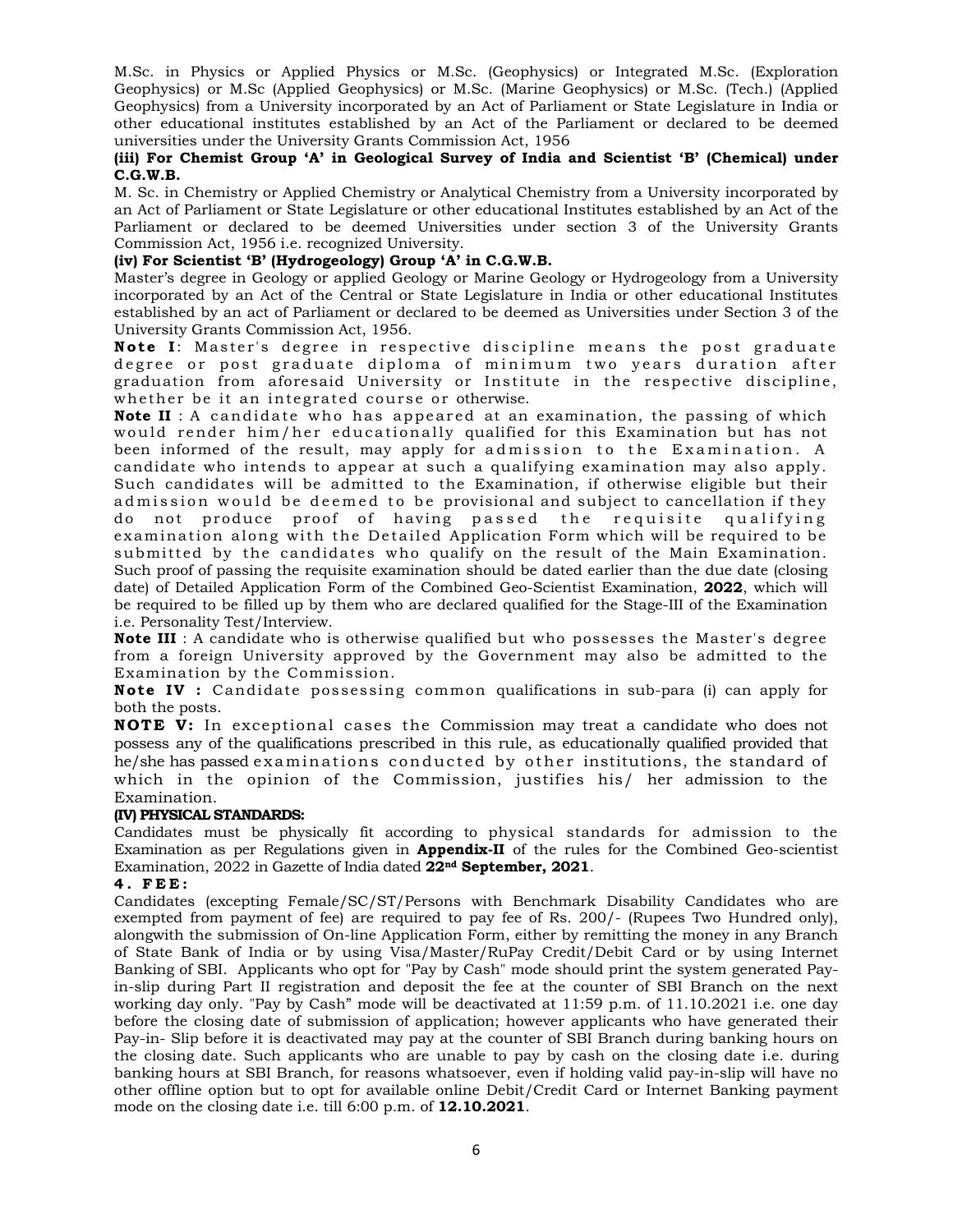M.Sc. in Physics or Applied Physics or M.Sc. (Geophysics) or Integrated M.Sc. (Exploration Geophysics) or M.Sc (Applied Geophysics) or M.Sc. (Marine Geophysics) or M.Sc. (Tech.) (Applied Geophysics) from a University incorporated by an Act of Parliament or State Legislature in India or other educational institutes established by an Act of the Parliament or declared to be deemed universities under the University Grants Commission Act, 1956

# **(iii) For Chemist Group 'A' in Geological Survey of India and Scientist 'B' (Chemical) under C.G.W.B.**

M. Sc. in Chemistry or Applied Chemistry or Analytical Chemistry from a University incorporated by an Act of Parliament or State Legislature or other educational Institutes established by an Act of the Parliament or declared to be deemed Universities under section 3 of the University Grants Commission Act, 1956 i.e. recognized University.

# **(iv) For Scientist 'B' (Hydrogeology) Group 'A' in C.G.W.B.**

Master's degree in Geology or applied Geology or Marine Geology or Hydrogeology from a University incorporated by an Act of the Central or State Legislature in India or other educational Institutes established by an act of Parliament or declared to be deemed as Universities under Section 3 of the University Grants Commission Act, 1956.

**Note I** : Master's degree in respective discipline means the post graduate degree or post graduate diploma of minimum two years duration after graduation from aforesaid University or Institute in the respective discipline, whether be it an integrated course or otherwise.

**Note II** : A candidate who has appeared at an examination, the passing of which would render him/her educationally qualified for this Examination but has not been informed of the result, may apply for admission to the Examination. A candidate who intends to appear at such a qualifying examination may also apply. Such candidates will be admitted to the Examination, if otherwise eligible but their admission would be deemed to be provisional and subject to cancellation if they do not produce proof of having passed the requisite qualifying examination along with the Detailed Application Form which will be required to be submitted by the candidates who qualify on the result of the Main Examination. Such proof of passing the requisite examination should be dated earlier than the due date (closing date) of Detailed Application Form of the Combined Geo-Scientist Examination, **2022**, which will be required to be filled up by them who are declared qualified for the Stage-III of the Examination i.e. Personality Test/Interview.

**Note III** : A candidate who is otherwise qualified but who possesses the Master's degree from a foreign University approved by the Government may also be admitted to the Examination by the Commission.

**Note IV :** Candidate possessing common qualifications in sub-para (i) can apply for both the posts.

**NOTE V:** In exceptional cases the Commission may treat a candidate who does not possess any of the qualifications prescribed in this rule, as educationally qualified provided that he/she has passed examinations conducted by other institutions, the standard of which in the opinion of the Commission, justifies his/ her admission to the Examination.

# **(IV) PHYSICAL STANDARDS:**

Candidates must be physically fit according to physical standards for admission to the Examination as per Regulations given in **Appendix-II** of the rules for the Combined Geo-scientist Examination, 2022 in Gazette of India dated **22nd September, 2021**.

# **4. FEE:**

Candidates (excepting Female/SC/ST/Persons with Benchmark Disability Candidates who are exempted from payment of fee) are required to pay fee of Rs. 200/- (Rupees Two Hundred only), alongwith the submission of On-line Application Form, either by remitting the money in any Branch of State Bank of India or by using Visa/Master/RuPay Credit/Debit Card or by using Internet Banking of SBI. Applicants who opt for "Pay by Cash" mode should print the system generated Payin-slip during Part II registration and deposit the fee at the counter of SBI Branch on the next working day only. "Pay by Cash" mode will be deactivated at 11:59 p.m. of 11.10.2021 i.e. one day before the closing date of submission of application; however applicants who have generated their Pay-in- Slip before it is deactivated may pay at the counter of SBI Branch during banking hours on the closing date. Such applicants who are unable to pay by cash on the closing date i.e. during banking hours at SBI Branch, for reasons whatsoever, even if holding valid pay-in-slip will have no other offline option but to opt for available online Debit/Credit Card or Internet Banking payment mode on the closing date i.e. till 6:00 p.m. of **12.10.2021**.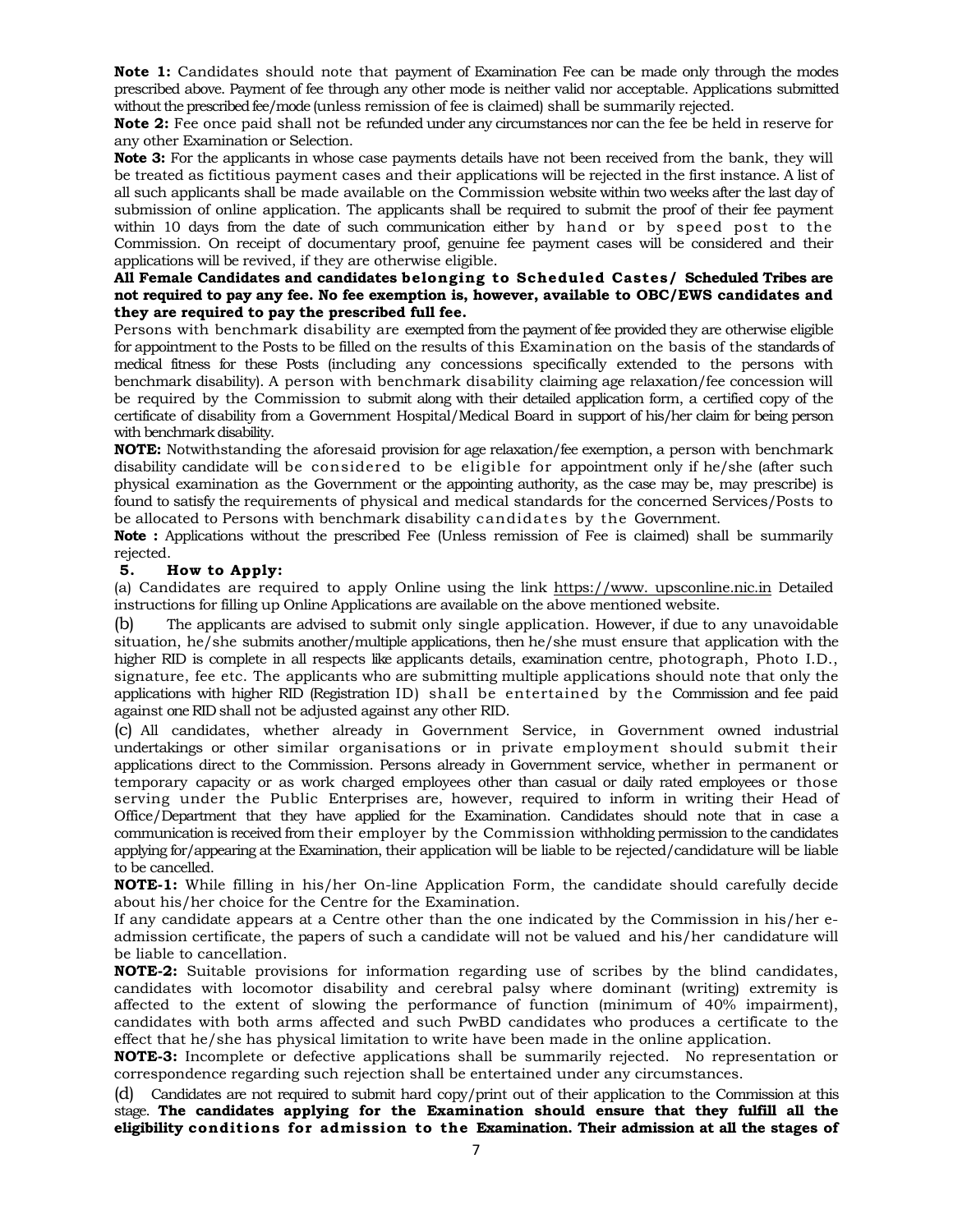**Note 1:** Candidates should note that payment of Examination Fee can be made only through the modes prescribed above. Payment of fee through any other mode is neither valid nor acceptable. Applications submitted without the prescribed fee/mode (unless remission of fee is claimed) shall be summarily rejected.

**Note 2:** Fee once paid shall not be refunded under any circumstances nor can the fee be held in reserve for any other Examination or Selection.

**Note 3:** For the applicants in whose case payments details have not been received from the bank, they will be treated as fictitious payment cases and their applications will be rejected in the first instance. A list of all such applicants shall be made available on the Commission website within two weeks after the last day of submission of online application. The applicants shall be required to submit the proof of their fee payment within 10 days from the date of such communication either by hand or by speed post to the Commission. On receipt of documentary proof, genuine fee payment cases will be considered and their applications will be revived, if they are otherwise eligible.

# **All Female Candidates and candidates belonging to Scheduled Castes/ Scheduled Tribes are not required to pay any fee. No fee exemption is, however, available to OBC/EWS candidates and they are required to pay the prescribed full fee.**

Persons with benchmark disability are exempted from the payment of fee provided they are otherwise eligible for appointment to the Posts to be filled on the results of this Examination on the basis of the standards of medical fitness for these Posts (including any concessions specifically extended to the persons with benchmark disability). A person with benchmark disability claiming age relaxation/fee concession will be required by the Commission to submit along with their detailed application form, a certified copy of the certificate of disability from a Government Hospital/Medical Board in support of his/her claim for being person with benchmark disability.

**NOTE:** Notwithstanding the aforesaid provision for age relaxation/fee exemption, a person with benchmark disability candidate will be considered to be eligible for appointment only if he/she (after such physical examination as the Government or the appointing authority, as the case may be, may prescribe) is found to satisfy the requirements of physical and medical standards for the concerned Services/Posts to be allocated to Persons with benchmark disability candidates by the Government.

**Note :** Applications without the prescribed Fee (Unless remission of Fee is claimed) shall be summarily rejected.

# **5. How to Apply:**

(a) Candidates are required to apply Online using the link https://www. upsconline.nic.in Detailed instructions for filling up Online Applications are available on the above mentioned website.

(b) The applicants are advised to submit only single application. However, if due to any unavoidable situation, he/she submits another/multiple applications, then he/she must ensure that application with the higher RID is complete in all respects like applicants details, examination centre, photograph, Photo I.D., signature, fee etc. The applicants who are submitting multiple applications should note that only the applications with higher RID (Registration ID) shall be entertained by the Commission and fee paid against one RID shall not be adjusted against any other RID.

(c) All candidates, whether already in Government Service, in Government owned industrial undertakings or other similar organisations or in private employment should submit their applications direct to the Commission. Persons already in Government service, whether in permanent or temporary capacity or as work charged employees other than casual or daily rated employees or those serving under the Public Enterprises are, however, required to inform in writing their Head of Office/Department that they have applied for the Examination. Candidates should note that in case a communication is received from their employer by the Commission withholding permission to the candidates applying for/appearing at the Examination, their application will be liable to be rejected/candidature will be liable to be cancelled.

**NOTE-1:** While filling in his/her On-line Application Form, the candidate should carefully decide about his/her choice for the Centre for the Examination.

If any candidate appears at a Centre other than the one indicated by the Commission in his/her eadmission certificate, the papers of such a candidate will not be valued and his/her candidature will be liable to cancellation.

**NOTE-2:** Suitable provisions for information regarding use of scribes by the blind candidates, candidates with locomotor disability and cerebral palsy where dominant (writing) extremity is affected to the extent of slowing the performance of function (minimum of 40% impairment), candidates with both arms affected and such PwBD candidates who produces a certificate to the effect that he/she has physical limitation to write have been made in the online application.

**NOTE-3:** Incomplete or defective applications shall be summarily rejected. No representation or correspondence regarding such rejection shall be entertained under any circumstances.

(d) Candidates are not required to submit hard copy/print out of their application to the Commission at this stage. **The candidates applying for the Examination should ensure that they fulfill all the eligibility conditions for admission to the Examination. Their admission at all the stages of**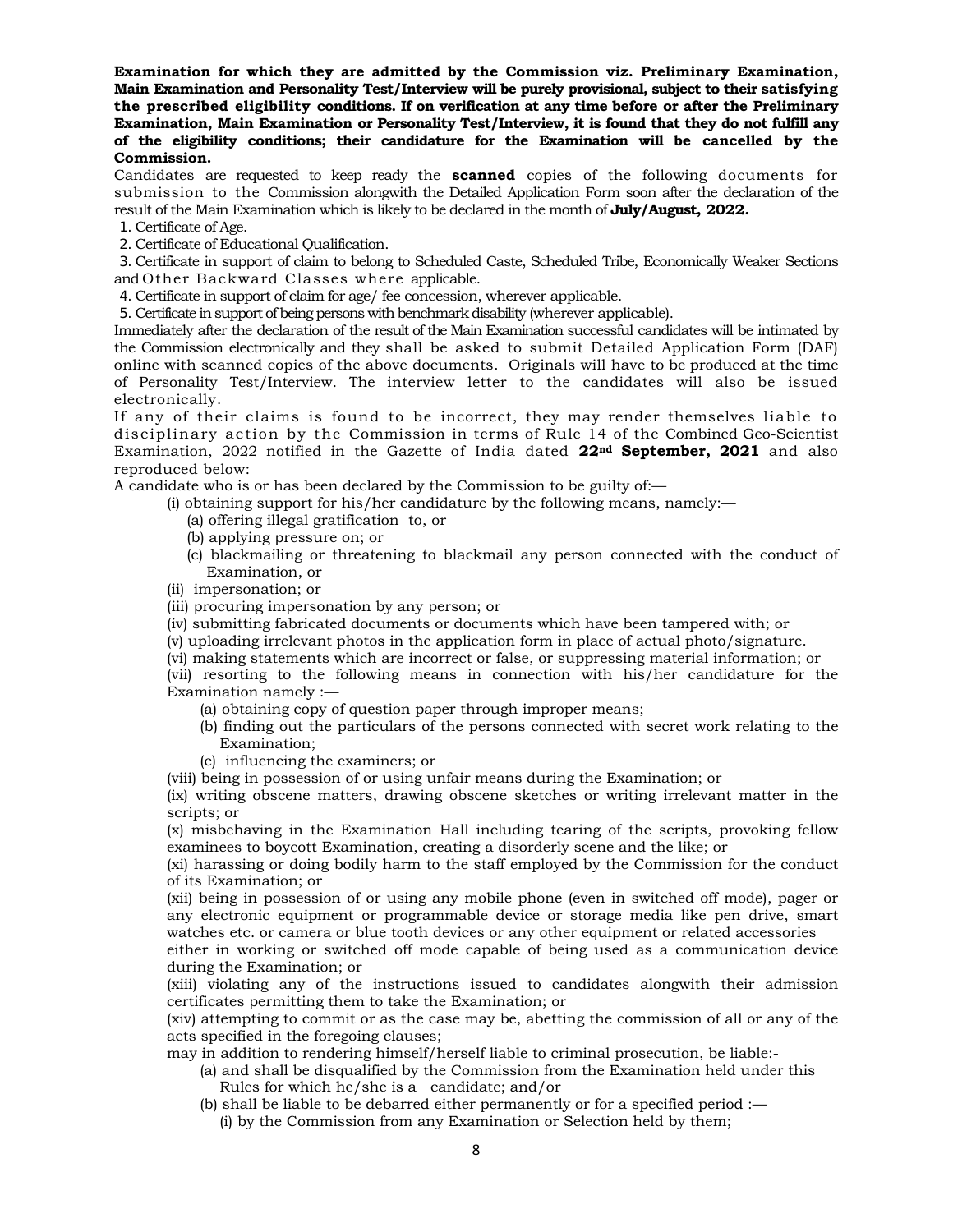**Examination for which they are admitted by the Commission viz. Preliminary Examination, Main Examination and Personality Test/Interview will be purely provisional, subject to their satisfying the prescribed eligibility conditions. If on verification at any time before or after the Preliminary Examination, Main Examination or Personality Test/Interview, it is found that they do not fulfill any of the eligibility conditions; their candidature for the Examination will be cancelled by the Commission.**

Candidates are requested to keep ready the **scanned** copies of the following documents for submission to the Commission alongwith the Detailed Application Form soon after the declaration of the result of the Main Examination which is likely to be declared in the month of **July/August, 2022.**

1. Certificate of Age.

2. Certificate of Educational Qualification.

3. Certificate in support of claim to belong to Scheduled Caste, Scheduled Tribe, Economically Weaker Sections and Other Backward Classes where applicable.

4. Certificate in support of claim for age/ fee concession, wherever applicable.

5. Certificate in support of being persons with benchmark disability (wherever applicable).

Immediately after the declaration of the result of the Main Examination successful candidates will be intimated by the Commission electronically and they shall be asked to submit Detailed Application Form (DAF) online with scanned copies of the above documents. Originals will have to be produced at the time of Personality Test/Interview. The interview letter to the candidates will also be issued electronically.

If any of their claims is found to be incorrect, they may render themselves liable to disciplinary action by the Commission in terms of Rule 14 of the Combined Geo-Scientist Examination, 2022 notified in the Gazette of India dated **22nd September, 2021** and also reproduced below:

A candidate who is or has been declared by the Commission to be guilty of:—

(i) obtaining support for his/her candidature by the following means, namely:—

- (a) offering illegal gratification to, or
- (b) applying pressure on; or
- (c) blackmailing or threatening to blackmail any person connected with the conduct of Examination, or
- (ii) impersonation; or
- (iii) procuring impersonation by any person; or
- (iv) submitting fabricated documents or documents which have been tampered with; or
- (v) uploading irrelevant photos in the application form in place of actual photo/signature.

(vi) making statements which are incorrect or false, or suppressing material information; or

(vii) resorting to the following means in connection with his/her candidature for the Examination namely :—

- (a) obtaining copy of question paper through improper means;
- (b) finding out the particulars of the persons connected with secret work relating to the Examination;
- (c) influencing the examiners; or

(viii) being in possession of or using unfair means during the Examination; or

(ix) writing obscene matters, drawing obscene sketches or writing irrelevant matter in the scripts; or

(x) misbehaving in the Examination Hall including tearing of the scripts, provoking fellow examinees to boycott Examination, creating a disorderly scene and the like; or

(xi) harassing or doing bodily harm to the staff employed by the Commission for the conduct of its Examination; or

(xii) being in possession of or using any mobile phone (even in switched off mode), pager or any electronic equipment or programmable device or storage media like pen drive, smart watches etc. or camera or blue tooth devices or any other equipment or related accessories

either in working or switched off mode capable of being used as a communication device during the Examination; or

(xiii) violating any of the instructions issued to candidates alongwith their admission certificates permitting them to take the Examination; or

(xiv) attempting to commit or as the case may be, abetting the commission of all or any of the acts specified in the foregoing clauses;

may in addition to rendering himself/herself liable to criminal prosecution, be liable:-

(a) and shall be disqualified by the Commission from the Examination held under this Rules for which he/she is a candidate; and/or

(b) shall be liable to be debarred either permanently or for a specified period :— (i) by the Commission from any Examination or Selection held by them;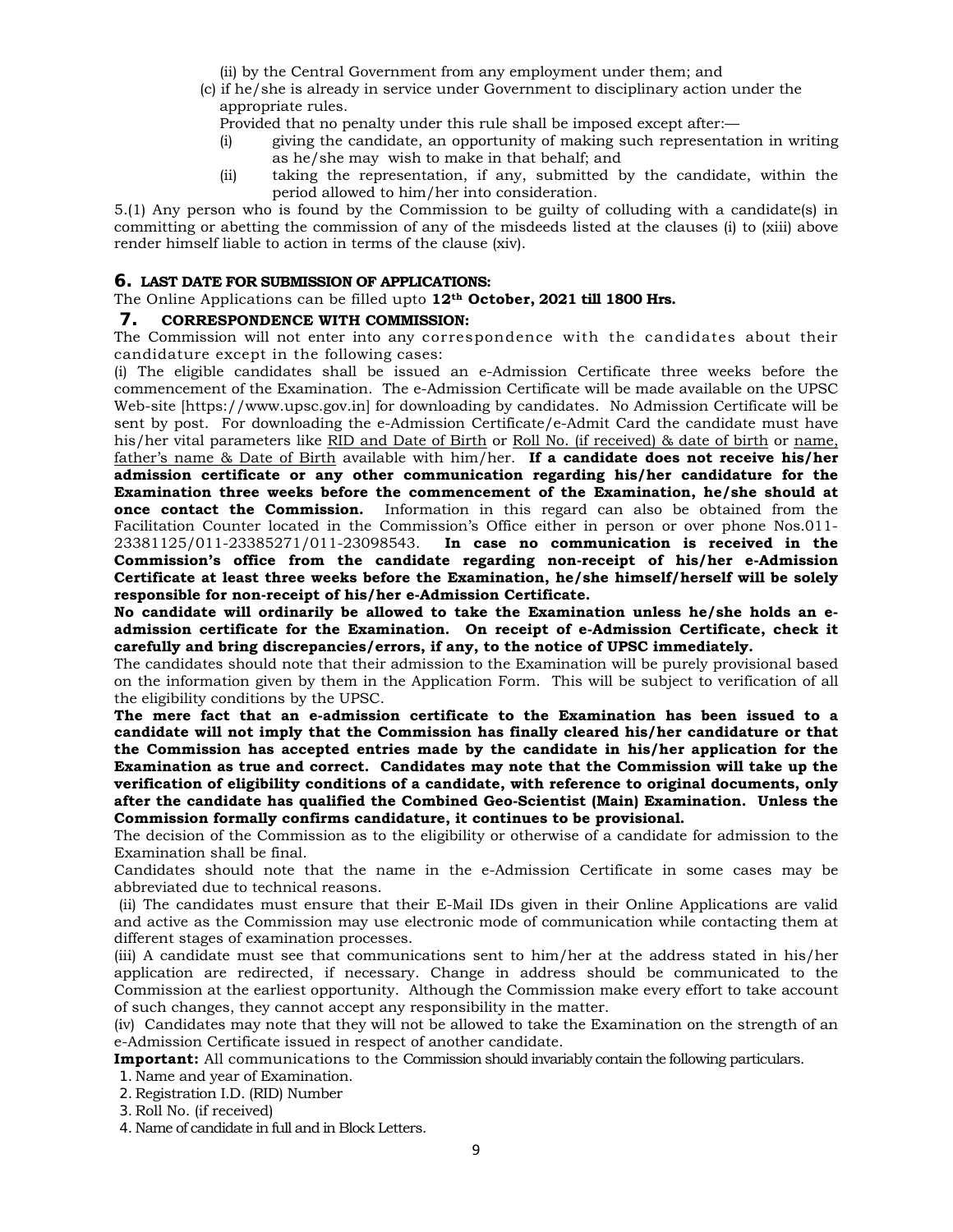(ii) by the Central Government from any employment under them; and

- (c) if he/she is already in service under Government to disciplinary action under the appropriate rules.
	- Provided that no penalty under this rule shall be imposed except after:—
	- (i) giving the candidate, an opportunity of making such representation in writing as he/she may wish to make in that behalf; and
	- (ii) taking the representation, if any, submitted by the candidate, within the period allowed to him/her into consideration.

5.(1) Any person who is found by the Commission to be guilty of colluding with a candidate(s) in committing or abetting the commission of any of the misdeeds listed at the clauses (i) to (xiii) above render himself liable to action in terms of the clause (xiv).

# **6. LAST DATE FOR SUBMISSION OF APPLICATIONS:**

The Online Applications can be filled upto **12th October, 2021 till 1800 Hrs.**

# **7. CORRESPONDENCE WITH COMMISSION:**

The Commission will not enter into any correspondence with the candidates about their candidature except in the following cases:

(i) The eligible candidates shall be issued an e-Admission Certificate three weeks before the commencement of the Examination. The e-Admission Certificate will be made available on the UPSC Web-site [https://www.upsc.gov.in] for downloading by candidates. No Admission Certificate will be sent by post. For downloading the e-Admission Certificate/e-Admit Card the candidate must have his/her vital parameters like RID and Date of Birth or Roll No. (if received) & date of birth or name, father's name & Date of Birth available with him/her. **If a candidate does not receive his/her admission certificate or any other communication regarding his/her candidature for the Examination three weeks before the commencement of the Examination, he/she should at once contact the Commission.** Information in this regard can also be obtained from the Facilitation Counter located in the Commission's Office either in person or over phone Nos.011- 23381125/011-23385271/011-23098543. **In case no communication is received in the Commission's office from the candidate regarding non-receipt of his/her e-Admission Certificate at least three weeks before the Examination, he/she himself/herself will be solely responsible for non-receipt of his/her e-Admission Certificate.** 

**No candidate will ordinarily be allowed to take the Examination unless he/she holds an eadmission certificate for the Examination. On receipt of e-Admission Certificate, check it carefully and bring discrepancies/errors, if any, to the notice of UPSC immediately.** 

The candidates should note that their admission to the Examination will be purely provisional based on the information given by them in the Application Form. This will be subject to verification of all the eligibility conditions by the UPSC.

**The mere fact that an e-admission certificate to the Examination has been issued to a candidate will not imply that the Commission has finally cleared his/her candidature or that the Commission has accepted entries made by the candidate in his/her application for the Examination as true and correct. Candidates may note that the Commission will take up the verification of eligibility conditions of a candidate, with reference to original documents, only after the candidate has qualified the Combined Geo-Scientist (Main) Examination. Unless the Commission formally confirms candidature, it continues to be provisional.** 

The decision of the Commission as to the eligibility or otherwise of a candidate for admission to the Examination shall be final.

Candidates should note that the name in the e-Admission Certificate in some cases may be abbreviated due to technical reasons.

 (ii) The candidates must ensure that their E-Mail IDs given in their Online Applications are valid and active as the Commission may use electronic mode of communication while contacting them at different stages of examination processes.

(iii) A candidate must see that communications sent to him/her at the address stated in his/her application are redirected, if necessary. Change in address should be communicated to the Commission at the earliest opportunity. Although the Commission make every effort to take account of such changes, they cannot accept any responsibility in the matter.

(iv) Candidates may note that they will not be allowed to take the Examination on the strength of an e-Admission Certificate issued in respect of another candidate.

**Important:** All communications to the Commission should invariably contain the following particulars.

1.Name and year of Examination.

2. Registration I.D. (RID) Number

3. Roll No. (if received)

4.Name of candidate in full and in Block Letters.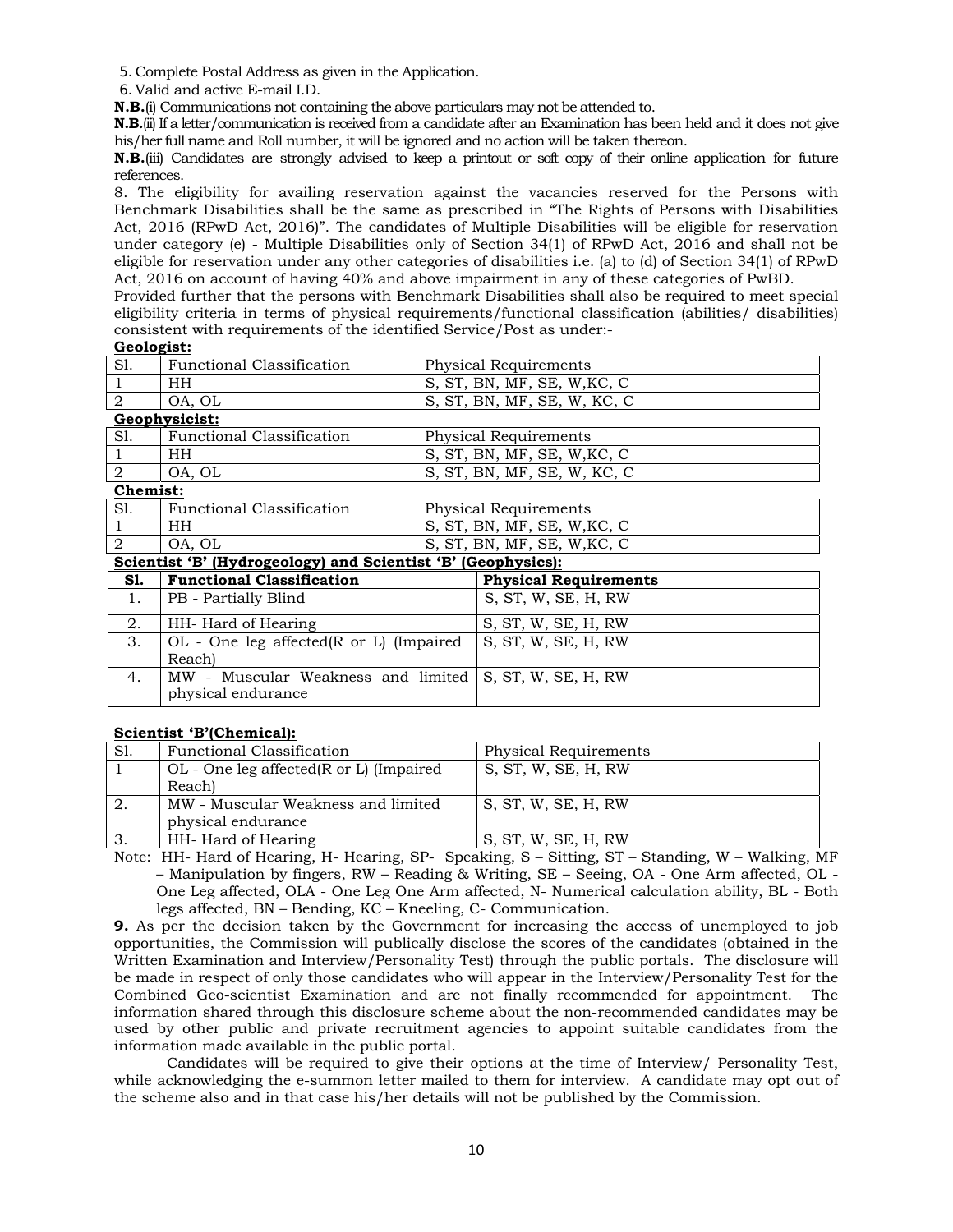5.Complete Postal Address as given in the Application.

6. Valid and active E-mail I.D.

**N.B.**(i) Communications not containing the above particulars may not be attended to.

**N.B.**(ii) If a letter/communication is received from a candidate after an Examination has been held and it does not give his/her full name and Roll number, it will be ignored and no action will be taken thereon.

**N.B.**(iii) Candidates are strongly advised to keep a printout or soft copy of their online application for future references.

8. The eligibility for availing reservation against the vacancies reserved for the Persons with Benchmark Disabilities shall be the same as prescribed in "The Rights of Persons with Disabilities Act, 2016 (RPwD Act, 2016)". The candidates of Multiple Disabilities will be eligible for reservation under category (e) - Multiple Disabilities only of Section 34(1) of RPwD Act, 2016 and shall not be eligible for reservation under any other categories of disabilities i.e. (a) to (d) of Section 34(1) of RPwD Act, 2016 on account of having 40% and above impairment in any of these categories of PwBD.

Provided further that the persons with Benchmark Disabilities shall also be required to meet special eligibility criteria in terms of physical requirements/functional classification (abilities/ disabilities) consistent with requirements of the identified Service/Post as under:-

#### **Geologist:**

| S1.                                                          | <b>Functional Classification</b>                |  | Physical Requirements        |
|--------------------------------------------------------------|-------------------------------------------------|--|------------------------------|
|                                                              |                                                 |  |                              |
|                                                              | HH.                                             |  | S, ST, BN, MF, SE, W, KC, C  |
| 2                                                            | OA, OL                                          |  | S, ST, BN, MF, SE, W, KC, C  |
|                                                              | Geophysicist:                                   |  |                              |
| Sl.                                                          | <b>Functional Classification</b>                |  | Physical Requirements        |
|                                                              | HH                                              |  | S, ST, BN, MF, SE, W, KC, C  |
| $\overline{2}$                                               | OA, OL                                          |  | S, ST, BN, MF, SE, W, KC, C  |
| Chemist:                                                     |                                                 |  |                              |
| S1.                                                          | <b>Functional Classification</b>                |  | Physical Requirements        |
|                                                              | HH                                              |  | S, ST, BN, MF, SE, W, KC, C  |
| $\mathfrak{D}$                                               | OA, OL                                          |  | S, ST, BN, MF, SE, W, KC, C  |
| Scientist 'B' (Hydrogeology) and Scientist 'B' (Geophysics): |                                                 |  |                              |
| S1.                                                          | <b>Functional Classification</b>                |  | <b>Physical Requirements</b> |
| 1.                                                           | PB - Partially Blind                            |  | S, ST, W, SE, H, RW          |
| 2.                                                           | HH- Hard of Hearing                             |  | S, ST, W, SE, H, RW          |
| 3.                                                           | $OL$ - One leg affected( $R$ or $L$ ) (Impaired |  | S, ST, W, SE, H, RW          |
|                                                              | Reach)                                          |  |                              |
| 4.                                                           | MW - Muscular Weakness and limited              |  | S, ST, W, SE, H, RW          |
|                                                              | physical endurance                              |  |                              |

# **Scientist 'B'(Chemical):**

| Functional Classification               | Physical Requirements |
|-----------------------------------------|-----------------------|
| OL - One leg affected(R or L) (Impaired | S, ST, W, SE, H, RW   |
| Reach)                                  |                       |
| MW - Muscular Weakness and limited      | S, ST, W, SE, H, RW   |
| physical endurance                      |                       |
| HH- Hard of Hearing                     | S, ST, W, SE, H, RW   |
|                                         |                       |

Note: HH- Hard of Hearing, H- Hearing, SP- Speaking, S – Sitting, ST – Standing, W – Walking, MF – Manipulation by fingers, RW – Reading & Writing, SE – Seeing, OA - One Arm affected, OL - One Leg affected, OLA - One Leg One Arm affected, N- Numerical calculation ability, BL - Both legs affected, BN – Bending, KC – Kneeling, C- Communication.

**9.** As per the decision taken by the Government for increasing the access of unemployed to job opportunities, the Commission will publically disclose the scores of the candidates (obtained in the Written Examination and Interview/Personality Test) through the public portals. The disclosure will be made in respect of only those candidates who will appear in the Interview/Personality Test for the Combined Geo-scientist Examination and are not finally recommended for appointment. The information shared through this disclosure scheme about the non-recommended candidates may be used by other public and private recruitment agencies to appoint suitable candidates from the information made available in the public portal.

 Candidates will be required to give their options at the time of Interview/ Personality Test, while acknowledging the e-summon letter mailed to them for interview. A candidate may opt out of the scheme also and in that case his/her details will not be published by the Commission.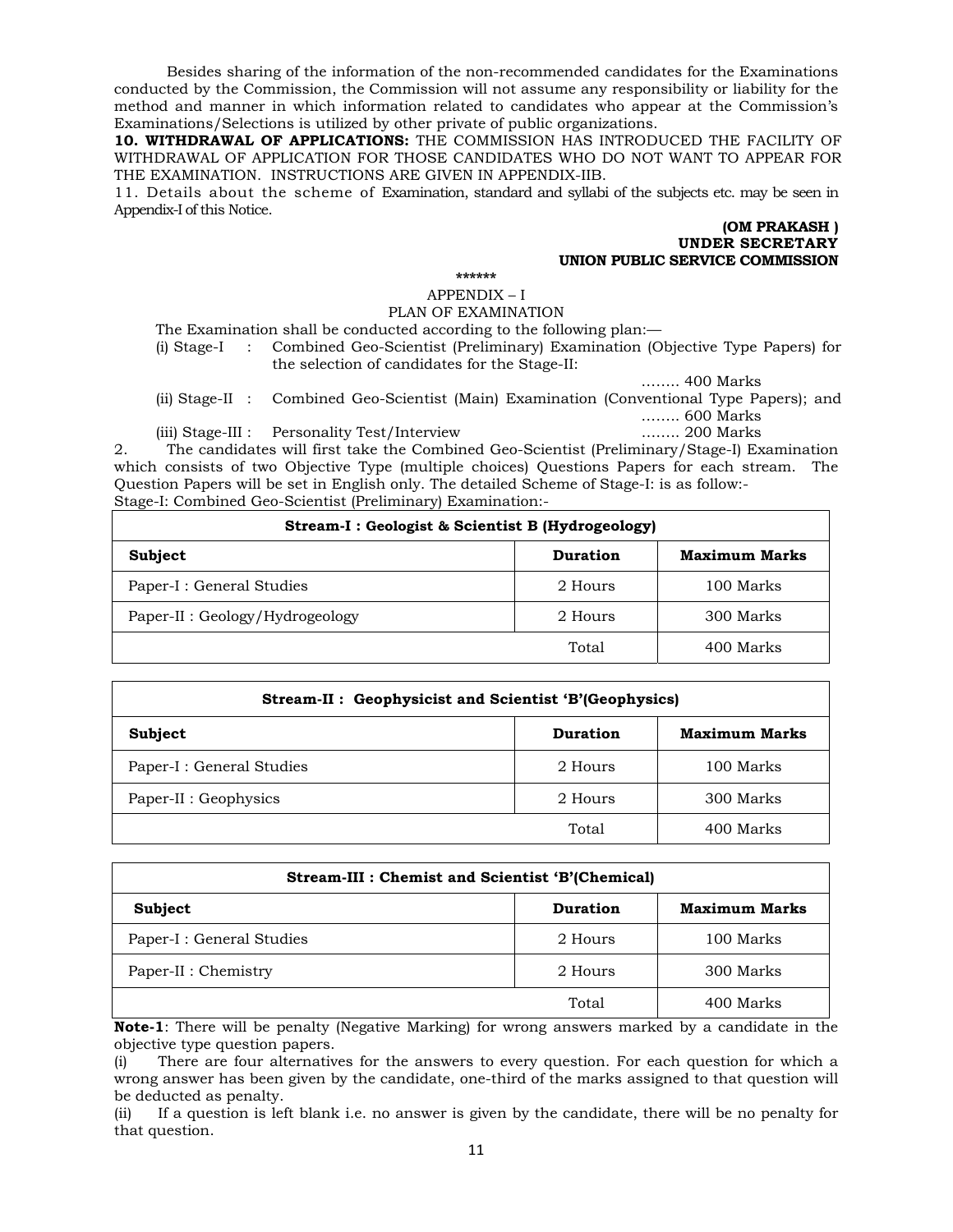Besides sharing of the information of the non-recommended candidates for the Examinations conducted by the Commission, the Commission will not assume any responsibility or liability for the method and manner in which information related to candidates who appear at the Commission's Examinations/Selections is utilized by other private of public organizations.

**10. WITHDRAWAL OF APPLICATIONS:** THE COMMISSION HAS INTRODUCED THE FACILITY OF WITHDRAWAL OF APPLICATION FOR THOSE CANDIDATES WHO DO NOT WANT TO APPEAR FOR THE EXAMINATION. INSTRUCTIONS ARE GIVEN IN APPENDIX-IIB.

11. Details about the scheme of Examination, standard and syllabi of the subjects etc. may be seen in Appendix-I of this Notice.

#### **(OM PRAKASH ) UNDER SECRETARY UNION PUBLIC SERVICE COMMISSION**

**\*\*\*\*\*\*** 

APPENDIX – I PLAN OF EXAMINATION

The Examination shall be conducted according to the following plan:—

(i) Stage-I : Combined Geo-Scientist (Preliminary) Examination (Objective Type Papers) for the selection of candidates for the Stage-II:

…….. 400 Marks

(ii) Stage-II : Combined Geo-Scientist (Main) Examination (Conventional Type Papers); and …….. 600 Marks

(iii) Stage-III : Personality Test/Interview …….. 200 Marks 2. The candidates will first take the Combined Geo-Scientist (Preliminary/Stage-I) Examination which consists of two Objective Type (multiple choices) Questions Papers for each stream. The Question Papers will be set in English only. The detailed Scheme of Stage-I: is as follow:- Stage-I: Combined Geo-Scientist (Preliminary) Examination:-

| Stream-I: Geologist & Scientist B (Hydrogeology) |                      |           |  |
|--------------------------------------------------|----------------------|-----------|--|
| Subject                                          | <b>Maximum Marks</b> |           |  |
| Paper-I : General Studies                        | 2 Hours              | 100 Marks |  |
| Paper-II : Geology/Hydrogeology                  | 2 Hours<br>300 Marks |           |  |
|                                                  | Total                | 400 Marks |  |

| Stream-II: Geophysicist and Scientist 'B'(Geophysics) |         |           |  |  |
|-------------------------------------------------------|---------|-----------|--|--|
| <b>Maximum Marks</b><br>Subject<br>Duration           |         |           |  |  |
| Paper-I : General Studies                             | 2 Hours | 100 Marks |  |  |
| Paper-II : Geophysics                                 | 2 Hours | 300 Marks |  |  |
|                                                       | Total   | 400 Marks |  |  |

| Stream-III : Chemist and Scientist 'B'(Chemical) |               |           |  |
|--------------------------------------------------|---------------|-----------|--|
| <b>Subject</b>                                   | Maximum Marks |           |  |
| Paper-I : General Studies                        | 2 Hours       | 100 Marks |  |
| Paper-II : Chemistry                             | 2 Hours       | 300 Marks |  |
|                                                  | Total         | 400 Marks |  |

**Note-1**: There will be penalty (Negative Marking) for wrong answers marked by a candidate in the objective type question papers.

(i) There are four alternatives for the answers to every question. For each question for which a wrong answer has been given by the candidate, one-third of the marks assigned to that question will be deducted as penalty.

(ii) If a question is left blank i.e. no answer is given by the candidate, there will be no penalty for that question.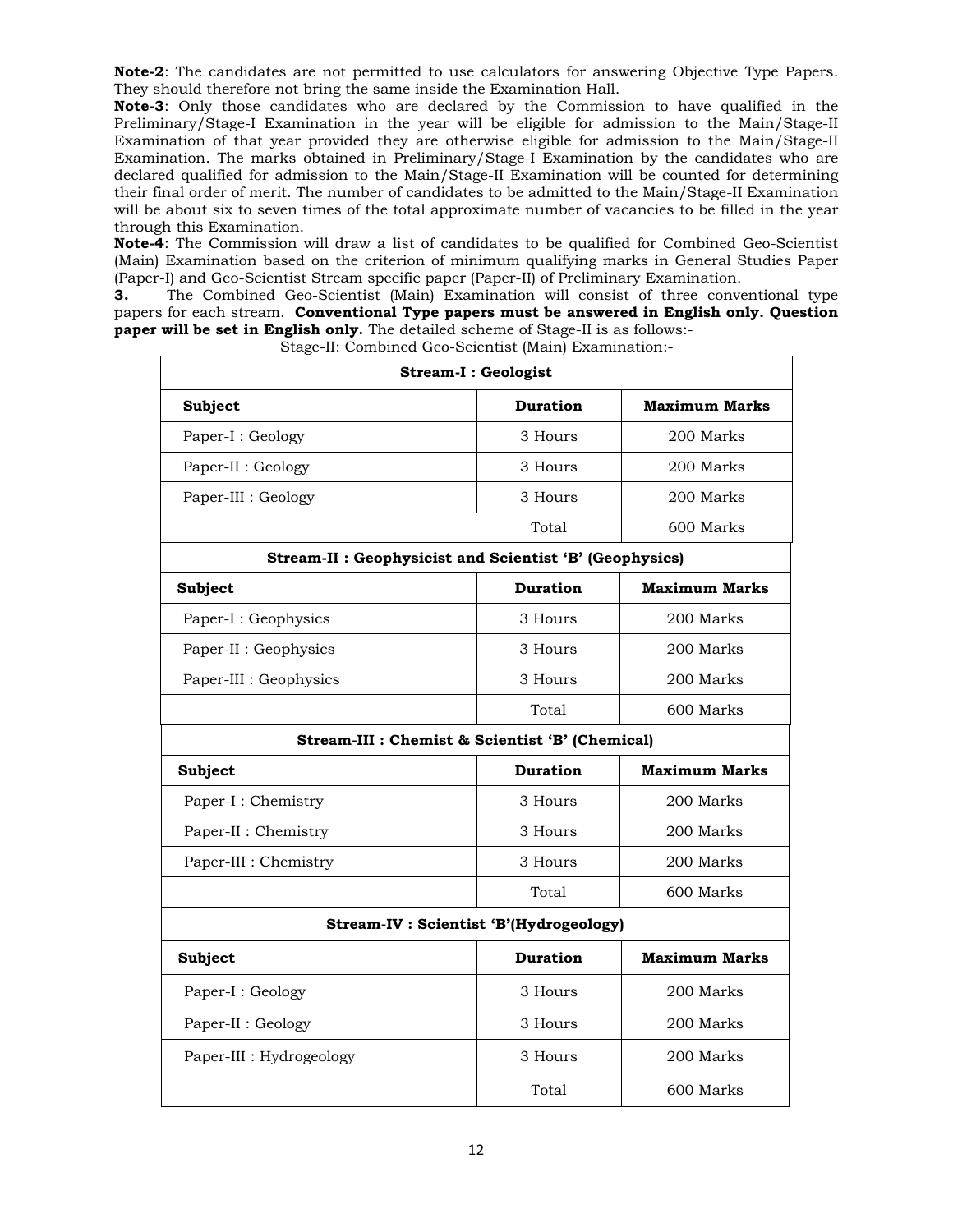**Note-2**: The candidates are not permitted to use calculators for answering Objective Type Papers. They should therefore not bring the same inside the Examination Hall.

**Note-3**: Only those candidates who are declared by the Commission to have qualified in the Preliminary/Stage-I Examination in the year will be eligible for admission to the Main/Stage-II Examination of that year provided they are otherwise eligible for admission to the Main/Stage-II Examination. The marks obtained in Preliminary/Stage-I Examination by the candidates who are declared qualified for admission to the Main/Stage-II Examination will be counted for determining their final order of merit. The number of candidates to be admitted to the Main/Stage-II Examination will be about six to seven times of the total approximate number of vacancies to be filled in the year through this Examination.

**Note-4**: The Commission will draw a list of candidates to be qualified for Combined Geo-Scientist (Main) Examination based on the criterion of minimum qualifying marks in General Studies Paper (Paper-I) and Geo-Scientist Stream specific paper (Paper-II) of Preliminary Examination.

**3.** The Combined Geo-Scientist (Main) Examination will consist of three conventional type papers for each stream. **Conventional Type papers must be answered in English only. Question paper will be set in English only.** The detailed scheme of Stage-II is as follows:-

| <u>bago ni combinea deo benenne (main) mammanoni</u><br><b>Stream-I: Geologist</b> |                 |                      |  |  |
|------------------------------------------------------------------------------------|-----------------|----------------------|--|--|
| Subject                                                                            | <b>Duration</b> | <b>Maximum Marks</b> |  |  |
| Paper-I : Geology                                                                  | 3 Hours         | 200 Marks            |  |  |
| Paper-II : Geology                                                                 | 3 Hours         | 200 Marks            |  |  |
| Paper-III : Geology                                                                | 3 Hours         | 200 Marks            |  |  |
|                                                                                    | Total           | 600 Marks            |  |  |
| Stream-II : Geophysicist and Scientist 'B' (Geophysics)                            |                 |                      |  |  |
| Subject                                                                            | <b>Duration</b> | <b>Maximum Marks</b> |  |  |
| Paper-I : Geophysics                                                               | 3 Hours         | 200 Marks            |  |  |
| Paper-II : Geophysics                                                              | 3 Hours         | 200 Marks            |  |  |
| Paper-III : Geophysics                                                             | 3 Hours         | 200 Marks            |  |  |
|                                                                                    | Total           | 600 Marks            |  |  |
| Stream-III : Chemist & Scientist 'B' (Chemical)                                    |                 |                      |  |  |
| <b>Duration</b><br><b>Maximum Marks</b><br>Subject                                 |                 |                      |  |  |
| Paper-I: Chemistry                                                                 | 3 Hours         | 200 Marks            |  |  |
| Paper-II : Chemistry                                                               | 3 Hours         | 200 Marks            |  |  |
| Paper-III : Chemistry                                                              | 3 Hours         | 200 Marks            |  |  |
|                                                                                    | Total           | 600 Marks            |  |  |
| <b>Stream-IV: Scientist 'B'(Hydrogeology)</b>                                      |                 |                      |  |  |
| Subject                                                                            | <b>Duration</b> | <b>Maximum Marks</b> |  |  |
| Paper-I: Geology                                                                   | 3 Hours         | 200 Marks            |  |  |
| Paper-II : Geology                                                                 | 3 Hours         | 200 Marks            |  |  |
| Paper-III : Hydrogeology                                                           | 3 Hours         | 200 Marks            |  |  |
|                                                                                    | Total           | 600 Marks            |  |  |

Stage-II: Combined Geo-Scientist (Main) Examination:-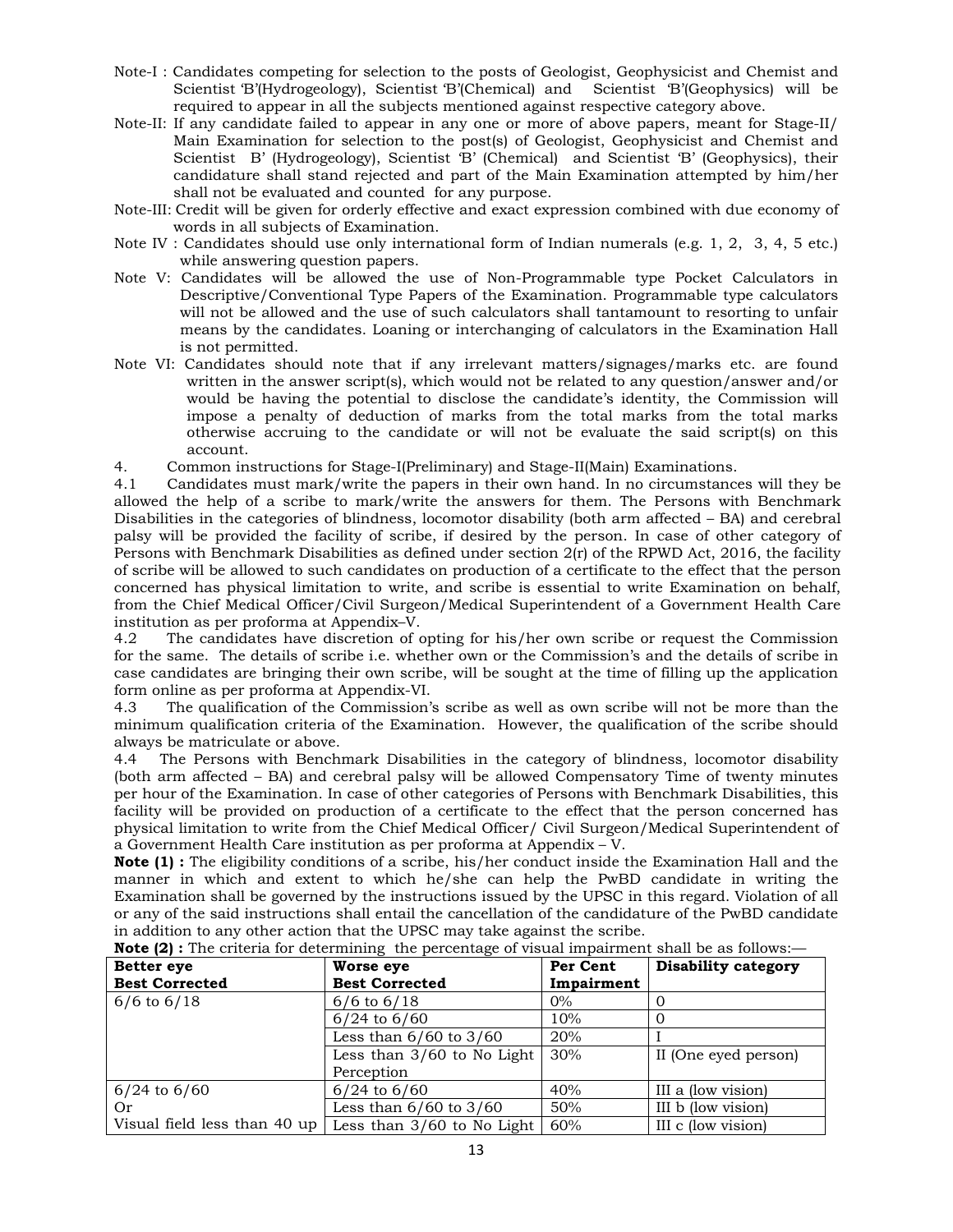- Note-I : Candidates competing for selection to the posts of Geologist, Geophysicist and Chemist and Scientist 'B'(Hydrogeology), Scientist 'B'(Chemical) and Scientist 'B'(Geophysics) will be required to appear in all the subjects mentioned against respective category above.
- Note-II: If any candidate failed to appear in any one or more of above papers, meant for Stage-II/ Main Examination for selection to the post(s) of Geologist, Geophysicist and Chemist and Scientist B' (Hydrogeology), Scientist 'B' (Chemical) and Scientist 'B' (Geophysics), their candidature shall stand rejected and part of the Main Examination attempted by him/her shall not be evaluated and counted for any purpose.
- Note-III: Credit will be given for orderly effective and exact expression combined with due economy of words in all subjects of Examination.
- Note IV : Candidates should use only international form of Indian numerals (e.g. 1, 2, 3, 4, 5 etc.) while answering question papers.
- Note V: Candidates will be allowed the use of Non-Programmable type Pocket Calculators in Descriptive/Conventional Type Papers of the Examination. Programmable type calculators will not be allowed and the use of such calculators shall tantamount to resorting to unfair means by the candidates. Loaning or interchanging of calculators in the Examination Hall is not permitted.
- Note VI: Candidates should note that if any irrelevant matters/signages/marks etc. are found written in the answer script(s), which would not be related to any question/answer and/or would be having the potential to disclose the candidate's identity, the Commission will impose a penalty of deduction of marks from the total marks from the total marks otherwise accruing to the candidate or will not be evaluate the said script(s) on this account.
- 4. Common instructions for Stage-I(Preliminary) and Stage-II(Main) Examinations.

4.1 Candidates must mark/write the papers in their own hand. In no circumstances will they be allowed the help of a scribe to mark/write the answers for them. The Persons with Benchmark Disabilities in the categories of blindness, locomotor disability (both arm affected – BA) and cerebral palsy will be provided the facility of scribe, if desired by the person. In case of other category of Persons with Benchmark Disabilities as defined under section 2(r) of the RPWD Act, 2016, the facility of scribe will be allowed to such candidates on production of a certificate to the effect that the person concerned has physical limitation to write, and scribe is essential to write Examination on behalf, from the Chief Medical Officer/Civil Surgeon/Medical Superintendent of a Government Health Care institution as per proforma at Appendix–V.

4.2 The candidates have discretion of opting for his/her own scribe or request the Commission for the same. The details of scribe i.e. whether own or the Commission's and the details of scribe in case candidates are bringing their own scribe, will be sought at the time of filling up the application form online as per proforma at Appendix-VI.

4.3 The qualification of the Commission's scribe as well as own scribe will not be more than the minimum qualification criteria of the Examination. However, the qualification of the scribe should always be matriculate or above.

4.4 The Persons with Benchmark Disabilities in the category of blindness, locomotor disability (both arm affected – BA) and cerebral palsy will be allowed Compensatory Time of twenty minutes per hour of the Examination. In case of other categories of Persons with Benchmark Disabilities, this facility will be provided on production of a certificate to the effect that the person concerned has physical limitation to write from the Chief Medical Officer/ Civil Surgeon/Medical Superintendent of a Government Health Care institution as per proforma at Appendix – V.

**Note (1) :** The eligibility conditions of a scribe, his/her conduct inside the Examination Hall and the manner in which and extent to which he/she can help the PwBD candidate in writing the Examination shall be governed by the instructions issued by the UPSC in this regard. Violation of all or any of the said instructions shall entail the cancellation of the candidature of the PwBD candidate in addition to any other action that the UPSC may take against the scribe.

| <b>Better eye</b>            | Worse eye                    | Per Cent   | <b>Disability category</b> |  |  |  |  |
|------------------------------|------------------------------|------------|----------------------------|--|--|--|--|
| <b>Best Corrected</b>        | <b>Best Corrected</b>        | Impairment |                            |  |  |  |  |
| $6/6$ to $6/18$              | $6/6$ to $6/18$              | $0\%$      |                            |  |  |  |  |
|                              | $6/24$ to $6/60$             | 10%        |                            |  |  |  |  |
|                              | Less than $6/60$ to $3/60$   | 20%        |                            |  |  |  |  |
|                              | Less than $3/60$ to No Light | 30%        | II (One eyed person)       |  |  |  |  |
|                              | Perception                   |            |                            |  |  |  |  |
| $6/24$ to $6/60$             | $6/24$ to $6/60$             | 40%        | III a (low vision)         |  |  |  |  |
| Or                           | Less than $6/60$ to $3/60$   | 50%        | III b (low vision)         |  |  |  |  |
| Visual field less than 40 up | Less than $3/60$ to No Light | 60%        | III c (low vision)         |  |  |  |  |

**Note (2):** The criteria for determining the percentage of visual impairment shall be as follows:—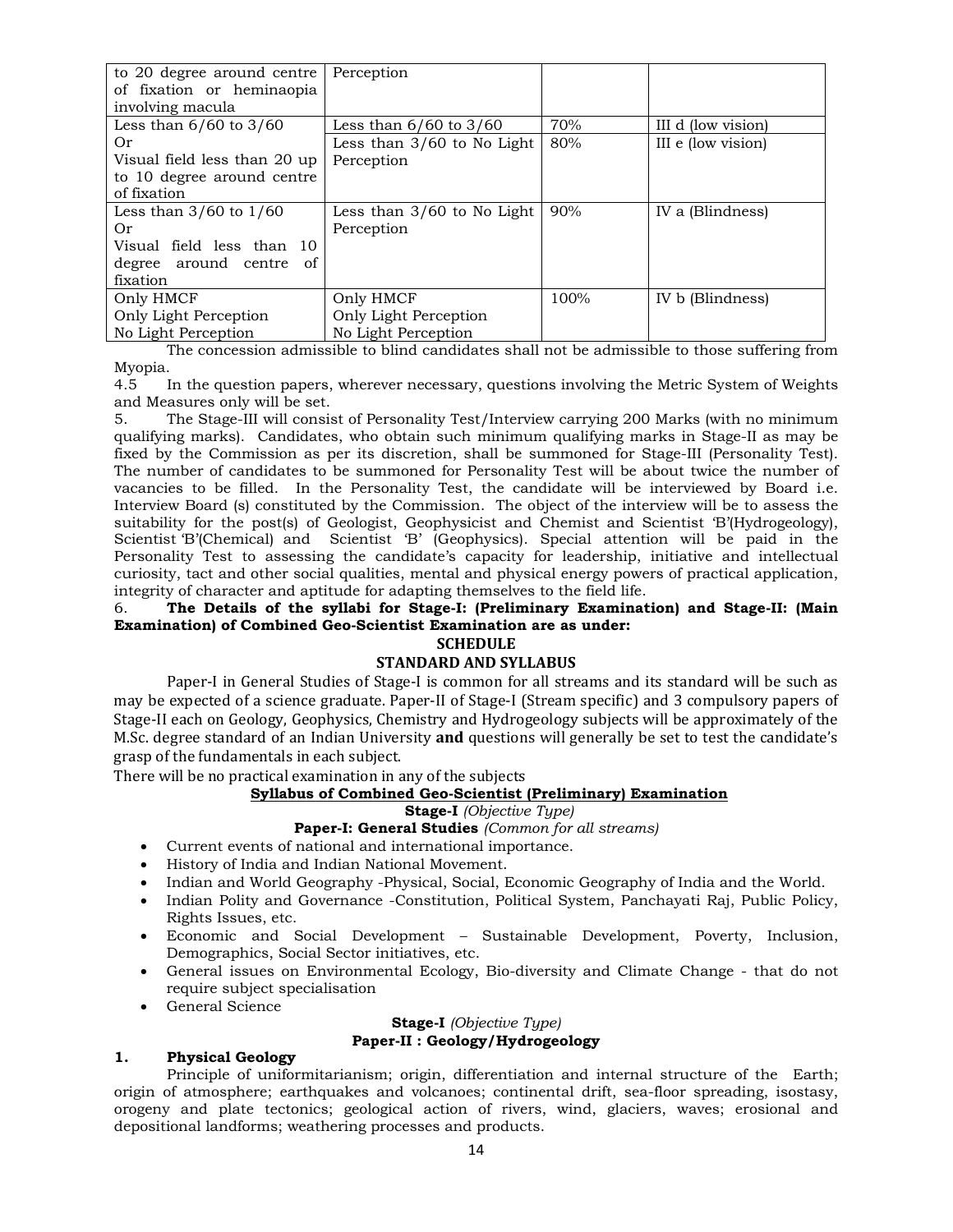| to 20 degree around centre<br>of fixation or heminaopia | Perception                   |      |                    |
|---------------------------------------------------------|------------------------------|------|--------------------|
| involving macula                                        |                              |      |                    |
| Less than $6/60$ to $3/60$                              | Less than $6/60$ to $3/60$   | 70%  | III d (low vision) |
| Or                                                      | Less than $3/60$ to No Light | 80%  | III e (low vision) |
| Visual field less than 20 up                            | Perception                   |      |                    |
| to 10 degree around centre                              |                              |      |                    |
| of fixation                                             |                              |      |                    |
| Less than $3/60$ to $1/60$                              | Less than $3/60$ to No Light | 90%  | IV a (Blindness)   |
| Or                                                      | Perception                   |      |                    |
| Visual field less than 10                               |                              |      |                    |
| degree around centre<br>0f                              |                              |      |                    |
| fixation                                                |                              |      |                    |
| Only HMCF                                               | Only HMCF                    | 100% | IV b (Blindness)   |
| Only Light Perception                                   | Only Light Perception        |      |                    |
| No Light Perception                                     | No Light Perception          |      |                    |

The concession admissible to blind candidates shall not be admissible to those suffering from Myopia.

4.5 In the question papers, wherever necessary, questions involving the Metric System of Weights and Measures only will be set.

5. The Stage-III will consist of Personality Test/Interview carrying 200 Marks (with no minimum qualifying marks). Candidates, who obtain such minimum qualifying marks in Stage-II as may be fixed by the Commission as per its discretion, shall be summoned for Stage-III (Personality Test). The number of candidates to be summoned for Personality Test will be about twice the number of vacancies to be filled. In the Personality Test, the candidate will be interviewed by Board i.e. Interview Board (s) constituted by the Commission. The object of the interview will be to assess the suitability for the post(s) of Geologist, Geophysicist and Chemist and Scientist 'B'(Hydrogeology), Scientist 'B'(Chemical) and Scientist 'B' (Geophysics). Special attention will be paid in the Personality Test to assessing the candidate's capacity for leadership, initiative and intellectual curiosity, tact and other social qualities, mental and physical energy powers of practical application, integrity of character and aptitude for adapting themselves to the field life.

# 6. **The Details of the syllabi for Stage-I: (Preliminary Examination) and Stage-II: (Main Examination) of Combined Geo-Scientist Examination are as under:**

# **SCHEDULE**

# **STANDARD AND SYLLABUS**

Paper-I in General Studies of Stage-I is common for all streams and its standard will be such as may be expected of a science graduate. Paper-II of Stage-I (Stream specific) and 3 compulsory papers of Stage-II each on Geology, Geophysics, Chemistry and Hydrogeology subjects will be approximately of the M.Sc. degree standard of an Indian University **and** questions will generally be set to test the candidate's grasp of the fundamentals in each subject.

There will be no practical examination in any of the subjects

# **Syllabus of Combined Geo-Scientist (Preliminary) Examination**

**Stage-I** *(Objective Type)*

# **Paper-I: General Studies** *(Common for all streams)*

- Current events of national and international importance.
- History of India and Indian National Movement.
- Indian and World Geography -Physical, Social, Economic Geography of India and the World.
- Indian Polity and Governance -Constitution, Political System, Panchayati Raj, Public Policy, Rights Issues, etc.
- Economic and Social Development Sustainable Development, Poverty, Inclusion, Demographics, Social Sector initiatives, etc.
- General issues on Environmental Ecology, Bio-diversity and Climate Change that do not require subject specialisation
- General Science

#### **Stage-I** *(Objective Type)* **Paper-II : Geology/Hydrogeology**

# **1. Physical Geology**

 Principle of uniformitarianism; origin, differentiation and internal structure of the Earth; origin of atmosphere; earthquakes and volcanoes; continental drift, sea-floor spreading, isostasy, orogeny and plate tectonics; geological action of rivers, wind, glaciers, waves; erosional and depositional landforms; weathering processes and products.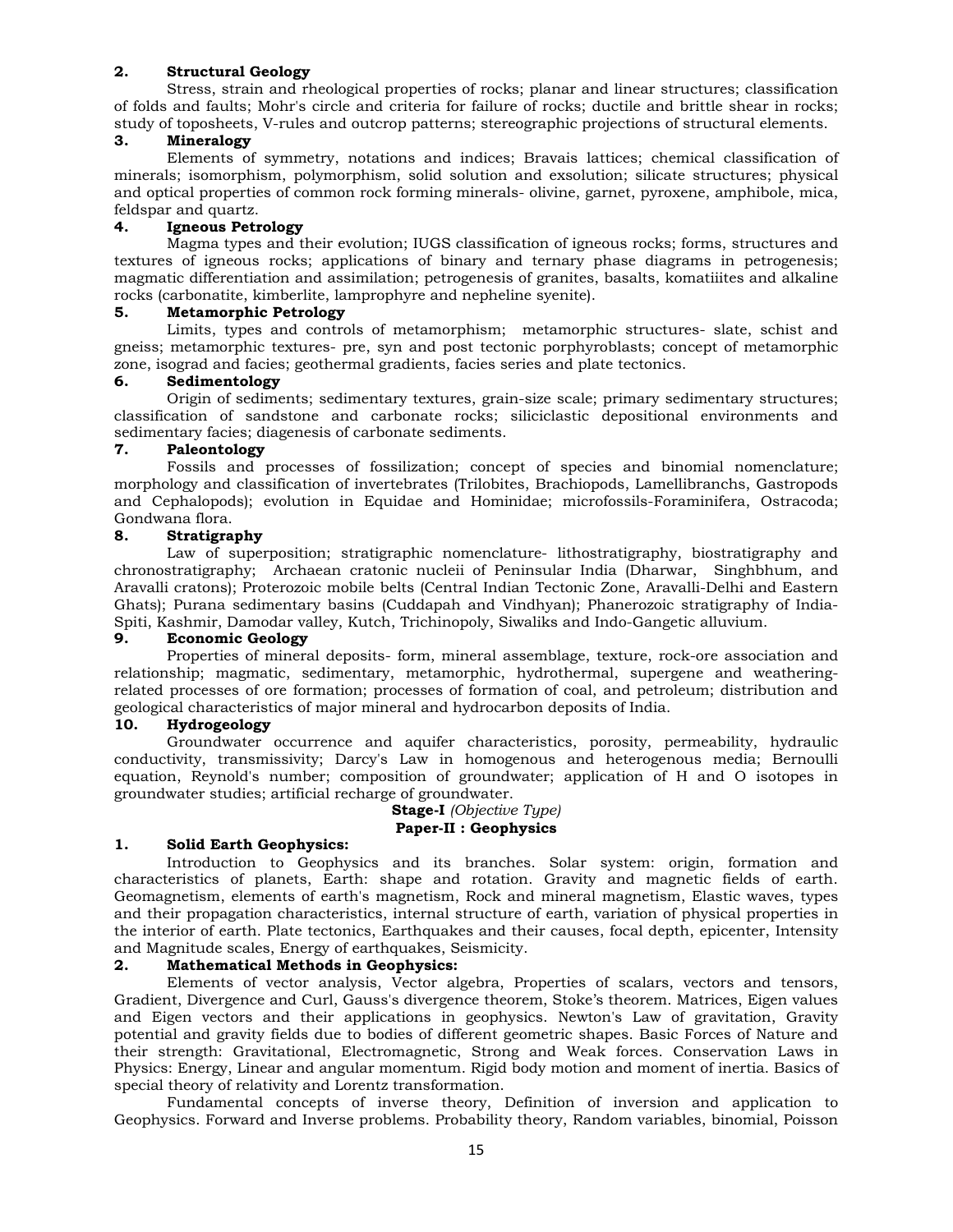# **2. Structural Geology**

 Stress, strain and rheological properties of rocks; planar and linear structures; classification of folds and faults; Mohr's circle and criteria for failure of rocks; ductile and brittle shear in rocks; study of toposheets, V-rules and outcrop patterns; stereographic projections of structural elements.

# **3. Mineralogy**

 Elements of symmetry, notations and indices; Bravais lattices; chemical classification of minerals; isomorphism, polymorphism, solid solution and exsolution; silicate structures; physical and optical properties of common rock forming minerals- olivine, garnet, pyroxene, amphibole, mica, feldspar and quartz.

# **4. Igneous Petrology**

 Magma types and their evolution; IUGS classification of igneous rocks; forms, structures and textures of igneous rocks; applications of binary and ternary phase diagrams in petrogenesis; magmatic differentiation and assimilation; petrogenesis of granites, basalts, komatiiites and alkaline rocks (carbonatite, kimberlite, lamprophyre and nepheline syenite).

# **5. Metamorphic Petrology**

 Limits, types and controls of metamorphism; metamorphic structures- slate, schist and gneiss; metamorphic textures- pre, syn and post tectonic porphyroblasts; concept of metamorphic zone, isograd and facies; geothermal gradients, facies series and plate tectonics.

# **6. Sedimentology**

 Origin of sediments; sedimentary textures, grain-size scale; primary sedimentary structures; classification of sandstone and carbonate rocks; siliciclastic depositional environments and sedimentary facies; diagenesis of carbonate sediments.

# **7. Paleontology**

 Fossils and processes of fossilization; concept of species and binomial nomenclature; morphology and classification of invertebrates (Trilobites, Brachiopods, Lamellibranchs, Gastropods and Cephalopods); evolution in Equidae and Hominidae; microfossils-Foraminifera, Ostracoda; Gondwana flora.

# **8. Stratigraphy**

 Law of superposition; stratigraphic nomenclature- lithostratigraphy, biostratigraphy and chronostratigraphy; Archaean cratonic nucleii of Peninsular India (Dharwar, Singhbhum, and Aravalli cratons); Proterozoic mobile belts (Central Indian Tectonic Zone, Aravalli-Delhi and Eastern Ghats); Purana sedimentary basins (Cuddapah and Vindhyan); Phanerozoic stratigraphy of India-Spiti, Kashmir, Damodar valley, Kutch, Trichinopoly, Siwaliks and Indo-Gangetic alluvium.

# **9. Economic Geology**

 Properties of mineral deposits- form, mineral assemblage, texture, rock-ore association and relationship; magmatic, sedimentary, metamorphic, hydrothermal, supergene and weatheringrelated processes of ore formation; processes of formation of coal, and petroleum; distribution and geological characteristics of major mineral and hydrocarbon deposits of India.

# **10. Hydrogeology**

 Groundwater occurrence and aquifer characteristics, porosity, permeability, hydraulic conductivity, transmissivity; Darcy's Law in homogenous and heterogenous media; Bernoulli equation, Reynold's number; composition of groundwater; application of H and O isotopes in groundwater studies; artificial recharge of groundwater.

#### **Stage-I** *(Objective Type)* **Paper-II : Geophysics**

# **1. Solid Earth Geophysics:**

 Introduction to Geophysics and its branches. Solar system: origin, formation and characteristics of planets, Earth: shape and rotation. Gravity and magnetic fields of earth. Geomagnetism, elements of earth's magnetism, Rock and mineral magnetism, Elastic waves, types and their propagation characteristics, internal structure of earth, variation of physical properties in the interior of earth. Plate tectonics, Earthquakes and their causes, focal depth, epicenter, Intensity and Magnitude scales, Energy of earthquakes, Seismicity.

# **2. Mathematical Methods in Geophysics:**

 Elements of vector analysis, Vector algebra, Properties of scalars, vectors and tensors, Gradient, Divergence and Curl, Gauss's divergence theorem, Stoke's theorem. Matrices, Eigen values and Eigen vectors and their applications in geophysics. Newton's Law of gravitation, Gravity potential and gravity fields due to bodies of different geometric shapes. Basic Forces of Nature and their strength: Gravitational, Electromagnetic, Strong and Weak forces. Conservation Laws in Physics: Energy, Linear and angular momentum. Rigid body motion and moment of inertia. Basics of special theory of relativity and Lorentz transformation.

 Fundamental concepts of inverse theory, Definition of inversion and application to Geophysics. Forward and Inverse problems. Probability theory, Random variables, binomial, Poisson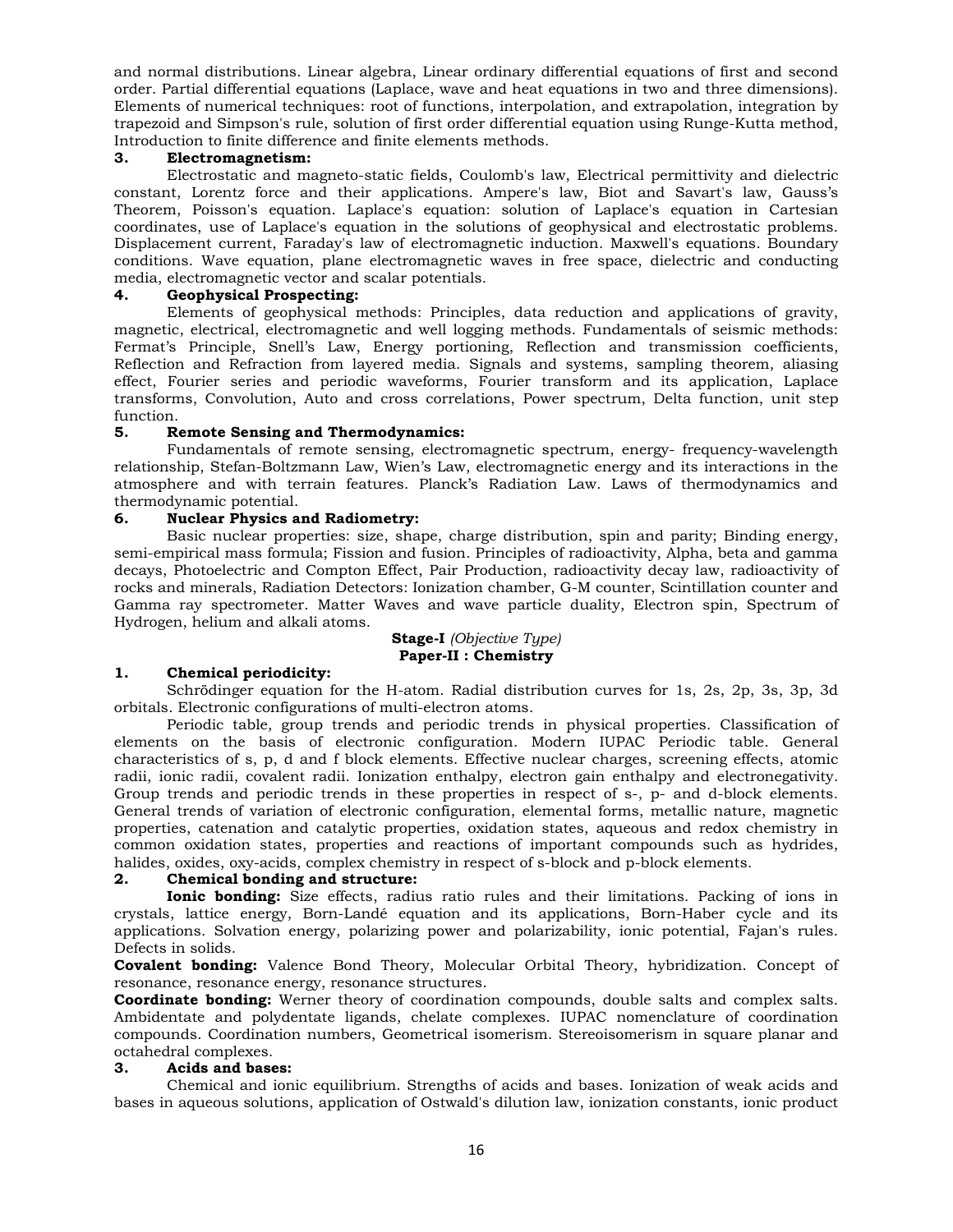and normal distributions. Linear algebra, Linear ordinary differential equations of first and second order. Partial differential equations (Laplace, wave and heat equations in two and three dimensions). Elements of numerical techniques: root of functions, interpolation, and extrapolation, integration by trapezoid and Simpson's rule, solution of first order differential equation using Runge-Kutta method, Introduction to finite difference and finite elements methods.

# **3. Electromagnetism:**

 Electrostatic and magneto-static fields, Coulomb's law, Electrical permittivity and dielectric constant, Lorentz force and their applications. Ampere's law, Biot and Savart's law, Gauss's Theorem, Poisson's equation. Laplace's equation: solution of Laplace's equation in Cartesian coordinates, use of Laplace's equation in the solutions of geophysical and electrostatic problems. Displacement current, Faraday's law of electromagnetic induction. Maxwell's equations. Boundary conditions. Wave equation, plane electromagnetic waves in free space, dielectric and conducting media, electromagnetic vector and scalar potentials.

# **4. Geophysical Prospecting:**

 Elements of geophysical methods: Principles, data reduction and applications of gravity, magnetic, electrical, electromagnetic and well logging methods. Fundamentals of seismic methods: Fermat's Principle, Snell's Law, Energy portioning, Reflection and transmission coefficients, Reflection and Refraction from layered media. Signals and systems, sampling theorem, aliasing effect, Fourier series and periodic waveforms, Fourier transform and its application, Laplace transforms, Convolution, Auto and cross correlations, Power spectrum, Delta function, unit step function.

# **5. Remote Sensing and Thermodynamics:**

 Fundamentals of remote sensing, electromagnetic spectrum, energy- frequency-wavelength relationship, Stefan-Boltzmann Law, Wien's Law, electromagnetic energy and its interactions in the atmosphere and with terrain features. Planck's Radiation Law. Laws of thermodynamics and thermodynamic potential.

# **6. Nuclear Physics and Radiometry:**

 Basic nuclear properties: size, shape, charge distribution, spin and parity; Binding energy, semi-empirical mass formula; Fission and fusion. Principles of radioactivity, Alpha, beta and gamma decays, Photoelectric and Compton Effect, Pair Production, radioactivity decay law, radioactivity of rocks and minerals, Radiation Detectors: Ionization chamber, G-M counter, Scintillation counter and Gamma ray spectrometer. Matter Waves and wave particle duality, Electron spin, Spectrum of Hydrogen, helium and alkali atoms.

# **Stage-I** *(Objective Type)* **Paper-II : Chemistry**

# **1. Chemical periodicity:**

 Schrödinger equation for the H-atom. Radial distribution curves for 1s, 2s, 2p, 3s, 3p, 3d orbitals. Electronic configurations of multi-electron atoms.

 Periodic table, group trends and periodic trends in physical properties. Classification of elements on the basis of electronic configuration. Modern IUPAC Periodic table. General characteristics of s, p, d and f block elements. Effective nuclear charges, screening effects, atomic radii, ionic radii, covalent radii. Ionization enthalpy, electron gain enthalpy and electronegativity. Group trends and periodic trends in these properties in respect of s-, p- and d-block elements. General trends of variation of electronic configuration, elemental forms, metallic nature, magnetic properties, catenation and catalytic properties, oxidation states, aqueous and redox chemistry in common oxidation states, properties and reactions of important compounds such as hydrides, halides, oxides, oxy-acids, complex chemistry in respect of s-block and p-block elements.

# **2. Chemical bonding and structure:**

 **Ionic bonding:** Size effects, radius ratio rules and their limitations. Packing of ions in crystals, lattice energy, Born-Landé equation and its applications, Born-Haber cycle and its applications. Solvation energy, polarizing power and polarizability, ionic potential, Fajan's rules. Defects in solids.

**Covalent bonding:** Valence Bond Theory, Molecular Orbital Theory, hybridization. Concept of resonance, resonance energy, resonance structures.

**Coordinate bonding:** Werner theory of coordination compounds, double salts and complex salts. Ambidentate and polydentate ligands, chelate complexes. IUPAC nomenclature of coordination compounds. Coordination numbers, Geometrical isomerism. Stereoisomerism in square planar and octahedral complexes.

# **3. Acids and bases:**

 Chemical and ionic equilibrium. Strengths of acids and bases. Ionization of weak acids and bases in aqueous solutions, application of Ostwald's dilution law, ionization constants, ionic product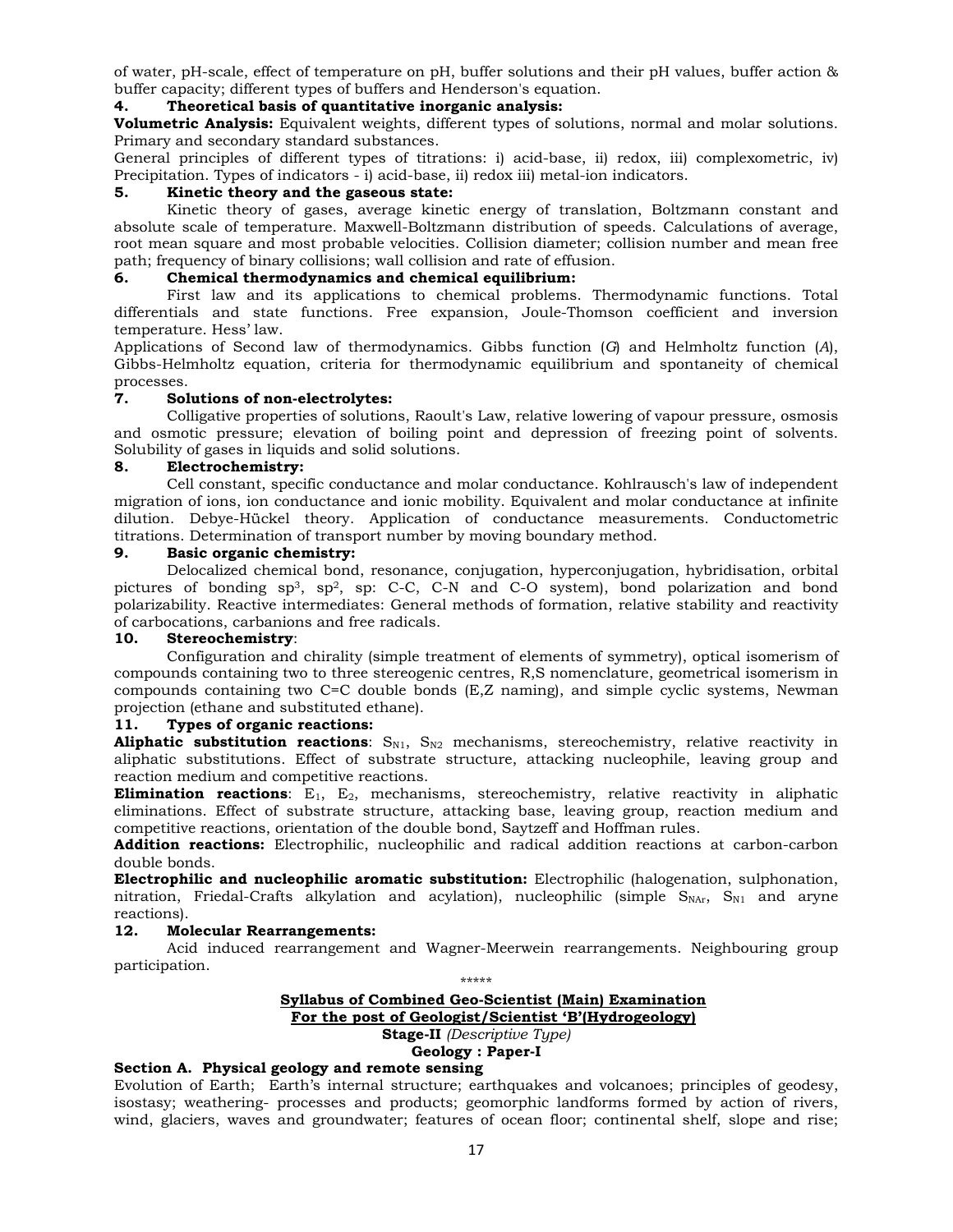of water, pH-scale, effect of temperature on pH, buffer solutions and their pH values, buffer action & buffer capacity; different types of buffers and Henderson's equation.

# **4. Theoretical basis of quantitative inorganic analysis:**

**Volumetric Analysis:** Equivalent weights, different types of solutions, normal and molar solutions. Primary and secondary standard substances.

General principles of different types of titrations: i) acid-base, ii) redox, iii) complexometric, iv) Precipitation. Types of indicators - i) acid-base, ii) redox iii) metal-ion indicators.

# **5. Kinetic theory and the gaseous state:**

 Kinetic theory of gases, average kinetic energy of translation, Boltzmann constant and absolute scale of temperature. Maxwell-Boltzmann distribution of speeds. Calculations of average, root mean square and most probable velocities. Collision diameter; collision number and mean free path; frequency of binary collisions; wall collision and rate of effusion.

# **6. Chemical thermodynamics and chemical equilibrium:**

 First law and its applications to chemical problems. Thermodynamic functions. Total differentials and state functions. Free expansion, Joule-Thomson coefficient and inversion temperature. Hess' law.

Applications of Second law of thermodynamics. Gibbs function (*G*) and Helmholtz function (*A*), Gibbs-Helmholtz equation, criteria for thermodynamic equilibrium and spontaneity of chemical processes.

# **7. Solutions of non-electrolytes:**

 Colligative properties of solutions, Raoult's Law, relative lowering of vapour pressure, osmosis and osmotic pressure; elevation of boiling point and depression of freezing point of solvents. Solubility of gases in liquids and solid solutions.

# **8. Electrochemistry:**

 Cell constant, specific conductance and molar conductance. Kohlrausch's law of independent migration of ions, ion conductance and ionic mobility. Equivalent and molar conductance at infinite dilution. Debye-Hückel theory. Application of conductance measurements. Conductometric titrations. Determination of transport number by moving boundary method.

# **9. Basic organic chemistry:**

 Delocalized chemical bond, resonance, conjugation, hyperconjugation, hybridisation, orbital pictures of bonding sp3, sp2, sp: C-C, C-N and C-O system), bond polarization and bond polarizability. Reactive intermediates: General methods of formation, relative stability and reactivity of carbocations, carbanions and free radicals.

# **10. Stereochemistry**:

 Configuration and chirality (simple treatment of elements of symmetry), optical isomerism of compounds containing two to three stereogenic centres, R,S nomenclature, geometrical isomerism in compounds containing two C=C double bonds (E,Z naming), and simple cyclic systems, Newman projection (ethane and substituted ethane).

# **11. Types of organic reactions:**

**Aliphatic substitution reactions**: S<sub>N1</sub>, S<sub>N2</sub> mechanisms, stereochemistry, relative reactivity in aliphatic substitutions. Effect of substrate structure, attacking nucleophile, leaving group and reaction medium and competitive reactions.

**Elimination reactions**: E<sub>1</sub>, E<sub>2</sub>, mechanisms, stereochemistry, relative reactivity in aliphatic eliminations. Effect of substrate structure, attacking base, leaving group, reaction medium and competitive reactions, orientation of the double bond, Saytzeff and Hoffman rules.

**Addition reactions:** Electrophilic, nucleophilic and radical addition reactions at carbon-carbon double bonds.

**Electrophilic and nucleophilic aromatic substitution:** Electrophilic (halogenation, sulphonation, nitration, Friedal-Crafts alkylation and acylation), nucleophilic (simple  $S_{NAT}$ ,  $S_{N1}$  and aryne reactions).

# **12. Molecular Rearrangements:**

 Acid induced rearrangement and Wagner-Meerwein rearrangements. Neighbouring group participation.

\*\*\*\*\*

# **Syllabus of Combined Geo-Scientist (Main) Examination For the post of Geologist/Scientist 'B'(Hydrogeology) Stage-II** *(Descriptive Type)*

# **Geology : Paper-I**

# **Section A. Physical geology and remote sensing**

Evolution of Earth; Earth's internal structure; earthquakes and volcanoes; principles of geodesy, isostasy; weathering- processes and products; geomorphic landforms formed by action of rivers, wind, glaciers, waves and groundwater; features of ocean floor; continental shelf, slope and rise;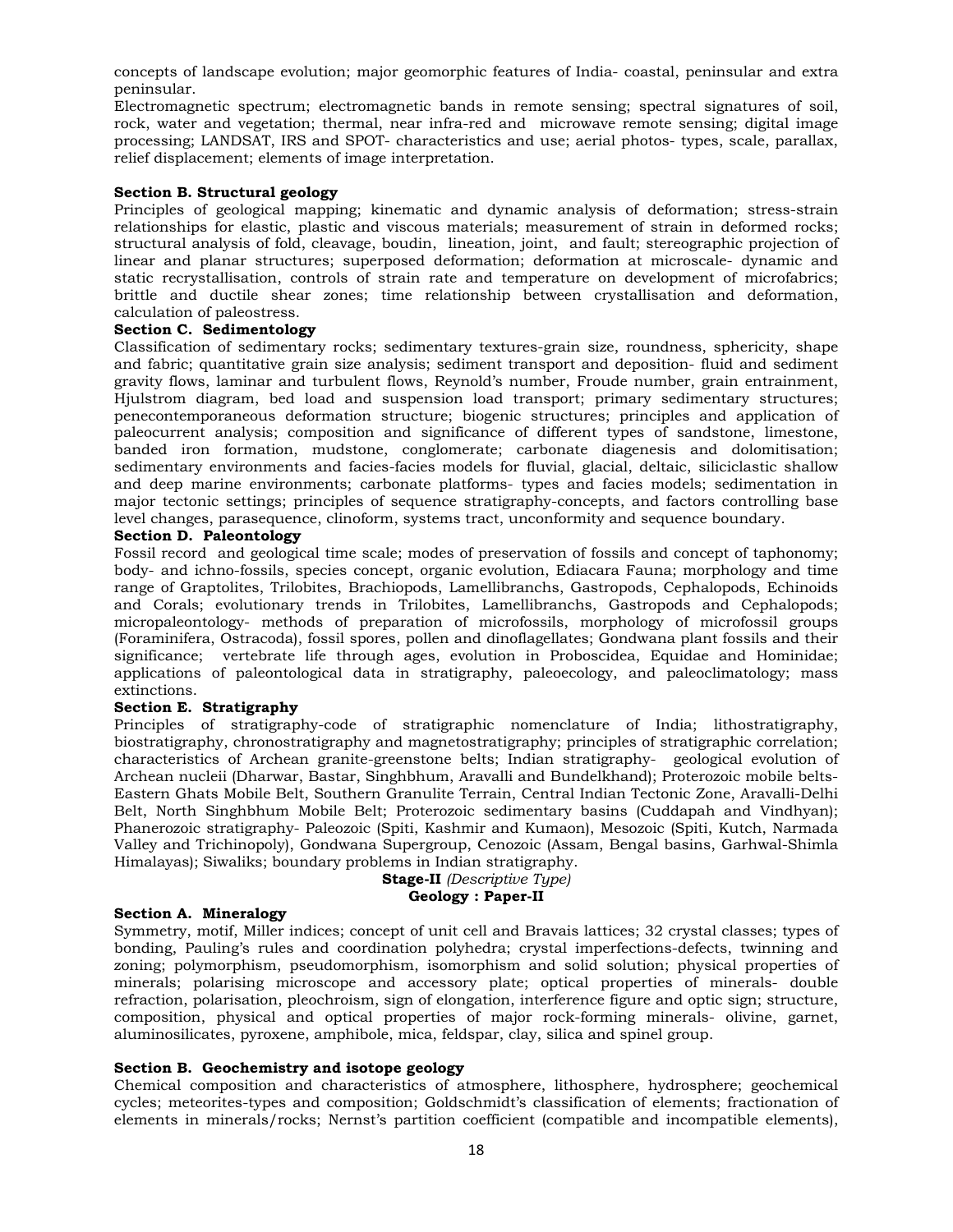concepts of landscape evolution; major geomorphic features of India- coastal, peninsular and extra peninsular.

Electromagnetic spectrum; electromagnetic bands in remote sensing; spectral signatures of soil, rock, water and vegetation; thermal, near infra-red and microwave remote sensing; digital image processing; LANDSAT, IRS and SPOT- characteristics and use; aerial photos- types, scale, parallax, relief displacement; elements of image interpretation.

# **Section B. Structural geology**

Principles of geological mapping; kinematic and dynamic analysis of deformation; stress-strain relationships for elastic, plastic and viscous materials; measurement of strain in deformed rocks; structural analysis of fold, cleavage, boudin, lineation, joint, and fault; stereographic projection of linear and planar structures; superposed deformation; deformation at microscale- dynamic and static recrystallisation, controls of strain rate and temperature on development of microfabrics; brittle and ductile shear zones; time relationship between crystallisation and deformation, calculation of paleostress.

# **Section C. Sedimentology**

Classification of sedimentary rocks; sedimentary textures-grain size, roundness, sphericity, shape and fabric; quantitative grain size analysis; sediment transport and deposition- fluid and sediment gravity flows, laminar and turbulent flows, Reynold's number, Froude number, grain entrainment, Hjulstrom diagram, bed load and suspension load transport; primary sedimentary structures; penecontemporaneous deformation structure; biogenic structures; principles and application of paleocurrent analysis; composition and significance of different types of sandstone, limestone, banded iron formation, mudstone, conglomerate; carbonate diagenesis and dolomitisation; sedimentary environments and facies-facies models for fluvial, glacial, deltaic, siliciclastic shallow and deep marine environments; carbonate platforms- types and facies models; sedimentation in major tectonic settings; principles of sequence stratigraphy-concepts, and factors controlling base level changes, parasequence, clinoform, systems tract, unconformity and sequence boundary.

# **Section D. Paleontology**

Fossil record and geological time scale; modes of preservation of fossils and concept of taphonomy; body- and ichno-fossils, species concept, organic evolution, Ediacara Fauna; morphology and time range of Graptolites, Trilobites, Brachiopods, Lamellibranchs, Gastropods, Cephalopods, Echinoids and Corals; evolutionary trends in Trilobites, Lamellibranchs, Gastropods and Cephalopods; micropaleontology- methods of preparation of microfossils, morphology of microfossil groups (Foraminifera, Ostracoda), fossil spores, pollen and dinoflagellates; Gondwana plant fossils and their significance; vertebrate life through ages, evolution in Proboscidea, Equidae and Hominidae; applications of paleontological data in stratigraphy, paleoecology, and paleoclimatology; mass extinctions.

# **Section E. Stratigraphy**

Principles of stratigraphy-code of stratigraphic nomenclature of India; lithostratigraphy, biostratigraphy, chronostratigraphy and magnetostratigraphy; principles of stratigraphic correlation; characteristics of Archean granite-greenstone belts; Indian stratigraphy- geological evolution of Archean nucleii (Dharwar, Bastar, Singhbhum, Aravalli and Bundelkhand); Proterozoic mobile belts-Eastern Ghats Mobile Belt, Southern Granulite Terrain, Central Indian Tectonic Zone, Aravalli-Delhi Belt, North Singhbhum Mobile Belt; Proterozoic sedimentary basins (Cuddapah and Vindhyan); Phanerozoic stratigraphy- Paleozoic (Spiti, Kashmir and Kumaon), Mesozoic (Spiti, Kutch, Narmada Valley and Trichinopoly), Gondwana Supergroup, Cenozoic (Assam, Bengal basins, Garhwal-Shimla Himalayas); Siwaliks; boundary problems in Indian stratigraphy.

# **Stage-II** *(Descriptive Type)* **Geology : Paper-II**

# **Section A. Mineralogy**

Symmetry, motif, Miller indices; concept of unit cell and Bravais lattices; 32 crystal classes; types of bonding, Pauling's rules and coordination polyhedra; crystal imperfections-defects, twinning and zoning; polymorphism, pseudomorphism, isomorphism and solid solution; physical properties of minerals; polarising microscope and accessory plate; optical properties of minerals- double refraction, polarisation, pleochroism, sign of elongation, interference figure and optic sign; structure, composition, physical and optical properties of major rock-forming minerals- olivine, garnet, aluminosilicates, pyroxene, amphibole, mica, feldspar, clay, silica and spinel group.

# **Section B. Geochemistry and isotope geology**

Chemical composition and characteristics of atmosphere, lithosphere, hydrosphere; geochemical cycles; meteorites-types and composition; Goldschmidt's classification of elements; fractionation of elements in minerals/rocks; Nernst's partition coefficient (compatible and incompatible elements),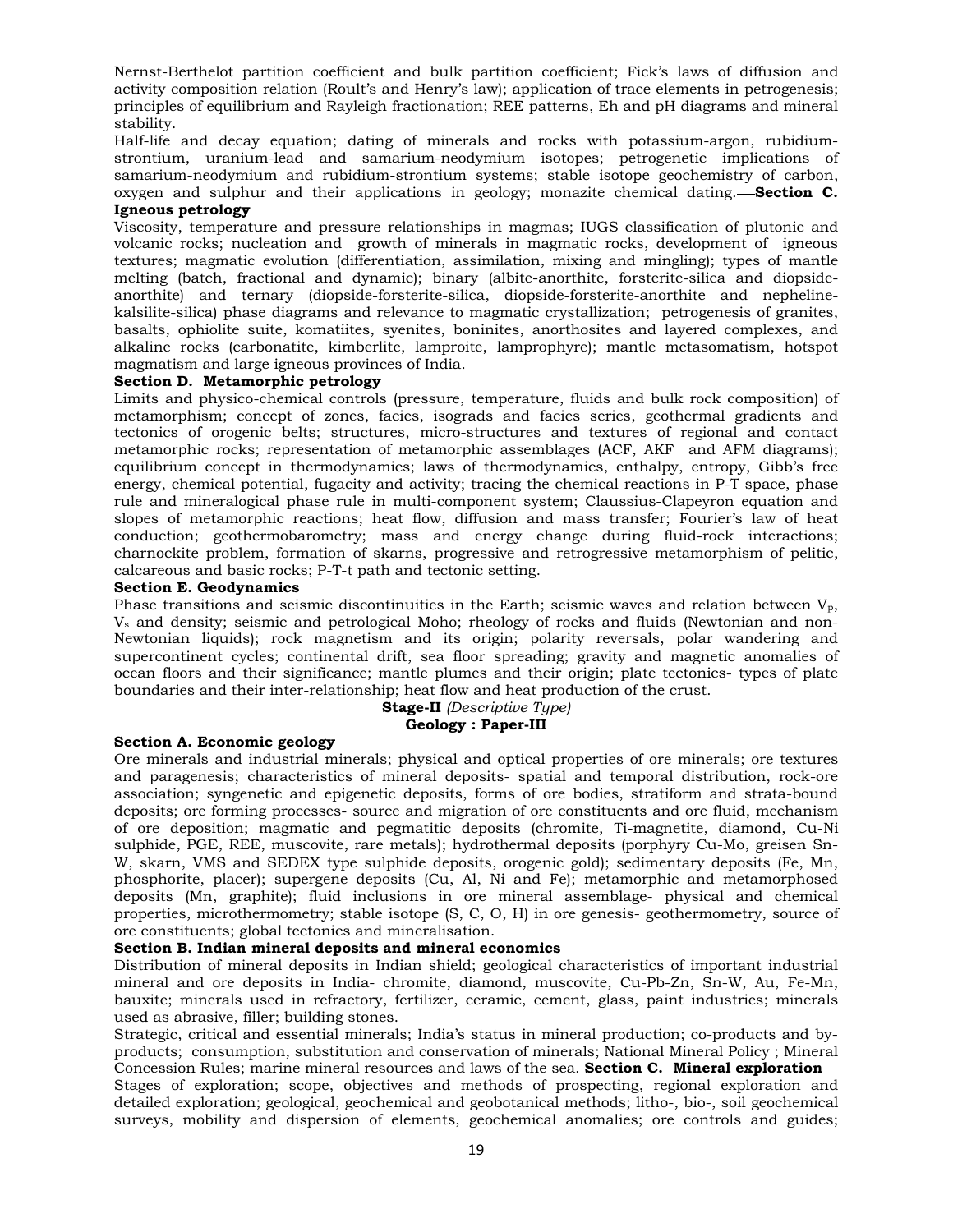Nernst-Berthelot partition coefficient and bulk partition coefficient; Fick's laws of diffusion and activity composition relation (Roult's and Henry's law); application of trace elements in petrogenesis; principles of equilibrium and Rayleigh fractionation; REE patterns, Eh and pH diagrams and mineral stability.

Half-life and decay equation; dating of minerals and rocks with potassium-argon, rubidiumstrontium, uranium-lead and samarium-neodymium isotopes; petrogenetic implications of samarium-neodymium and rubidium-strontium systems; stable isotope geochemistry of carbon, oxygen and sulphur and their applications in geology; monazite chemical dating. **Section C. Igneous petrology** 

Viscosity, temperature and pressure relationships in magmas; IUGS classification of plutonic and volcanic rocks; nucleation and growth of minerals in magmatic rocks, development of igneous textures; magmatic evolution (differentiation, assimilation, mixing and mingling); types of mantle melting (batch, fractional and dynamic); binary (albite-anorthite, forsterite-silica and diopsideanorthite) and ternary (diopside-forsterite-silica, diopside-forsterite-anorthite and nephelinekalsilite-silica) phase diagrams and relevance to magmatic crystallization; petrogenesis of granites, basalts, ophiolite suite, komatiites, syenites, boninites, anorthosites and layered complexes, and alkaline rocks (carbonatite, kimberlite, lamproite, lamprophyre); mantle metasomatism, hotspot magmatism and large igneous provinces of India.

# **Section D. Metamorphic petrology**

Limits and physico-chemical controls (pressure, temperature, fluids and bulk rock composition) of metamorphism; concept of zones, facies, isograds and facies series, geothermal gradients and tectonics of orogenic belts; structures, micro-structures and textures of regional and contact metamorphic rocks; representation of metamorphic assemblages (ACF, AKF and AFM diagrams); equilibrium concept in thermodynamics; laws of thermodynamics, enthalpy, entropy, Gibb's free energy, chemical potential, fugacity and activity; tracing the chemical reactions in P-T space, phase rule and mineralogical phase rule in multi-component system; Claussius-Clapeyron equation and slopes of metamorphic reactions; heat flow, diffusion and mass transfer; Fourier's law of heat conduction; geothermobarometry; mass and energy change during fluid-rock interactions; charnockite problem, formation of skarns, progressive and retrogressive metamorphism of pelitic, calcareous and basic rocks; P-T-t path and tectonic setting.

# **Section E. Geodynamics**

Phase transitions and seismic discontinuities in the Earth; seismic waves and relation between  $V_p$ , Vs and density; seismic and petrological Moho; rheology of rocks and fluids (Newtonian and non-Newtonian liquids); rock magnetism and its origin; polarity reversals, polar wandering and supercontinent cycles; continental drift, sea floor spreading; gravity and magnetic anomalies of ocean floors and their significance; mantle plumes and their origin; plate tectonics- types of plate boundaries and their inter-relationship; heat flow and heat production of the crust.

#### **Stage-II** *(Descriptive Type)* **Geology : Paper-III**

# **Section A. Economic geology**

Ore minerals and industrial minerals; physical and optical properties of ore minerals; ore textures and paragenesis; characteristics of mineral deposits- spatial and temporal distribution, rock-ore association; syngenetic and epigenetic deposits, forms of ore bodies, stratiform and strata-bound deposits; ore forming processes- source and migration of ore constituents and ore fluid, mechanism of ore deposition; magmatic and pegmatitic deposits (chromite, Ti-magnetite, diamond, Cu-Ni sulphide, PGE, REE, muscovite, rare metals); hydrothermal deposits (porphyry Cu-Mo, greisen Sn-W, skarn, VMS and SEDEX type sulphide deposits, orogenic gold); sedimentary deposits (Fe, Mn, phosphorite, placer); supergene deposits (Cu, Al, Ni and Fe); metamorphic and metamorphosed deposits (Mn, graphite); fluid inclusions in ore mineral assemblage- physical and chemical properties, microthermometry; stable isotope (S, C, O, H) in ore genesis- geothermometry, source of ore constituents; global tectonics and mineralisation.

# **Section B. Indian mineral deposits and mineral economics**

Distribution of mineral deposits in Indian shield; geological characteristics of important industrial mineral and ore deposits in India- chromite, diamond, muscovite, Cu-Pb-Zn, Sn-W, Au, Fe-Mn, bauxite; minerals used in refractory, fertilizer, ceramic, cement, glass, paint industries; minerals used as abrasive, filler; building stones.

Strategic, critical and essential minerals; India's status in mineral production; co-products and byproducts; consumption, substitution and conservation of minerals; National Mineral Policy ; Mineral Concession Rules; marine mineral resources and laws of the sea. **Section C. Mineral exploration**  Stages of exploration; scope, objectives and methods of prospecting, regional exploration and detailed exploration; geological, geochemical and geobotanical methods; litho-, bio-, soil geochemical surveys, mobility and dispersion of elements, geochemical anomalies; ore controls and guides;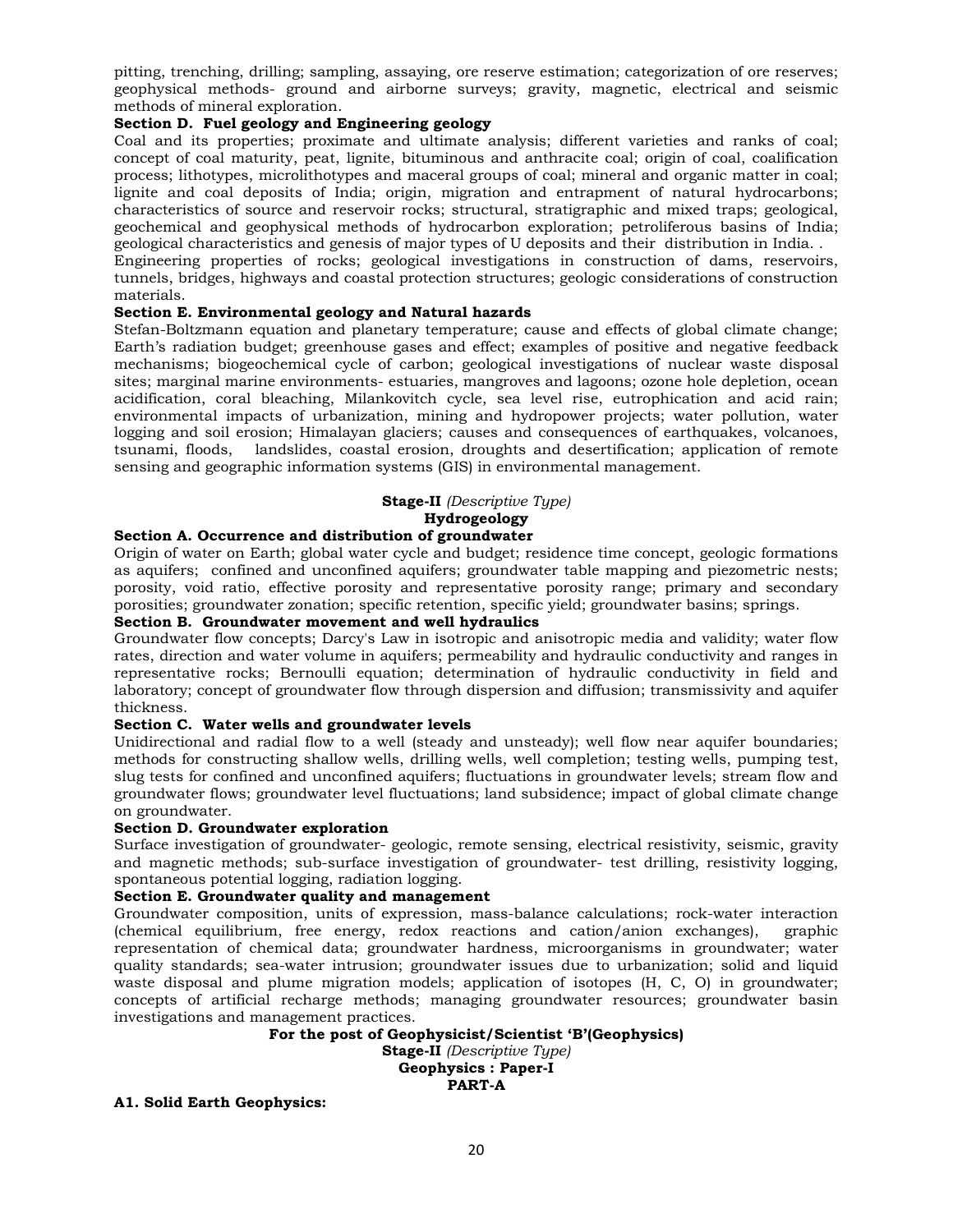pitting, trenching, drilling; sampling, assaying, ore reserve estimation; categorization of ore reserves; geophysical methods- ground and airborne surveys; gravity, magnetic, electrical and seismic methods of mineral exploration.

# **Section D. Fuel geology and Engineering geology**

Coal and its properties; proximate and ultimate analysis; different varieties and ranks of coal; concept of coal maturity, peat, lignite, bituminous and anthracite coal; origin of coal, coalification process; lithotypes, microlithotypes and maceral groups of coal; mineral and organic matter in coal; lignite and coal deposits of India; origin, migration and entrapment of natural hydrocarbons; characteristics of source and reservoir rocks; structural, stratigraphic and mixed traps; geological, geochemical and geophysical methods of hydrocarbon exploration; petroliferous basins of India; geological characteristics and genesis of major types of U deposits and their distribution in India. .

Engineering properties of rocks; geological investigations in construction of dams, reservoirs, tunnels, bridges, highways and coastal protection structures; geologic considerations of construction materials.

# **Section E. Environmental geology and Natural hazards**

Stefan-Boltzmann equation and planetary temperature; cause and effects of global climate change; Earth's radiation budget; greenhouse gases and effect; examples of positive and negative feedback mechanisms; biogeochemical cycle of carbon; geological investigations of nuclear waste disposal sites; marginal marine environments- estuaries, mangroves and lagoons; ozone hole depletion, ocean acidification, coral bleaching, Milankovitch cycle, sea level rise, eutrophication and acid rain; environmental impacts of urbanization, mining and hydropower projects; water pollution, water logging and soil erosion; Himalayan glaciers; causes and consequences of earthquakes, volcanoes, tsunami, floods, landslides, coastal erosion, droughts and desertification; application of remote sensing and geographic information systems (GIS) in environmental management.

# **Stage-II** *(Descriptive Type)* **Hydrogeology**

# **Section A. Occurrence and distribution of groundwater**

Origin of water on Earth; global water cycle and budget; residence time concept, geologic formations as aquifers; confined and unconfined aquifers; groundwater table mapping and piezometric nests; porosity, void ratio, effective porosity and representative porosity range; primary and secondary porosities; groundwater zonation; specific retention, specific yield; groundwater basins; springs.

# **Section B. Groundwater movement and well hydraulics**

Groundwater flow concepts; Darcy's Law in isotropic and anisotropic media and validity; water flow rates, direction and water volume in aquifers; permeability and hydraulic conductivity and ranges in representative rocks; Bernoulli equation; determination of hydraulic conductivity in field and laboratory; concept of groundwater flow through dispersion and diffusion; transmissivity and aquifer thickness.

# **Section C. Water wells and groundwater levels**

Unidirectional and radial flow to a well (steady and unsteady); well flow near aquifer boundaries; methods for constructing shallow wells, drilling wells, well completion; testing wells, pumping test, slug tests for confined and unconfined aquifers; fluctuations in groundwater levels; stream flow and groundwater flows; groundwater level fluctuations; land subsidence; impact of global climate change on groundwater.

# **Section D. Groundwater exploration**

Surface investigation of groundwater- geologic, remote sensing, electrical resistivity, seismic, gravity and magnetic methods; sub-surface investigation of groundwater- test drilling, resistivity logging, spontaneous potential logging, radiation logging.

# **Section E. Groundwater quality and management**

Groundwater composition, units of expression, mass-balance calculations; rock-water interaction (chemical equilibrium, free energy, redox reactions and cation/anion exchanges), graphic representation of chemical data; groundwater hardness, microorganisms in groundwater; water quality standards; sea-water intrusion; groundwater issues due to urbanization; solid and liquid waste disposal and plume migration models; application of isotopes (H, C, O) in groundwater; concepts of artificial recharge methods; managing groundwater resources; groundwater basin investigations and management practices.

**For the post of Geophysicist/Scientist 'B'(Geophysics) Stage-II** *(Descriptive Type)*

**Geophysics : Paper-I** 

**PART-A** 

# **A1. Solid Earth Geophysics:**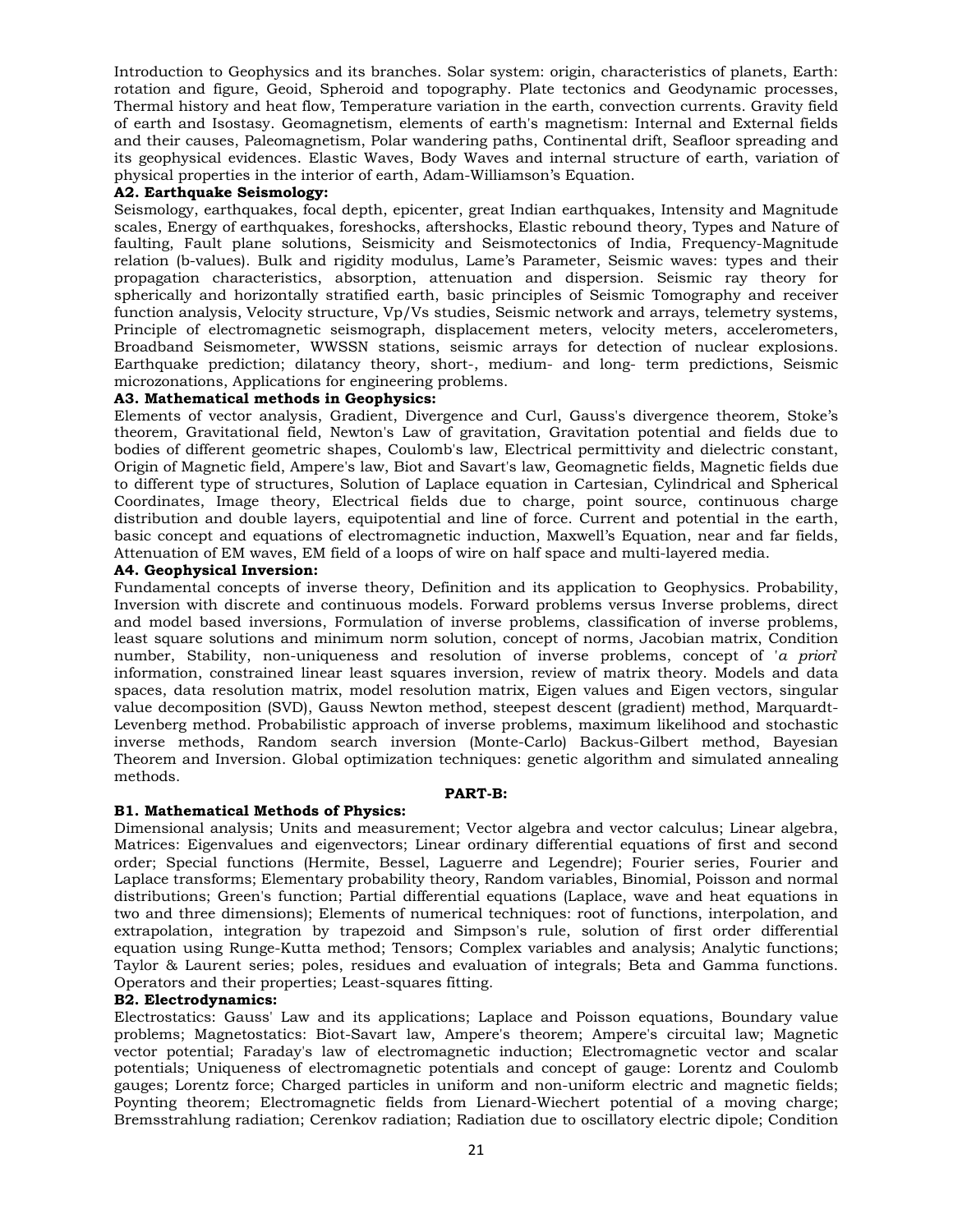Introduction to Geophysics and its branches. Solar system: origin, characteristics of planets, Earth: rotation and figure, Geoid, Spheroid and topography. Plate tectonics and Geodynamic processes, Thermal history and heat flow, Temperature variation in the earth, convection currents. Gravity field of earth and Isostasy. Geomagnetism, elements of earth's magnetism: Internal and External fields and their causes, Paleomagnetism, Polar wandering paths, Continental drift, Seafloor spreading and its geophysical evidences. Elastic Waves, Body Waves and internal structure of earth, variation of physical properties in the interior of earth, Adam-Williamson's Equation.

# **A2. Earthquake Seismology:**

Seismology, earthquakes, focal depth, epicenter, great Indian earthquakes, Intensity and Magnitude scales, Energy of earthquakes, foreshocks, aftershocks, Elastic rebound theory, Types and Nature of faulting, Fault plane solutions, Seismicity and Seismotectonics of India, Frequency-Magnitude relation (b-values). Bulk and rigidity modulus, Lame's Parameter, Seismic waves: types and their propagation characteristics, absorption, attenuation and dispersion. Seismic ray theory for spherically and horizontally stratified earth, basic principles of Seismic Tomography and receiver function analysis, Velocity structure, Vp/Vs studies, Seismic network and arrays, telemetry systems, Principle of electromagnetic seismograph, displacement meters, velocity meters, accelerometers, Broadband Seismometer, WWSSN stations, seismic arrays for detection of nuclear explosions. Earthquake prediction; dilatancy theory, short-, medium- and long- term predictions, Seismic microzonations, Applications for engineering problems.

#### **A3. Mathematical methods in Geophysics:**

Elements of vector analysis, Gradient, Divergence and Curl, Gauss's divergence theorem, Stoke's theorem, Gravitational field, Newton's Law of gravitation, Gravitation potential and fields due to bodies of different geometric shapes, Coulomb's law, Electrical permittivity and dielectric constant, Origin of Magnetic field, Ampere's law, Biot and Savart's law, Geomagnetic fields, Magnetic fields due to different type of structures, Solution of Laplace equation in Cartesian, Cylindrical and Spherical Coordinates, Image theory, Electrical fields due to charge, point source, continuous charge distribution and double layers, equipotential and line of force. Current and potential in the earth, basic concept and equations of electromagnetic induction, Maxwell's Equation, near and far fields, Attenuation of EM waves, EM field of a loops of wire on half space and multi-layered media.

#### **A4. Geophysical Inversion:**

Fundamental concepts of inverse theory, Definition and its application to Geophysics. Probability, Inversion with discrete and continuous models. Forward problems versus Inverse problems, direct and model based inversions, Formulation of inverse problems, classification of inverse problems, least square solutions and minimum norm solution, concept of norms, Jacobian matrix, Condition number, Stability, non-uniqueness and resolution of inverse problems, concept of '*a priori*' information, constrained linear least squares inversion, review of matrix theory. Models and data spaces, data resolution matrix, model resolution matrix, Eigen values and Eigen vectors, singular value decomposition (SVD), Gauss Newton method, steepest descent (gradient) method, Marquardt-Levenberg method. Probabilistic approach of inverse problems, maximum likelihood and stochastic inverse methods, Random search inversion (Monte-Carlo) Backus-Gilbert method, Bayesian Theorem and Inversion. Global optimization techniques: genetic algorithm and simulated annealing methods.

# **PART-B:**

#### **B1. Mathematical Methods of Physics:**

Dimensional analysis; Units and measurement; Vector algebra and vector calculus; Linear algebra, Matrices: Eigenvalues and eigenvectors; Linear ordinary differential equations of first and second order; Special functions (Hermite, Bessel, Laguerre and Legendre); Fourier series, Fourier and Laplace transforms; Elementary probability theory, Random variables, Binomial, Poisson and normal distributions; Green's function; Partial differential equations (Laplace, wave and heat equations in two and three dimensions); Elements of numerical techniques: root of functions, interpolation, and extrapolation, integration by trapezoid and Simpson's rule, solution of first order differential equation using Runge-Kutta method; Tensors; Complex variables and analysis; Analytic functions; Taylor & Laurent series; poles, residues and evaluation of integrals; Beta and Gamma functions. Operators and their properties; Least-squares fitting.

# **B2. Electrodynamics:**

Electrostatics: Gauss' Law and its applications; Laplace and Poisson equations, Boundary value problems; Magnetostatics: Biot-Savart law, Ampere's theorem; Ampere's circuital law; Magnetic vector potential; Faraday's law of electromagnetic induction; Electromagnetic vector and scalar potentials; Uniqueness of electromagnetic potentials and concept of gauge: Lorentz and Coulomb gauges; Lorentz force; Charged particles in uniform and non-uniform electric and magnetic fields; Poynting theorem; Electromagnetic fields from Lienard-Wiechert potential of a moving charge; Bremsstrahlung radiation; Cerenkov radiation; Radiation due to oscillatory electric dipole; Condition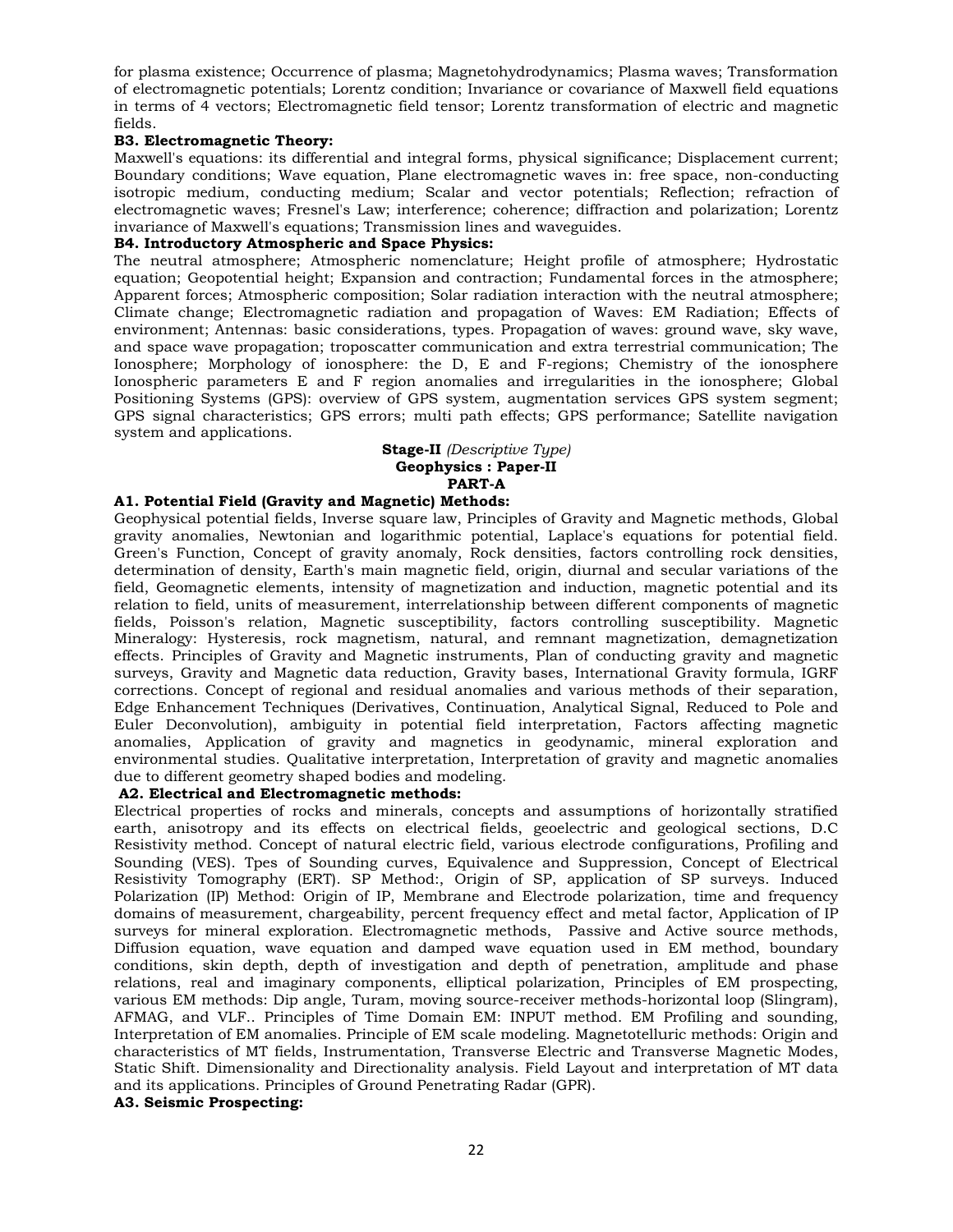for plasma existence; Occurrence of plasma; Magnetohydrodynamics; Plasma waves; Transformation of electromagnetic potentials; Lorentz condition; Invariance or covariance of Maxwell field equations in terms of 4 vectors; Electromagnetic field tensor; Lorentz transformation of electric and magnetic fields.

# **B3. Electromagnetic Theory:**

Maxwell's equations: its differential and integral forms, physical significance; Displacement current; Boundary conditions; Wave equation, Plane electromagnetic waves in: free space, non-conducting isotropic medium, conducting medium; Scalar and vector potentials; Reflection; refraction of electromagnetic waves; Fresnel's Law; interference; coherence; diffraction and polarization; Lorentz invariance of Maxwell's equations; Transmission lines and waveguides.

# **B4. Introductory Atmospheric and Space Physics:**

The neutral atmosphere; Atmospheric nomenclature; Height profile of atmosphere; Hydrostatic equation; Geopotential height; Expansion and contraction; Fundamental forces in the atmosphere; Apparent forces; Atmospheric composition; Solar radiation interaction with the neutral atmosphere; Climate change; Electromagnetic radiation and propagation of Waves: EM Radiation; Effects of environment; Antennas: basic considerations, types. Propagation of waves: ground wave, sky wave, and space wave propagation; troposcatter communication and extra terrestrial communication; The Ionosphere; Morphology of ionosphere: the D, E and F-regions; Chemistry of the ionosphere Ionospheric parameters E and F region anomalies and irregularities in the ionosphere; Global Positioning Systems (GPS): overview of GPS system, augmentation services GPS system segment; GPS signal characteristics; GPS errors; multi path effects; GPS performance; Satellite navigation system and applications.

# **Stage-II** *(Descriptive Type)* **Geophysics : Paper-II PART-A**

# **A1. Potential Field (Gravity and Magnetic) Methods:**

Geophysical potential fields, Inverse square law, Principles of Gravity and Magnetic methods, Global gravity anomalies, Newtonian and logarithmic potential, Laplace's equations for potential field. Green's Function, Concept of gravity anomaly, Rock densities, factors controlling rock densities, determination of density, Earth's main magnetic field, origin, diurnal and secular variations of the field, Geomagnetic elements, intensity of magnetization and induction, magnetic potential and its relation to field, units of measurement, interrelationship between different components of magnetic fields, Poisson's relation, Magnetic susceptibility, factors controlling susceptibility. Magnetic Mineralogy: Hysteresis, rock magnetism, natural, and remnant magnetization, demagnetization effects. Principles of Gravity and Magnetic instruments, Plan of conducting gravity and magnetic surveys, Gravity and Magnetic data reduction, Gravity bases, International Gravity formula, IGRF corrections. Concept of regional and residual anomalies and various methods of their separation, Edge Enhancement Techniques (Derivatives, Continuation, Analytical Signal, Reduced to Pole and Euler Deconvolution), ambiguity in potential field interpretation, Factors affecting magnetic anomalies, Application of gravity and magnetics in geodynamic, mineral exploration and environmental studies. Qualitative interpretation, Interpretation of gravity and magnetic anomalies due to different geometry shaped bodies and modeling.

# **A2. Electrical and Electromagnetic methods:**

Electrical properties of rocks and minerals, concepts and assumptions of horizontally stratified earth, anisotropy and its effects on electrical fields, geoelectric and geological sections, D.C Resistivity method. Concept of natural electric field, various electrode configurations, Profiling and Sounding (VES). Tpes of Sounding curves, Equivalence and Suppression, Concept of Electrical Resistivity Tomography (ERT). SP Method:, Origin of SP, application of SP surveys. Induced Polarization (IP) Method: Origin of IP, Membrane and Electrode polarization, time and frequency domains of measurement, chargeability, percent frequency effect and metal factor, Application of IP surveys for mineral exploration. Electromagnetic methods, Passive and Active source methods, Diffusion equation, wave equation and damped wave equation used in EM method, boundary conditions, skin depth, depth of investigation and depth of penetration, amplitude and phase relations, real and imaginary components, elliptical polarization, Principles of EM prospecting, various EM methods: Dip angle, Turam, moving source-receiver methods-horizontal loop (Slingram), AFMAG, and VLF.. Principles of Time Domain EM: INPUT method. EM Profiling and sounding, Interpretation of EM anomalies. Principle of EM scale modeling. Magnetotelluric methods: Origin and characteristics of MT fields, Instrumentation, Transverse Electric and Transverse Magnetic Modes, Static Shift. Dimensionality and Directionality analysis. Field Layout and interpretation of MT data and its applications. Principles of Ground Penetrating Radar (GPR).

# **A3. Seismic Prospecting:**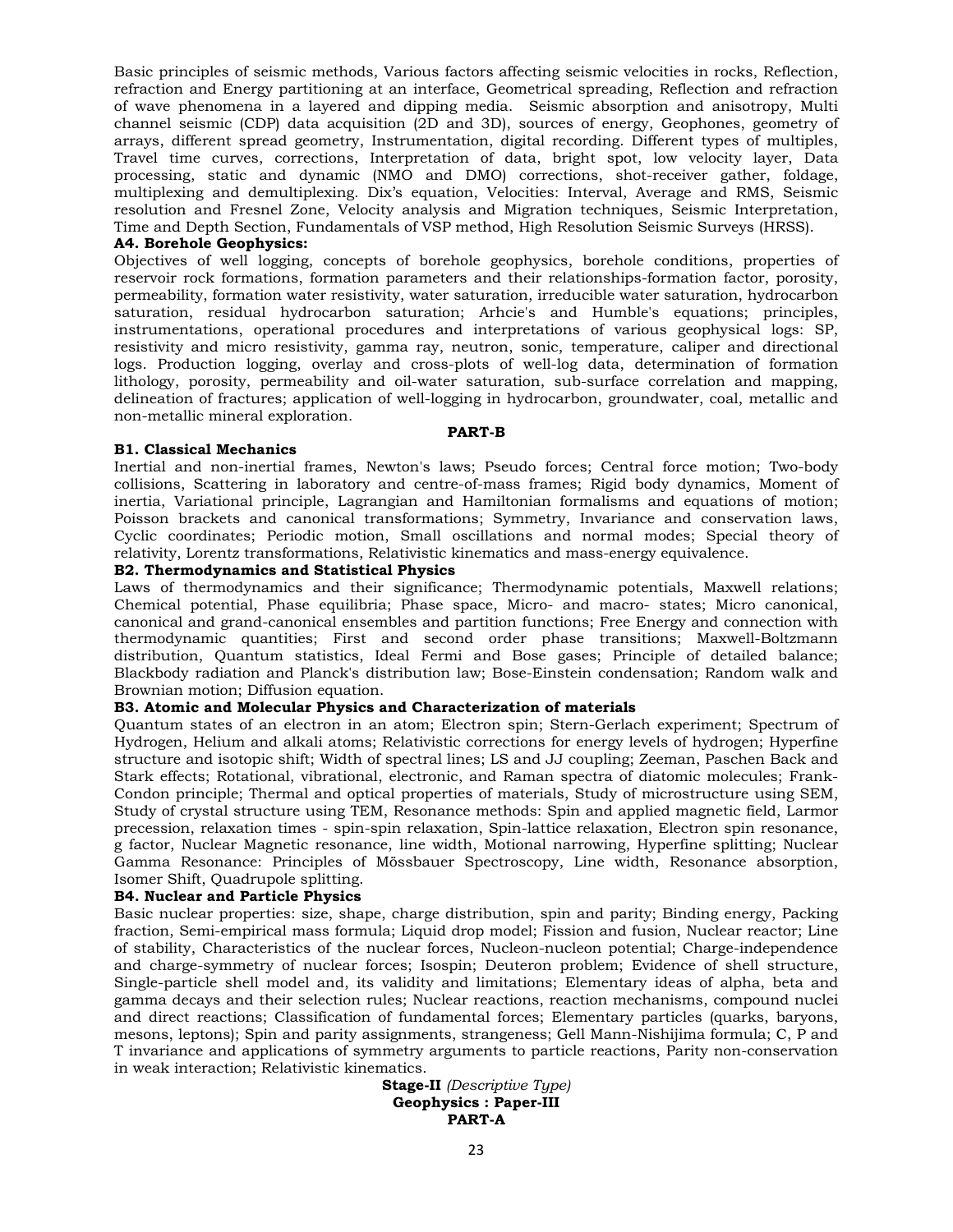Basic principles of seismic methods, Various factors affecting seismic velocities in rocks, Reflection, refraction and Energy partitioning at an interface, Geometrical spreading, Reflection and refraction of wave phenomena in a layered and dipping media. Seismic absorption and anisotropy, Multi channel seismic (CDP) data acquisition (2D and 3D), sources of energy, Geophones, geometry of arrays, different spread geometry, Instrumentation, digital recording. Different types of multiples, Travel time curves, corrections, Interpretation of data, bright spot, low velocity layer, Data processing, static and dynamic (NMO and DMO) corrections, shot-receiver gather, foldage, multiplexing and demultiplexing. Dix's equation, Velocities: Interval, Average and RMS, Seismic resolution and Fresnel Zone, Velocity analysis and Migration techniques, Seismic Interpretation, Time and Depth Section, Fundamentals of VSP method, High Resolution Seismic Surveys (HRSS).

# **A4. Borehole Geophysics:**

Objectives of well logging, concepts of borehole geophysics, borehole conditions, properties of reservoir rock formations, formation parameters and their relationships-formation factor, porosity, permeability, formation water resistivity, water saturation, irreducible water saturation, hydrocarbon saturation, residual hydrocarbon saturation; Arhcie's and Humble's equations; principles, instrumentations, operational procedures and interpretations of various geophysical logs: SP, resistivity and micro resistivity, gamma ray, neutron, sonic, temperature, caliper and directional logs. Production logging, overlay and cross-plots of well-log data, determination of formation lithology, porosity, permeability and oil-water saturation, sub-surface correlation and mapping, delineation of fractures; application of well-logging in hydrocarbon, groundwater, coal, metallic and non-metallic mineral exploration.

#### **PART-B**

#### **B1. Classical Mechanics**

Inertial and non-inertial frames, Newton's laws; Pseudo forces; Central force motion; Two-body collisions, Scattering in laboratory and centre-of-mass frames; Rigid body dynamics, Moment of inertia, Variational principle, Lagrangian and Hamiltonian formalisms and equations of motion; Poisson brackets and canonical transformations; Symmetry, Invariance and conservation laws, Cyclic coordinates; Periodic motion, Small oscillations and normal modes; Special theory of relativity, Lorentz transformations, Relativistic kinematics and mass-energy equivalence.

# **B2. Thermodynamics and Statistical Physics**

Laws of thermodynamics and their significance; Thermodynamic potentials, Maxwell relations; Chemical potential, Phase equilibria; Phase space, Micro- and macro- states; Micro canonical, canonical and grand-canonical ensembles and partition functions; Free Energy and connection with thermodynamic quantities; First and second order phase transitions; Maxwell-Boltzmann distribution, Quantum statistics, Ideal Fermi and Bose gases; Principle of detailed balance; Blackbody radiation and Planck's distribution law; Bose-Einstein condensation; Random walk and Brownian motion; Diffusion equation.

# **B3. Atomic and Molecular Physics and Characterization of materials**

Quantum states of an electron in an atom; Electron spin; Stern-Gerlach experiment; Spectrum of Hydrogen, Helium and alkali atoms; Relativistic corrections for energy levels of hydrogen; Hyperfine structure and isotopic shift; Width of spectral lines; LS and JJ coupling; Zeeman, Paschen Back and Stark effects; Rotational, vibrational, electronic, and Raman spectra of diatomic molecules; Frank-Condon principle; Thermal and optical properties of materials, Study of microstructure using SEM, Study of crystal structure using TEM, Resonance methods: Spin and applied magnetic field, Larmor precession, relaxation times - spin-spin relaxation, Spin-lattice relaxation, Electron spin resonance, g factor, Nuclear Magnetic resonance, line width, Motional narrowing, Hyperfine splitting; Nuclear Gamma Resonance: Principles of Mössbauer Spectroscopy, Line width, Resonance absorption, Isomer Shift, Quadrupole splitting.

# **B4. Nuclear and Particle Physics**

Basic nuclear properties: size, shape, charge distribution, spin and parity; Binding energy, Packing fraction, Semi-empirical mass formula; Liquid drop model; Fission and fusion, Nuclear reactor; Line of stability, Characteristics of the nuclear forces, Nucleon-nucleon potential; Charge-independence and charge-symmetry of nuclear forces; Isospin; Deuteron problem; Evidence of shell structure, Single-particle shell model and, its validity and limitations; Elementary ideas of alpha, beta and gamma decays and their selection rules; Nuclear reactions, reaction mechanisms, compound nuclei and direct reactions; Classification of fundamental forces; Elementary particles (quarks, baryons, mesons, leptons); Spin and parity assignments, strangeness; Gell Mann-Nishijima formula; C, P and T invariance and applications of symmetry arguments to particle reactions, Parity non-conservation in weak interaction; Relativistic kinematics.

> **Stage-II** *(Descriptive Type)* **Geophysics : Paper-III PART-A**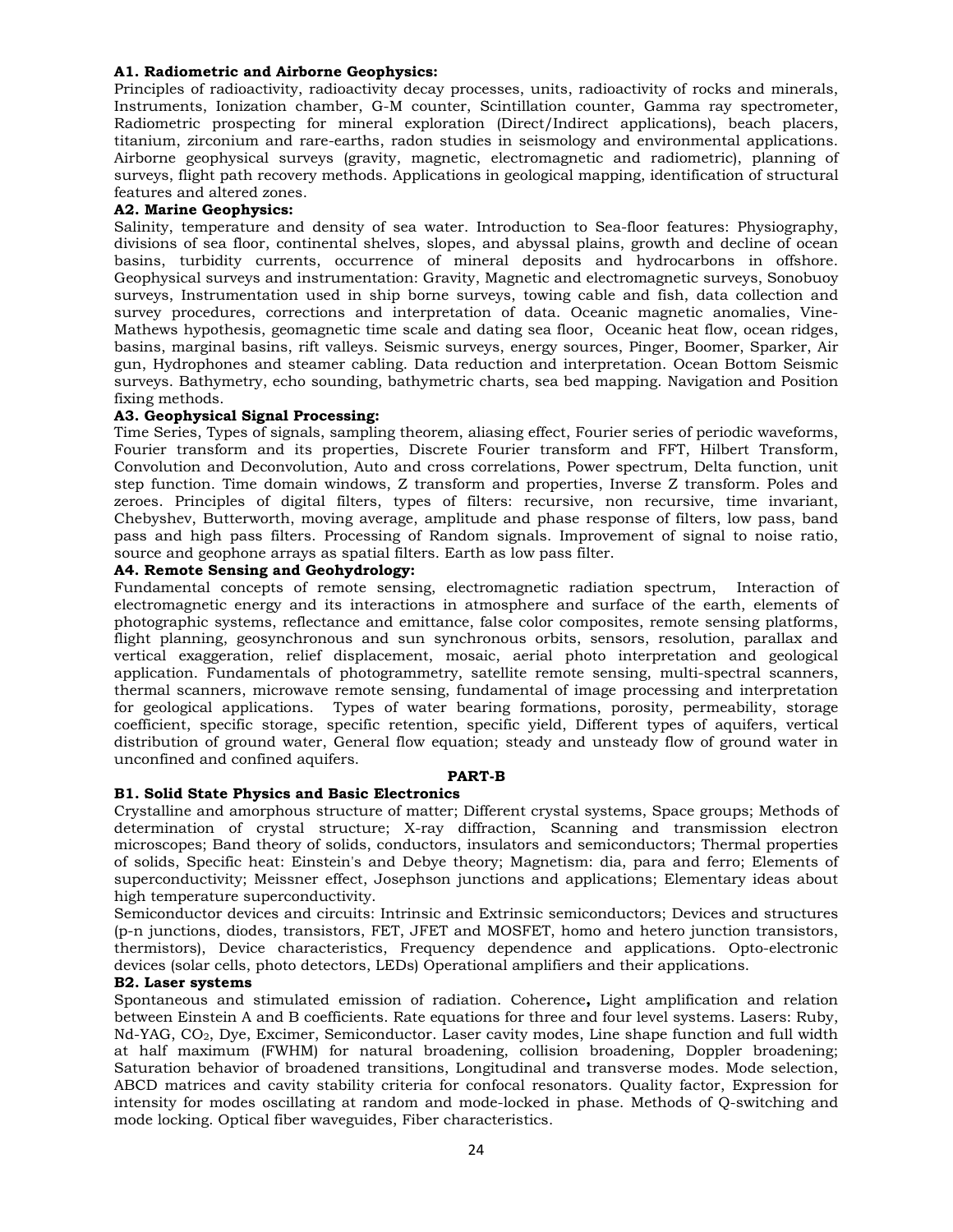# **A1. Radiometric and Airborne Geophysics:**

Principles of radioactivity, radioactivity decay processes, units, radioactivity of rocks and minerals, Instruments, Ionization chamber, G-M counter, Scintillation counter, Gamma ray spectrometer, Radiometric prospecting for mineral exploration (Direct/Indirect applications), beach placers, titanium, zirconium and rare-earths, radon studies in seismology and environmental applications. Airborne geophysical surveys (gravity, magnetic, electromagnetic and radiometric), planning of surveys, flight path recovery methods. Applications in geological mapping, identification of structural features and altered zones.

# **A2. Marine Geophysics:**

Salinity, temperature and density of sea water. Introduction to Sea-floor features: Physiography, divisions of sea floor, continental shelves, slopes, and abyssal plains, growth and decline of ocean basins, turbidity currents, occurrence of mineral deposits and hydrocarbons in offshore. Geophysical surveys and instrumentation: Gravity, Magnetic and electromagnetic surveys, Sonobuoy surveys, Instrumentation used in ship borne surveys, towing cable and fish, data collection and survey procedures, corrections and interpretation of data. Oceanic magnetic anomalies, Vine-Mathews hypothesis, geomagnetic time scale and dating sea floor, Oceanic heat flow, ocean ridges, basins, marginal basins, rift valleys. Seismic surveys, energy sources, Pinger, Boomer, Sparker, Air gun, Hydrophones and steamer cabling. Data reduction and interpretation. Ocean Bottom Seismic surveys. Bathymetry, echo sounding, bathymetric charts, sea bed mapping. Navigation and Position fixing methods.

# **A3. Geophysical Signal Processing:**

Time Series, Types of signals, sampling theorem, aliasing effect, Fourier series of periodic waveforms, Fourier transform and its properties, Discrete Fourier transform and FFT, Hilbert Transform, Convolution and Deconvolution, Auto and cross correlations, Power spectrum, Delta function, unit step function. Time domain windows, Z transform and properties, Inverse Z transform. Poles and zeroes. Principles of digital filters, types of filters: recursive, non recursive, time invariant, Chebyshev, Butterworth, moving average, amplitude and phase response of filters, low pass, band pass and high pass filters. Processing of Random signals. Improvement of signal to noise ratio, source and geophone arrays as spatial filters. Earth as low pass filter.

# **A4. Remote Sensing and Geohydrology:**

Fundamental concepts of remote sensing, electromagnetic radiation spectrum, Interaction of electromagnetic energy and its interactions in atmosphere and surface of the earth, elements of photographic systems, reflectance and emittance, false color composites, remote sensing platforms, flight planning, geosynchronous and sun synchronous orbits, sensors, resolution, parallax and vertical exaggeration, relief displacement, mosaic, aerial photo interpretation and geological application. Fundamentals of photogrammetry, satellite remote sensing, multi-spectral scanners, thermal scanners, microwave remote sensing, fundamental of image processing and interpretation for geological applications. Types of water bearing formations, porosity, permeability, storage coefficient, specific storage, specific retention, specific yield, Different types of aquifers, vertical distribution of ground water, General flow equation; steady and unsteady flow of ground water in unconfined and confined aquifers.

# **PART-B**

# **B1. Solid State Physics and Basic Electronics**

Crystalline and amorphous structure of matter; Different crystal systems, Space groups; Methods of determination of crystal structure; X-ray diffraction, Scanning and transmission electron microscopes; Band theory of solids, conductors, insulators and semiconductors; Thermal properties of solids, Specific heat: Einstein's and Debye theory; Magnetism: dia, para and ferro; Elements of superconductivity; Meissner effect, Josephson junctions and applications; Elementary ideas about high temperature superconductivity.

Semiconductor devices and circuits: Intrinsic and Extrinsic semiconductors; Devices and structures (p-n junctions, diodes, transistors, FET, JFET and MOSFET, homo and hetero junction transistors, thermistors), Device characteristics, Frequency dependence and applications. Opto-electronic devices (solar cells, photo detectors, LEDs) Operational amplifiers and their applications.

# **B2. Laser systems**

Spontaneous and stimulated emission of radiation. Coherence**,** Light amplification and relation between Einstein A and B coefficients. Rate equations for three and four level systems. Lasers: Ruby,  $Nd-YAG$ ,  $CO<sub>2</sub>$ , Dye, Excimer, Semiconductor. Laser cavity modes, Line shape function and full width at half maximum (FWHM) for natural broadening, collision broadening, Doppler broadening; Saturation behavior of broadened transitions, Longitudinal and transverse modes. Mode selection, ABCD matrices and cavity stability criteria for confocal resonators. Quality factor, Expression for intensity for modes oscillating at random and mode-locked in phase. Methods of Q-switching and mode locking. Optical fiber waveguides, Fiber characteristics.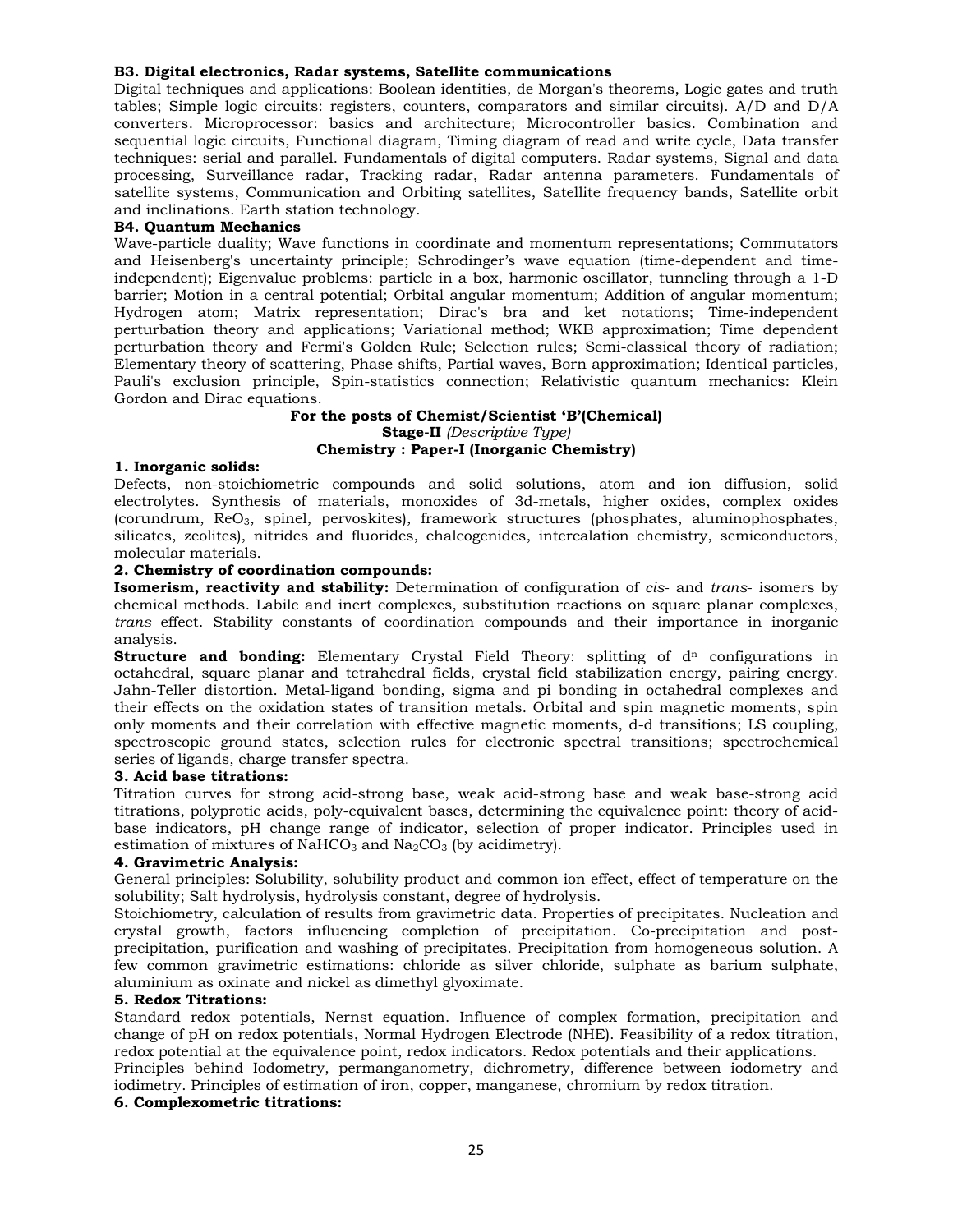# **B3. Digital electronics, Radar systems, Satellite communications**

Digital techniques and applications: Boolean identities, de Morgan's theorems, Logic gates and truth tables; Simple logic circuits: registers, counters, comparators and similar circuits). A/D and D/A converters. Microprocessor: basics and architecture; Microcontroller basics. Combination and sequential logic circuits, Functional diagram, Timing diagram of read and write cycle, Data transfer techniques: serial and parallel. Fundamentals of digital computers. Radar systems, Signal and data processing, Surveillance radar, Tracking radar, Radar antenna parameters. Fundamentals of satellite systems, Communication and Orbiting satellites, Satellite frequency bands, Satellite orbit and inclinations. Earth station technology.

# **B4. Quantum Mechanics**

Wave-particle duality; Wave functions in coordinate and momentum representations; Commutators and Heisenberg's uncertainty principle; Schrodinger's wave equation (time-dependent and timeindependent); Eigenvalue problems: particle in a box, harmonic oscillator, tunneling through a 1-D barrier; Motion in a central potential; Orbital angular momentum; Addition of angular momentum; Hydrogen atom; Matrix representation; Dirac's bra and ket notations; Time-independent perturbation theory and applications; Variational method; WKB approximation; Time dependent perturbation theory and Fermi's Golden Rule; Selection rules; Semi-classical theory of radiation; Elementary theory of scattering, Phase shifts, Partial waves, Born approximation; Identical particles, Pauli's exclusion principle, Spin-statistics connection; Relativistic quantum mechanics: Klein Gordon and Dirac equations.

# **For the posts of Chemist/Scientist 'B'(Chemical) Stage-II** *(Descriptive Type)* **Chemistry : Paper-I (Inorganic Chemistry)**

# **1. Inorganic solids:**

Defects, non-stoichiometric compounds and solid solutions, atom and ion diffusion, solid electrolytes. Synthesis of materials, monoxides of 3d-metals, higher oxides, complex oxides (corundrum, ReO3, spinel, pervoskites), framework structures (phosphates, aluminophosphates, silicates, zeolites), nitrides and fluorides, chalcogenides, intercalation chemistry, semiconductors, molecular materials.

# **2. Chemistry of coordination compounds:**

**Isomerism, reactivity and stability:** Determination of configuration of *cis*- and *trans*- isomers by chemical methods. Labile and inert complexes, substitution reactions on square planar complexes, *trans* effect. Stability constants of coordination compounds and their importance in inorganic analysis.

**Structure and bonding:** Elementary Crystal Field Theory: splitting of d<sup>n</sup> configurations in octahedral, square planar and tetrahedral fields, crystal field stabilization energy, pairing energy. Jahn-Teller distortion. Metal-ligand bonding, sigma and pi bonding in octahedral complexes and their effects on the oxidation states of transition metals. Orbital and spin magnetic moments, spin only moments and their correlation with effective magnetic moments, d-d transitions; LS coupling, spectroscopic ground states, selection rules for electronic spectral transitions; spectrochemical series of ligands, charge transfer spectra.

# **3. Acid base titrations:**

Titration curves for strong acid-strong base, weak acid-strong base and weak base-strong acid titrations, polyprotic acids, poly-equivalent bases, determining the equivalence point: theory of acidbase indicators, pH change range of indicator, selection of proper indicator. Principles used in estimation of mixtures of NaHCO<sub>3</sub> and Na<sub>2</sub>CO<sub>3</sub> (by acidimetry).

# **4. Gravimetric Analysis:**

General principles: Solubility, solubility product and common ion effect, effect of temperature on the solubility; Salt hydrolysis, hydrolysis constant, degree of hydrolysis.

Stoichiometry, calculation of results from gravimetric data. Properties of precipitates. Nucleation and crystal growth, factors influencing completion of precipitation. Co-precipitation and postprecipitation, purification and washing of precipitates. Precipitation from homogeneous solution. A few common gravimetric estimations: chloride as silver chloride, sulphate as barium sulphate, aluminium as oxinate and nickel as dimethyl glyoximate.

# **5. Redox Titrations:**

Standard redox potentials, Nernst equation. Influence of complex formation, precipitation and change of pH on redox potentials, Normal Hydrogen Electrode (NHE). Feasibility of a redox titration, redox potential at the equivalence point, redox indicators. Redox potentials and their applications. Principles behind Iodometry, permanganometry, dichrometry, difference between iodometry and

iodimetry. Principles of estimation of iron, copper, manganese, chromium by redox titration.

# **6. Complexometric titrations:**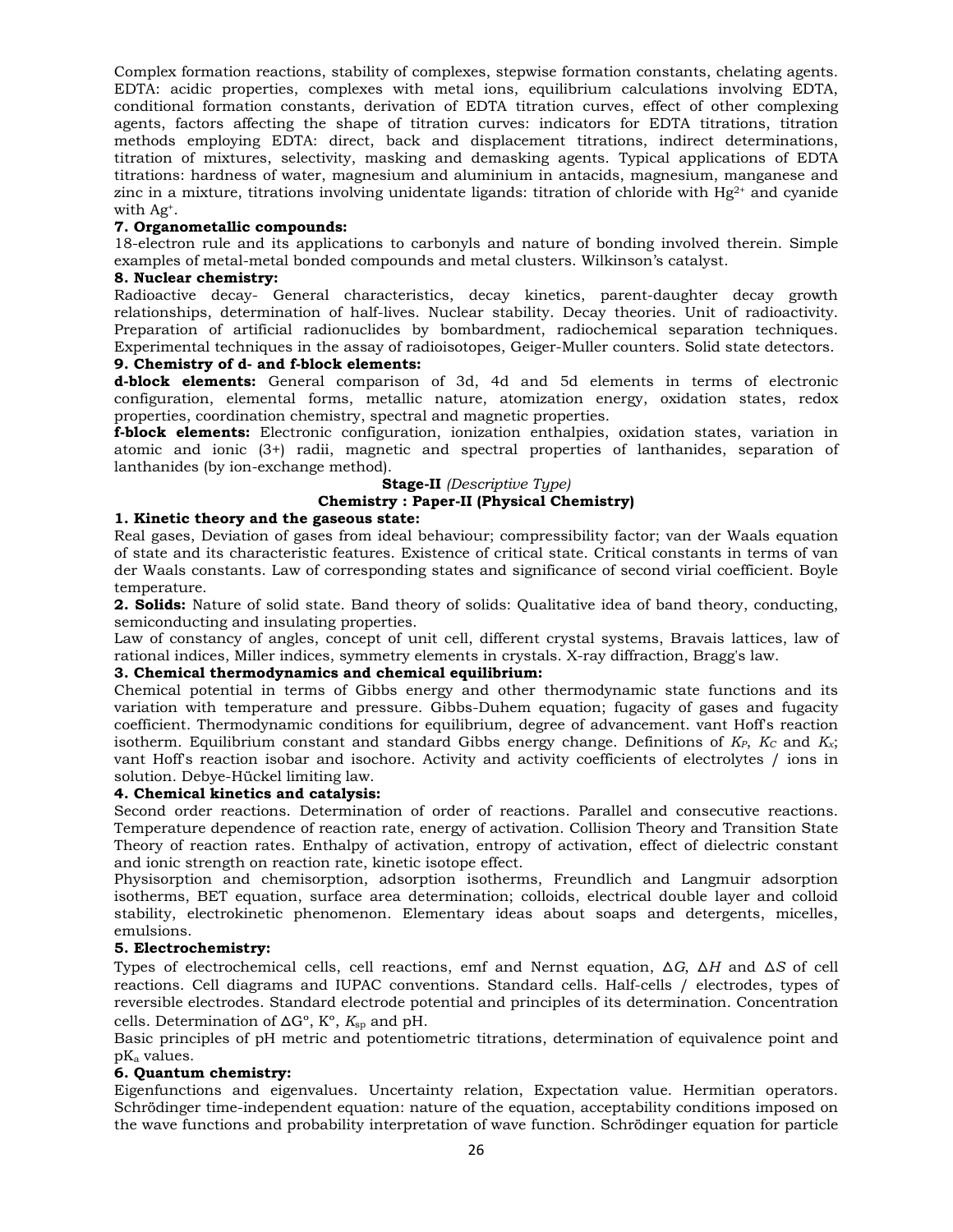Complex formation reactions, stability of complexes, stepwise formation constants, chelating agents. EDTA: acidic properties, complexes with metal ions, equilibrium calculations involving EDTA, conditional formation constants, derivation of EDTA titration curves, effect of other complexing agents, factors affecting the shape of titration curves: indicators for EDTA titrations, titration methods employing EDTA: direct, back and displacement titrations, indirect determinations, titration of mixtures, selectivity, masking and demasking agents. Typical applications of EDTA titrations: hardness of water, magnesium and aluminium in antacids, magnesium, manganese and zinc in a mixture, titrations involving unidentate ligands: titration of chloride with  $Hg^{2+}$  and cyanide with Ag+.

# **7. Organometallic compounds:**

18-electron rule and its applications to carbonyls and nature of bonding involved therein. Simple examples of metal-metal bonded compounds and metal clusters. Wilkinson's catalyst.

# **8. Nuclear chemistry:**

Radioactive decay- General characteristics, decay kinetics, parent-daughter decay growth relationships, determination of half-lives. Nuclear stability. Decay theories. Unit of radioactivity. Preparation of artificial radionuclides by bombardment, radiochemical separation techniques. Experimental techniques in the assay of radioisotopes, Geiger-Muller counters. Solid state detectors.

# **9. Chemistry of d- and f-block elements:**

**d-block elements:** General comparison of 3d, 4d and 5d elements in terms of electronic configuration, elemental forms, metallic nature, atomization energy, oxidation states, redox properties, coordination chemistry, spectral and magnetic properties.

**f-block elements:** Electronic configuration, ionization enthalpies, oxidation states, variation in atomic and ionic (3+) radii, magnetic and spectral properties of lanthanides, separation of lanthanides (by ion-exchange method).

# **Stage-II** *(Descriptive Type)*

# **Chemistry : Paper-II (Physical Chemistry)**

# **1. Kinetic theory and the gaseous state:**

Real gases, Deviation of gases from ideal behaviour; compressibility factor; van der Waals equation of state and its characteristic features. Existence of critical state. Critical constants in terms of van der Waals constants. Law of corresponding states and significance of second virial coefficient. Boyle temperature.

**2. Solids:** Nature of solid state. Band theory of solids: Qualitative idea of band theory, conducting, semiconducting and insulating properties.

Law of constancy of angles, concept of unit cell, different crystal systems, Bravais lattices, law of rational indices, Miller indices, symmetry elements in crystals. X-ray diffraction, Bragg's law.

# **3. Chemical thermodynamics and chemical equilibrium:**

Chemical potential in terms of Gibbs energy and other thermodynamic state functions and its variation with temperature and pressure. Gibbs-Duhem equation; fugacity of gases and fugacity coefficient. Thermodynamic conditions for equilibrium, degree of advancement. vant Hoff's reaction isotherm. Equilibrium constant and standard Gibbs energy change. Definitions of  $K_P$ ,  $K_C$  and  $K_x$ ; vant Hoff's reaction isobar and isochore. Activity and activity coefficients of electrolytes / ions in solution. Debye-Hückel limiting law.

# **4. Chemical kinetics and catalysis:**

Second order reactions. Determination of order of reactions. Parallel and consecutive reactions. Temperature dependence of reaction rate, energy of activation. Collision Theory and Transition State Theory of reaction rates. Enthalpy of activation, entropy of activation, effect of dielectric constant and ionic strength on reaction rate, kinetic isotope effect.

Physisorption and chemisorption, adsorption isotherms, Freundlich and Langmuir adsorption isotherms, BET equation, surface area determination; colloids, electrical double layer and colloid stability, electrokinetic phenomenon. Elementary ideas about soaps and detergents, micelles, emulsions.

# **5. Electrochemistry:**

Types of electrochemical cells, cell reactions, emf and Nernst equation, ᐃ*G*, ᐃ*H* and ᐃ*S* of cell reactions. Cell diagrams and IUPAC conventions. Standard cells. Half-cells / electrodes, types of reversible electrodes. Standard electrode potential and principles of its determination. Concentration cells. Determination of  $\Delta G^{\circ}$ ,  $K^{\circ}$ ,  $K_{\text{sp}}$  and pH.

Basic principles of pH metric and potentiometric titrations, determination of equivalence point and pKa values.

# **6. Quantum chemistry:**

Eigenfunctions and eigenvalues. Uncertainty relation, Expectation value. Hermitian operators. Schrödinger time-independent equation: nature of the equation, acceptability conditions imposed on the wave functions and probability interpretation of wave function. Schrödinger equation for particle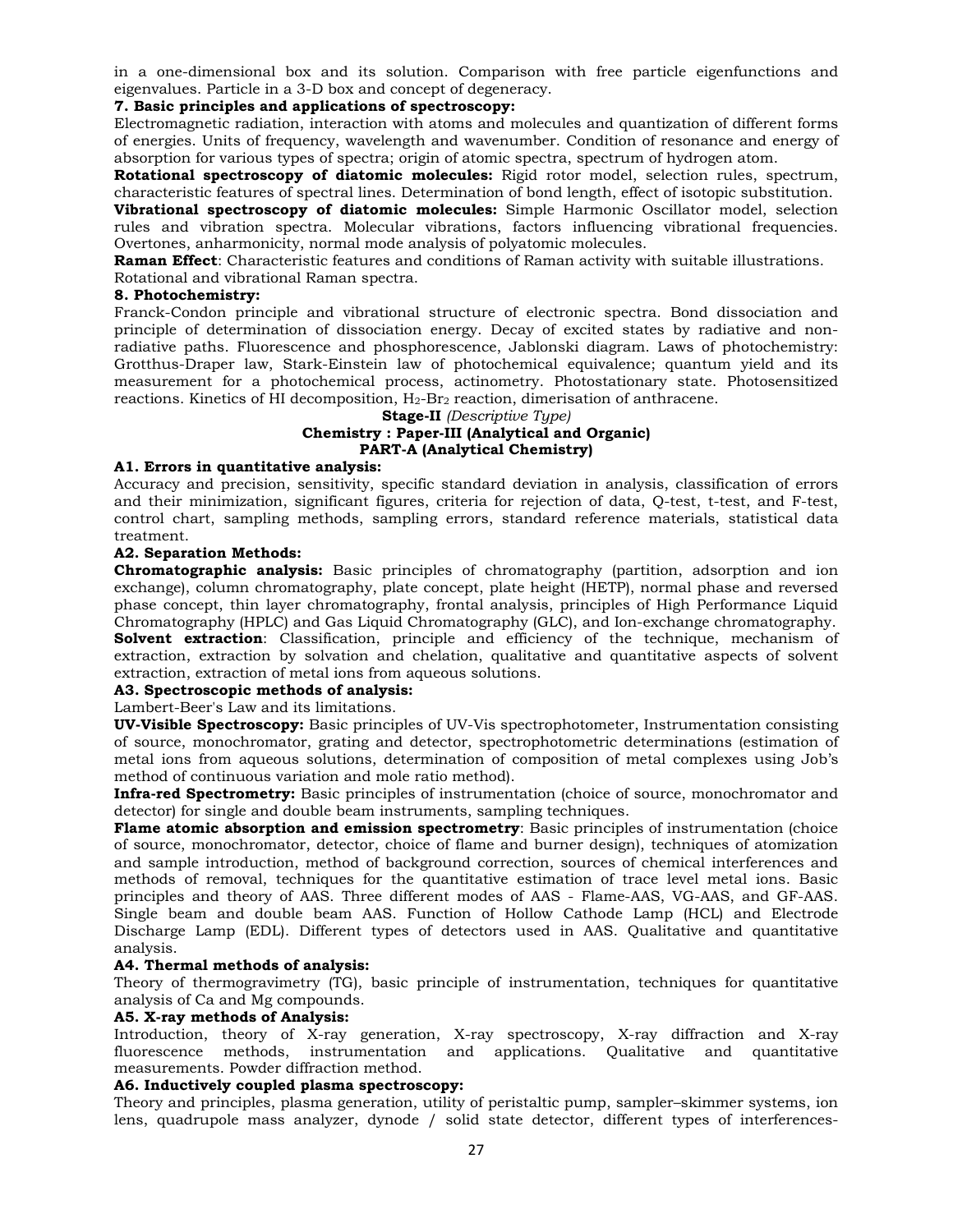in a one-dimensional box and its solution. Comparison with free particle eigenfunctions and eigenvalues. Particle in a 3-D box and concept of degeneracy.

# **7. Basic principles and applications of spectroscopy:**

Electromagnetic radiation, interaction with atoms and molecules and quantization of different forms of energies. Units of frequency, wavelength and wavenumber. Condition of resonance and energy of absorption for various types of spectra; origin of atomic spectra, spectrum of hydrogen atom.

**Rotational spectroscopy of diatomic molecules:** Rigid rotor model, selection rules, spectrum, characteristic features of spectral lines. Determination of bond length, effect of isotopic substitution.

**Vibrational spectroscopy of diatomic molecules:** Simple Harmonic Oscillator model, selection rules and vibration spectra. Molecular vibrations, factors influencing vibrational frequencies. Overtones, anharmonicity, normal mode analysis of polyatomic molecules.

**Raman Effect**: Characteristic features and conditions of Raman activity with suitable illustrations.

# Rotational and vibrational Raman spectra.

# **8. Photochemistry:**

Franck-Condon principle and vibrational structure of electronic spectra. Bond dissociation and principle of determination of dissociation energy. Decay of excited states by radiative and nonradiative paths. Fluorescence and phosphorescence, Jablonski diagram. Laws of photochemistry: Grotthus-Draper law, Stark-Einstein law of photochemical equivalence; quantum yield and its measurement for a photochemical process, actinometry. Photostationary state. Photosensitized reactions. Kinetics of HI decomposition,  $H_2-Hr_2$  reaction, dimerisation of anthracene.

**Stage-II** *(Descriptive Type)*

# **Chemistry : Paper-III (Analytical and Organic) PART-A (Analytical Chemistry)**

# **A1. Errors in quantitative analysis:**

Accuracy and precision, sensitivity, specific standard deviation in analysis, classification of errors and their minimization, significant figures, criteria for rejection of data, Q-test, t-test, and F-test, control chart, sampling methods, sampling errors, standard reference materials, statistical data treatment.

# **A2. Separation Methods:**

**Chromatographic analysis:** Basic principles of chromatography (partition, adsorption and ion exchange), column chromatography, plate concept, plate height (HETP), normal phase and reversed phase concept, thin layer chromatography, frontal analysis, principles of High Performance Liquid Chromatography (HPLC) and Gas Liquid Chromatography (GLC), and Ion-exchange chromatography. **Solvent extraction**: Classification, principle and efficiency of the technique, mechanism of extraction, extraction by solvation and chelation, qualitative and quantitative aspects of solvent extraction, extraction of metal ions from aqueous solutions.

# **A3. Spectroscopic methods of analysis:**

# Lambert-Beer's Law and its limitations.

**UV-Visible Spectroscopy:** Basic principles of UV-Vis spectrophotometer, Instrumentation consisting of source, monochromator, grating and detector, spectrophotometric determinations (estimation of metal ions from aqueous solutions, determination of composition of metal complexes using Job's method of continuous variation and mole ratio method).

**Infra-red Spectrometry:** Basic principles of instrumentation (choice of source, monochromator and detector) for single and double beam instruments, sampling techniques.

**Flame atomic absorption and emission spectrometry**: Basic principles of instrumentation (choice of source, monochromator, detector, choice of flame and burner design), techniques of atomization and sample introduction, method of background correction, sources of chemical interferences and methods of removal, techniques for the quantitative estimation of trace level metal ions. Basic principles and theory of AAS. Three different modes of AAS - Flame-AAS, VG-AAS, and GF-AAS. Single beam and double beam AAS. Function of Hollow Cathode Lamp (HCL) and Electrode Discharge Lamp (EDL). Different types of detectors used in AAS. Qualitative and quantitative analysis.

# **A4. Thermal methods of analysis:**

Theory of thermogravimetry (TG), basic principle of instrumentation, techniques for quantitative analysis of Ca and Mg compounds.

# **A5. X-ray methods of Analysis:**

Introduction, theory of X-ray generation, X-ray spectroscopy, X-ray diffraction and X-ray fluorescence methods, instrumentation and applications. Qualitative and quantitative measurements. Powder diffraction method.

# **A6. Inductively coupled plasma spectroscopy:**

Theory and principles, plasma generation, utility of peristaltic pump, sampler–skimmer systems, ion lens, quadrupole mass analyzer, dynode / solid state detector, different types of interferences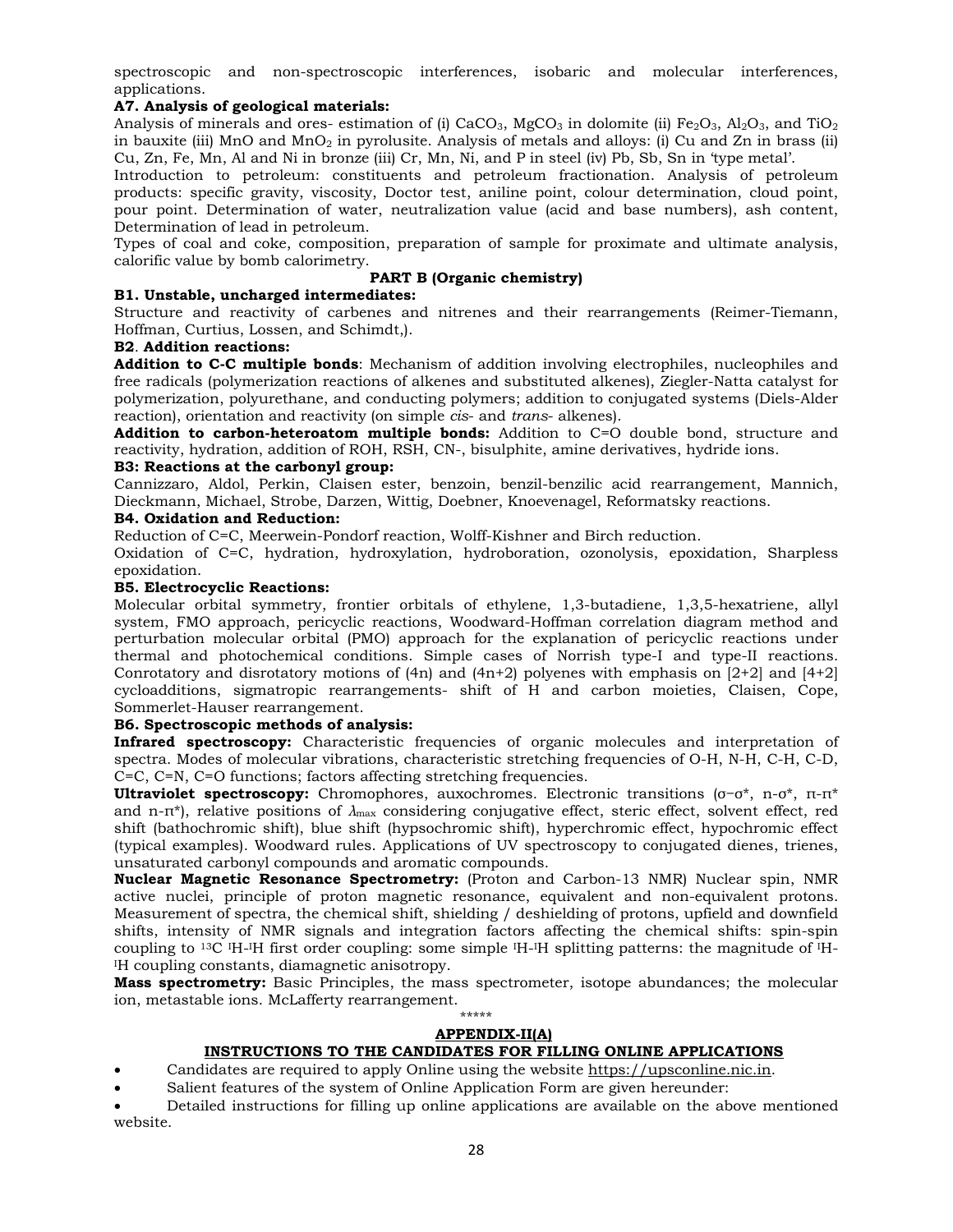spectroscopic and non-spectroscopic interferences, isobaric and molecular interferences, applications.

# **A7. Analysis of geological materials:**

Analysis of minerals and ores- estimation of (i) CaCO<sub>3</sub>, MgCO<sub>3</sub> in dolomite (ii) Fe<sub>2</sub>O<sub>3</sub>, Al<sub>2</sub>O<sub>3</sub>, and TiO<sub>2</sub> in bauxite (iii) MnO and MnO<sub>2</sub> in pyrolusite. Analysis of metals and alloys: (i) Cu and Zn in brass (ii) Cu, Zn, Fe, Mn, Al and Ni in bronze (iii) Cr, Mn, Ni, and P in steel (iv) Pb, Sb, Sn in 'type metal'.

Introduction to petroleum: constituents and petroleum fractionation. Analysis of petroleum products: specific gravity, viscosity, Doctor test, aniline point, colour determination, cloud point, pour point. Determination of water, neutralization value (acid and base numbers), ash content, Determination of lead in petroleum.

Types of coal and coke, composition, preparation of sample for proximate and ultimate analysis, calorific value by bomb calorimetry.

# **PART B (Organic chemistry)**

# **B1. Unstable, uncharged intermediates:**

Structure and reactivity of carbenes and nitrenes and their rearrangements (Reimer-Tiemann, Hoffman, Curtius, Lossen, and Schimdt,).

# **B2**. **Addition reactions:**

**Addition to C-C multiple bonds**: Mechanism of addition involving electrophiles, nucleophiles and free radicals (polymerization reactions of alkenes and substituted alkenes), Ziegler-Natta catalyst for polymerization, polyurethane, and conducting polymers; addition to conjugated systems (Diels-Alder reaction), orientation and reactivity (on simple *cis*- and *trans*- alkenes).

**Addition to carbon-heteroatom multiple bonds:** Addition to C=O double bond, structure and reactivity, hydration, addition of ROH, RSH, CN-, bisulphite, amine derivatives, hydride ions.

# **B3: Reactions at the carbonyl group:**

Cannizzaro, Aldol, Perkin, Claisen ester, benzoin, benzil-benzilic acid rearrangement, Mannich, Dieckmann, Michael, Strobe, Darzen, Wittig, Doebner, Knoevenagel, Reformatsky reactions.

# **B4. Oxidation and Reduction:**

Reduction of C=C, Meerwein-Pondorf reaction, Wolff-Kishner and Birch reduction.

Oxidation of C=C, hydration, hydroxylation, hydroboration, ozonolysis, epoxidation, Sharpless epoxidation.

# **B5. Electrocyclic Reactions:**

Molecular orbital symmetry, frontier orbitals of ethylene, 1,3-butadiene, 1,3,5-hexatriene, allyl system, FMO approach, pericyclic reactions, Woodward-Hoffman correlation diagram method and perturbation molecular orbital (PMO) approach for the explanation of pericyclic reactions under thermal and photochemical conditions. Simple cases of Norrish type-I and type-II reactions. Conrotatory and disrotatory motions of  $(4n)$  and  $(4n+2)$  polyenes with emphasis on  $[2+2]$  and  $[4+2]$ cycloadditions, sigmatropic rearrangements- shift of H and carbon moieties, Claisen, Cope, Sommerlet-Hauser rearrangement.

# **B6. Spectroscopic methods of analysis:**

**Infrared spectroscopy:** Characteristic frequencies of organic molecules and interpretation of spectra. Modes of molecular vibrations, characteristic stretching frequencies of O-H, N-H, C-H, C-D, C=C, C=N, C=O functions; factors affecting stretching frequencies.

**Ultraviolet spectroscopy:** Chromophores, auxochromes. Electronic transitions (σ−σ\*, n-σ\*, π-π\* and n-π\*), relative positions of *λ*max considering conjugative effect, steric effect, solvent effect, red shift (bathochromic shift), blue shift (hypsochromic shift), hyperchromic effect, hypochromic effect (typical examples). Woodward rules. Applications of UV spectroscopy to conjugated dienes, trienes, unsaturated carbonyl compounds and aromatic compounds.

**Nuclear Magnetic Resonance Spectrometry:** (Proton and Carbon-13 NMR) Nuclear spin, NMR active nuclei, principle of proton magnetic resonance, equivalent and non-equivalent protons. Measurement of spectra, the chemical shift, shielding / deshielding of protons, upfield and downfield shifts, intensity of NMR signals and integration factors affecting the chemical shifts: spin-spin coupling to <sup>13</sup>C <sup>IH</sup>-<sup>IH</sup> first order coupling: some simple <sup>IH-IH</sup> splitting patterns: the magnitude of <sup>IH-</sup> I H coupling constants, diamagnetic anisotropy.

**Mass spectrometry:** Basic Principles, the mass spectrometer, isotope abundances; the molecular ion, metastable ions. McLafferty rearrangement.

# \*\*\*\*\*

# **APPENDIX-II(A)**

# **INSTRUCTIONS TO THE CANDIDATES FOR FILLING ONLINE APPLICATIONS**

Candidates are required to apply Online using the website https://upsconline.nic.in.

Salient features of the system of Online Application Form are given hereunder:

 Detailed instructions for filling up online applications are available on the above mentioned website.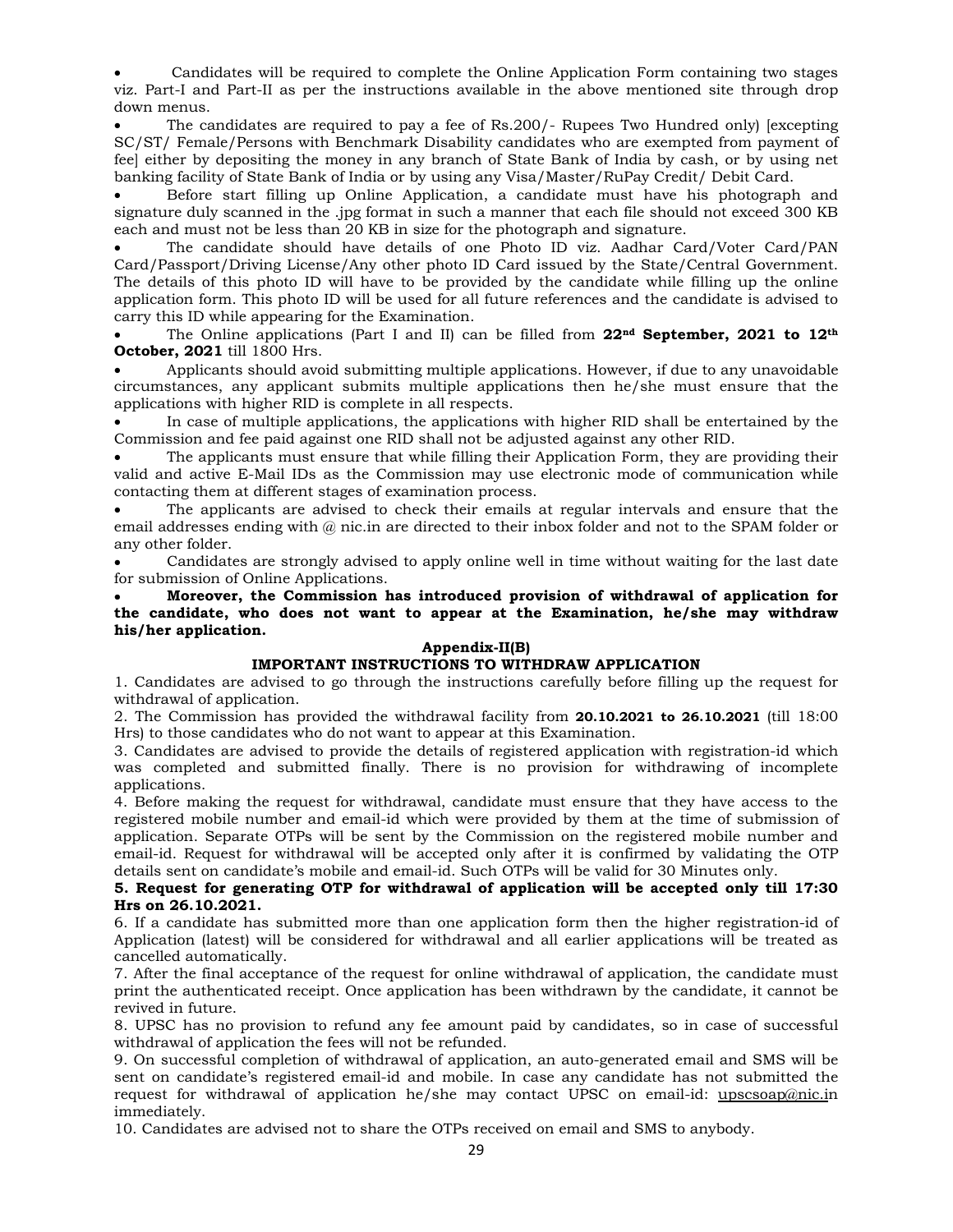Candidates will be required to complete the Online Application Form containing two stages viz. Part-I and Part-II as per the instructions available in the above mentioned site through drop down menus.

 The candidates are required to pay a fee of Rs.200/- Rupees Two Hundred only) [excepting SC/ST/ Female/Persons with Benchmark Disability candidates who are exempted from payment of fee] either by depositing the money in any branch of State Bank of India by cash, or by using net banking facility of State Bank of India or by using any Visa/Master/RuPay Credit/ Debit Card.

 Before start filling up Online Application, a candidate must have his photograph and signature duly scanned in the .jpg format in such a manner that each file should not exceed 300 KB each and must not be less than 20 KB in size for the photograph and signature.

 The candidate should have details of one Photo ID viz. Aadhar Card/Voter Card/PAN Card/Passport/Driving License/Any other photo ID Card issued by the State/Central Government. The details of this photo ID will have to be provided by the candidate while filling up the online application form. This photo ID will be used for all future references and the candidate is advised to carry this ID while appearing for the Examination.

 The Online applications (Part I and II) can be filled from **22nd September, 2021 to 12th October, 2021** till 1800 Hrs.

 Applicants should avoid submitting multiple applications. However, if due to any unavoidable circumstances, any applicant submits multiple applications then he/she must ensure that the applications with higher RID is complete in all respects.

 In case of multiple applications, the applications with higher RID shall be entertained by the Commission and fee paid against one RID shall not be adjusted against any other RID.

 The applicants must ensure that while filling their Application Form, they are providing their valid and active E-Mail IDs as the Commission may use electronic mode of communication while contacting them at different stages of examination process.

 The applicants are advised to check their emails at regular intervals and ensure that the email addresses ending with  $@$  nic.in are directed to their inbox folder and not to the SPAM folder or any other folder.

 Candidates are strongly advised to apply online well in time without waiting for the last date for submission of Online Applications.

 **Moreover, the Commission has introduced provision of withdrawal of application for the candidate, who does not want to appear at the Examination, he/she may withdraw his/her application.** 

# **Appendix-II(B)**

# **IMPORTANT INSTRUCTIONS TO WITHDRAW APPLICATION**

1. Candidates are advised to go through the instructions carefully before filling up the request for withdrawal of application.

2. The Commission has provided the withdrawal facility from **20.10.2021 to 26.10.2021** (till 18:00 Hrs) to those candidates who do not want to appear at this Examination.

3. Candidates are advised to provide the details of registered application with registration-id which was completed and submitted finally. There is no provision for withdrawing of incomplete applications.

4. Before making the request for withdrawal, candidate must ensure that they have access to the registered mobile number and email-id which were provided by them at the time of submission of application. Separate OTPs will be sent by the Commission on the registered mobile number and email-id. Request for withdrawal will be accepted only after it is confirmed by validating the OTP details sent on candidate's mobile and email-id. Such OTPs will be valid for 30 Minutes only.

# **5. Request for generating OTP for withdrawal of application will be accepted only till 17:30 Hrs on 26.10.2021.**

6. If a candidate has submitted more than one application form then the higher registration-id of Application (latest) will be considered for withdrawal and all earlier applications will be treated as cancelled automatically.

7. After the final acceptance of the request for online withdrawal of application, the candidate must print the authenticated receipt. Once application has been withdrawn by the candidate, it cannot be revived in future.

8. UPSC has no provision to refund any fee amount paid by candidates, so in case of successful withdrawal of application the fees will not be refunded.

9. On successful completion of withdrawal of application, an auto-generated email and SMS will be sent on candidate's registered email-id and mobile. In case any candidate has not submitted the request for withdrawal of application he/she may contact UPSC on email-id: upscsoap@nic.in immediately.

10. Candidates are advised not to share the OTPs received on email and SMS to anybody.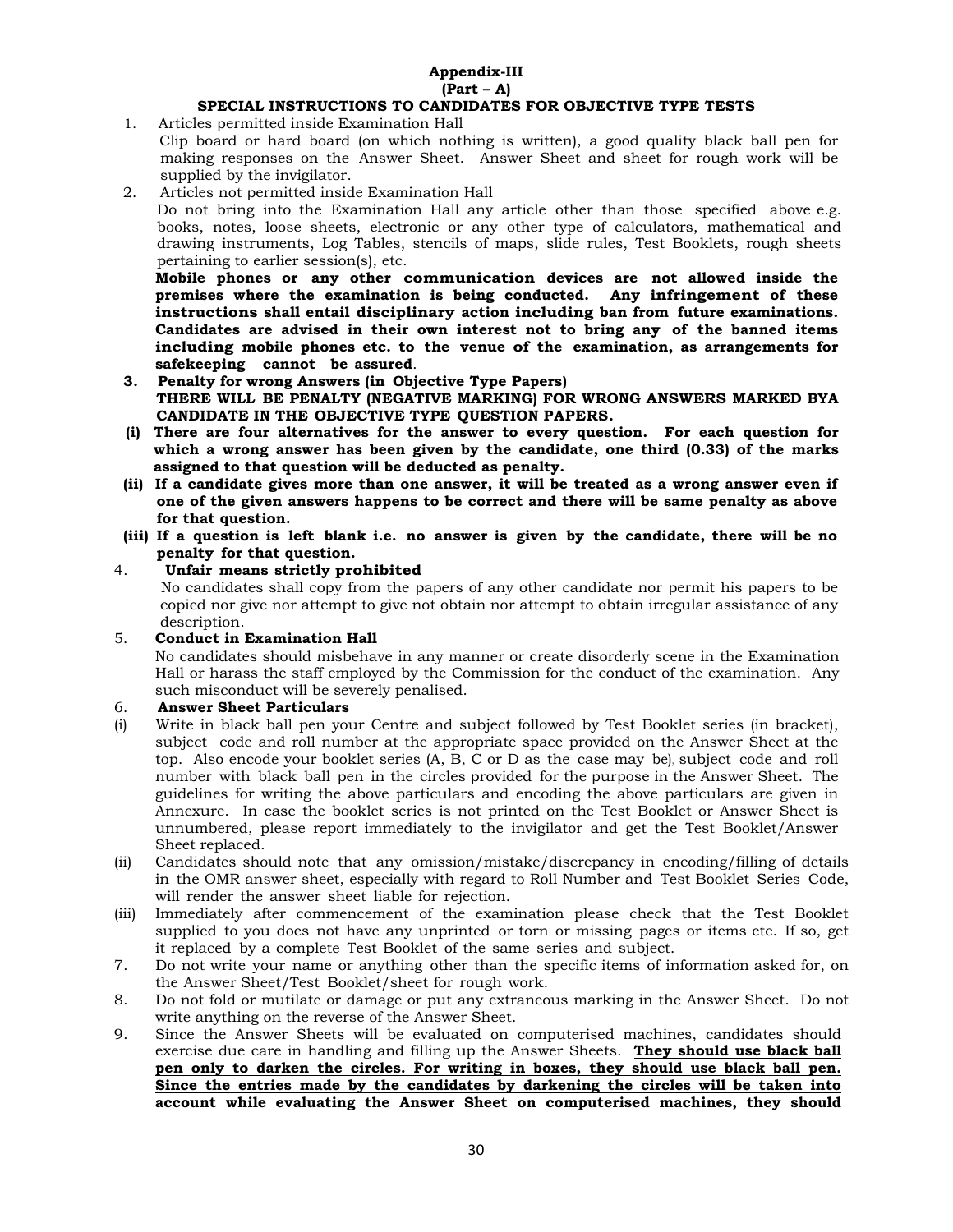#### **Appendix-III (Part – A) SPECIAL INSTRUCTIONS TO CANDIDATES FOR OBJECTIVE TYPE TESTS**

1. Articles permitted inside Examination Hall

- Clip board or hard board (on which nothing is written), a good quality black ball pen for making responses on the Answer Sheet. Answer Sheet and sheet for rough work will be supplied by the invigilator.
- 2. Articles not permitted inside Examination Hall

Do not bring into the Examination Hall any article other than those specified above e.g. books, notes, loose sheets, electronic or any other type of calculators, mathematical and drawing instruments, Log Tables, stencils of maps, slide rules, Test Booklets, rough sheets pertaining to earlier session(s), etc.

**Mobile phones or any other communication devices are not allowed inside the premises where the examination is being conducted. Any infringement of these instructions shall entail disciplinary action including ban from future examinations. Candidates are advised in their own interest not to bring any of the banned items including mobile phones etc. to the venue of the examination, as arrangements for safekeeping cannot be assured**.

- **3. Penalty for wrong Answers (in Objective Type Papers) THERE WILL BE PENALTY (NEGATIVE MARKING) FOR WRONG ANSWERS MARKED BYA CANDIDATE IN THE OBJECTIVE TYPE QUESTION PAPERS.**
- **(i) There are four alternatives for the answer to every question. For each question for which a wrong answer has been given by the candidate, one third (0.33) of the marks assigned to that question will be deducted as penalty.**
- **(ii) If a candidate gives more than one answer, it will be treated as a wrong answer even if one of the given answers happens to be correct and there will be same penalty as above for that question.**
- **(iii) If a question is left blank i.e. no answer is given by the candidate, there will be no penalty for that question.**

# 4. **Unfair means strictly prohibited**

 No candidates shall copy from the papers of any other candidate nor permit his papers to be copied nor give nor attempt to give not obtain nor attempt to obtain irregular assistance of any description.

# 5. **Conduct in Examination Hall**

No candidates should misbehave in any manner or create disorderly scene in the Examination Hall or harass the staff employed by the Commission for the conduct of the examination. Any such misconduct will be severely penalised.

# 6. **Answer Sheet Particulars**

- (i) Write in black ball pen your Centre and subject followed by Test Booklet series (in bracket), subject code and roll number at the appropriate space provided on the Answer Sheet at the top. Also encode your booklet series (A, B, C or D as the case may be), subject code and roll number with black ball pen in the circles provided for the purpose in the Answer Sheet. The guidelines for writing the above particulars and encoding the above particulars are given in Annexure. In case the booklet series is not printed on the Test Booklet or Answer Sheet is unnumbered, please report immediately to the invigilator and get the Test Booklet/Answer Sheet replaced.
- (ii) Candidates should note that any omission/mistake/discrepancy in encoding/filling of details in the OMR answer sheet, especially with regard to Roll Number and Test Booklet Series Code, will render the answer sheet liable for rejection.
- (iii) Immediately after commencement of the examination please check that the Test Booklet supplied to you does not have any unprinted or torn or missing pages or items etc. If so, get it replaced by a complete Test Booklet of the same series and subject.
- 7. Do not write your name or anything other than the specific items of information asked for, on the Answer Sheet/Test Booklet/sheet for rough work.
- 8. Do not fold or mutilate or damage or put any extraneous marking in the Answer Sheet. Do not write anything on the reverse of the Answer Sheet.
- 9. Since the Answer Sheets will be evaluated on computerised machines, candidates should exercise due care in handling and filling up the Answer Sheets. **They should use black ball pen only to darken the circles. For writing in boxes, they should use black ball pen. Since the entries made by the candidates by darkening the circles will be taken into account while evaluating the Answer Sheet on computerised machines, they should**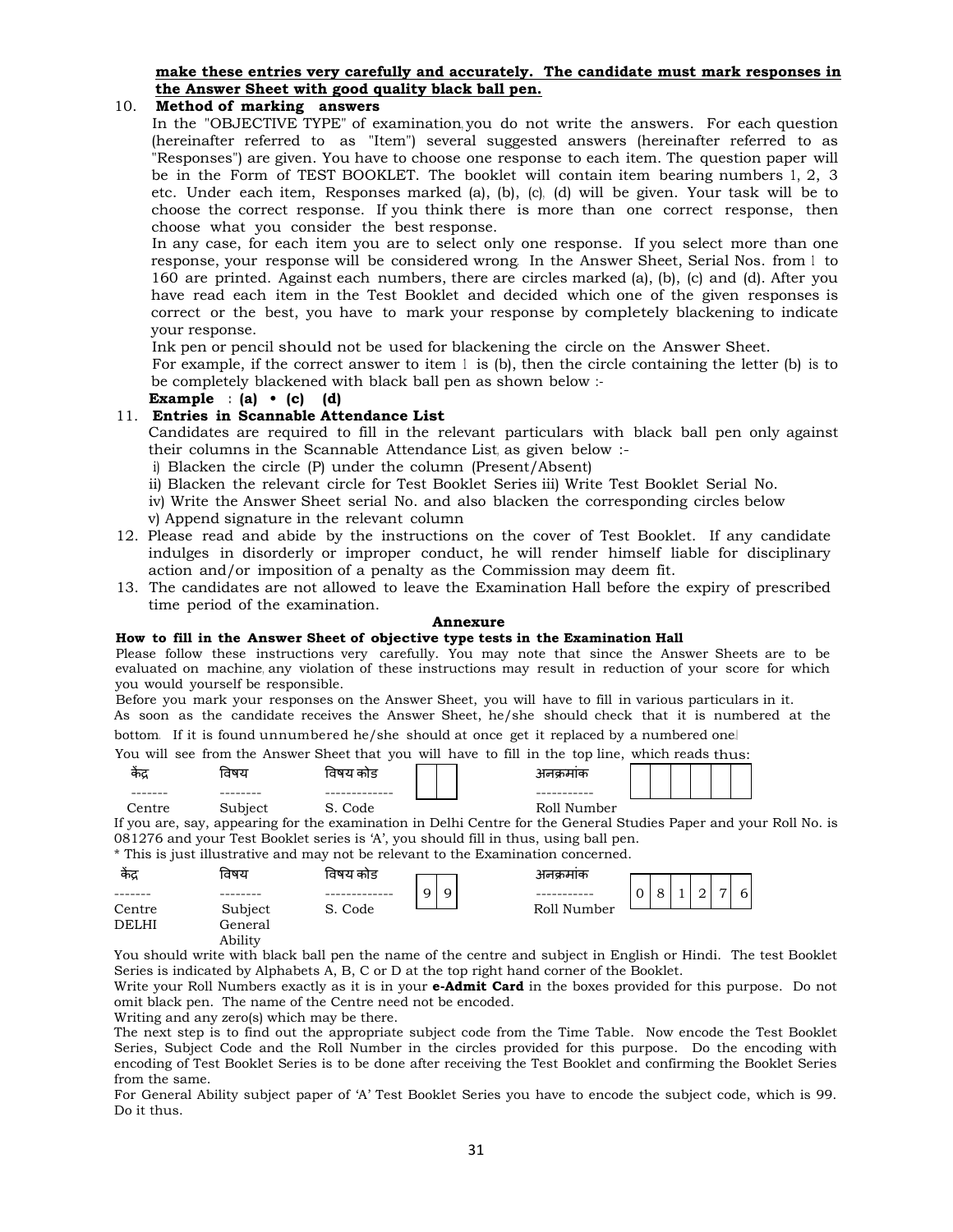# **make these entries very carefully and accurately. The candidate must mark responses in the Answer Sheet with good quality black ball pen.**

# 10. **Method of marking answers**

In the "OBJECTIVE TYPE" of examination, you do not write the answers. For each question (hereinafter referred to as "Item") several suggested answers (hereinafter referred to as "Responses") are given. You have to choose one response to each item. The question paper will be in the Form of TEST BOOKLET. The booklet will contain item bearing numbers 1, 2, 3 etc. Under each item, Responses marked (a), (b), (c), (d) will be given. Your task will be to choose the correct response. If you think there is more than one correct response, then choose what you consider the best response.

In any case, for each item you are to select only one response. If you select more than one response, your response will be considered wrong. In the Answer Sheet, Serial Nos. from 1 to 160 are printed. Against each numbers, there are circles marked (a), (b), (c) and (d). After you have read each item in the Test Booklet and decided which one of the given responses is correct or the best, you have to mark your response by completely blackening to indicate your response.

Ink pen or pencil should not be used for blackening the circle on the Answer Sheet.

For example, if the correct answer to item  $l$  is (b), then the circle containing the letter (b) is to be completely blackened with black ball pen as shown below :-

# **Example : (a) • (c) (d)**

# 11. **Entries in Scannable Attendance List**

Candidates are required to fill in the relevant particulars with black ball pen only against their columns in the Scannable Attendance List, as given below :-

i) Blacken the circle (P) under the column (Present/Absent)

ii) Blacken the relevant circle for Test Booklet Series iii) Write Test Booklet Serial No.

iv) Write the Answer Sheet serial No. and also blacken the corresponding circles below

- v) Append signature in the relevant column
- 12. Please read and abide by the instructions on the cover of Test Booklet. If any candidate indulges in disorderly or improper conduct, he will render himself liable for disciplinary action and/or imposition of a penalty as the Commission may deem fit.
- 13. The candidates are not allowed to leave the Examination Hall before the expiry of prescribed time period of the examination.

# **Annexure**

#### **How to fill in the Answer Sheet of objective type tests in the Examination Hall**

Please follow these instructions very carefully. You may note that since the Answer Sheets are to be evaluated on machine, any violation of these instructions may result in reduction of your score for which you would yourself be responsible.

Before you mark your responses on the Answer Sheet, you will have to fill in various particulars in it.

As soon as the candidate receives the Answer Sheet, he/she should check that it is numbered at the bottom. If it is found unnumbered he/she should at once get it replaced by a numbered one.।

You will see from the Answer Sheet that you will have to fill in the top line, which reads thus:

| $\ddot{\phantom{a}}$<br>कद्र | तषर                        | ।वषय<br>काड     | วطHl⊄า      |  |  |  |
|------------------------------|----------------------------|-----------------|-------------|--|--|--|
| --------                     | --------                   | --<br>--------- | ----------- |  |  |  |
| t rc<br>or ⊂                 | $-$ hient<br>wuwn.<br>ハししし | `ode<br>ັ       | Roll Number |  |  |  |

If you are, say, appearing for the examination in Delhi Centre for the General Studies Paper and your Roll No. is 081276 and your Test Booklet series is 'A', you should fill in thus, using ball pen.

\* This is just illustrative and may not be relevant to the Examination concerned.

| केंद्र       | विषय               | विषय कोड |        | अनक्रमाक    |               |  |  |   |  |
|--------------|--------------------|----------|--------|-------------|---------------|--|--|---|--|
|              |                    |          | 9<br>a |             | $\Omega$<br>◡ |  |  | 6 |  |
| Centre       | Subject            | S. Code  |        | Roll Number |               |  |  |   |  |
| <b>DELHI</b> | General<br>Ability |          |        |             |               |  |  |   |  |

You should write with black ball pen the name of the centre and subject in English or Hindi. The test Booklet Series is indicated by Alphabets A, B, C or D at the top right hand corner of the Booklet.

Write your Roll Numbers exactly as it is in your **e-Admit Card** in the boxes provided for this purpose. Do not omit black pen. The name of the Centre need not be encoded.

Writing and any zero(s) which may be there.

The next step is to find out the appropriate subject code from the Time Table. Now encode the Test Booklet Series, Subject Code and the Roll Number in the circles provided for this purpose. Do the encoding with encoding of Test Booklet Series is to be done after receiving the Test Booklet and confirming the Booklet Series from the same.

For General Ability subject paper of 'A' Test Booklet Series you have to encode the subject code, which is 99. Do it thus.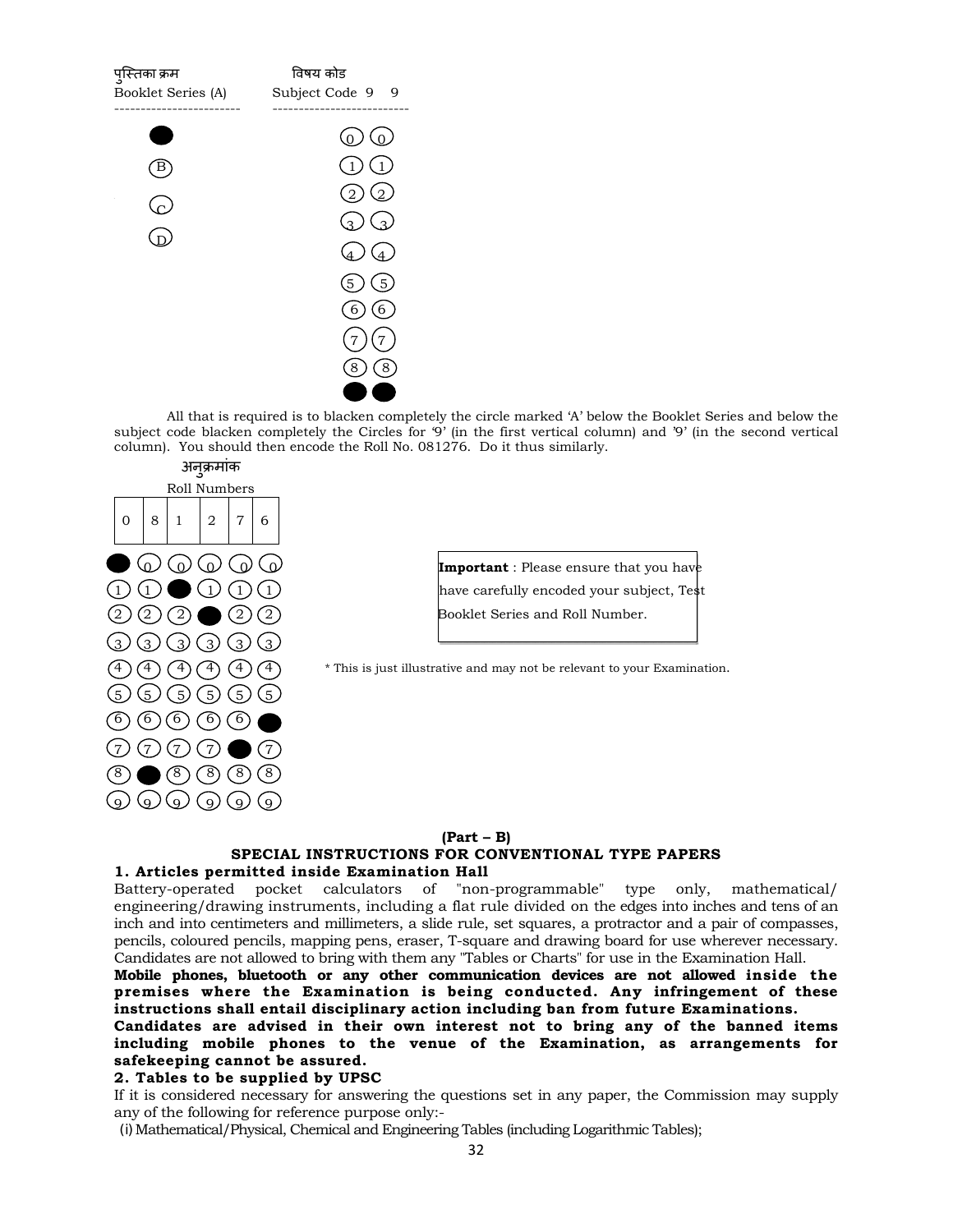

All that is required is to blacken completely the circle marked 'A' below the Booklet Series and below the subject code blacken completely the Circles for '9' (in the first vertical column) and '9' (in the second vertical column). You should then encode the Roll No. 081276. Do it thus similarly.



**10 0 0 0 0 1 Important** : Please ensure that you have  $(1)$   $(1)$   $(1)$  have carefully encoded your subject, Test  $(2)$   $(2)$   $(2)$   $(2)$  Booklet Series and Roll Number.

 $(4) (4) (4)$  \* This is just illustrative and may not be relevant to your Examination.

#### **(Part – B) SPECIAL INSTRUCTIONS FOR CONVENTIONAL TYPE PAPERS 1. Articles permitted inside Examination Hall**

Battery-operated pocket calculators of "non-programmable" type only, mathematical/ engineering/drawing instruments, including a flat rule divided on the edges into inches and tens of an inch and into centimeters and millimeters, a slide rule, set squares, a protractor and a pair of compasses, pencils, coloured pencils, mapping pens, eraser, T-square and drawing board for use wherever necessary. Candidates are not allowed to bring with them any "Tables or Charts" for use in the Examination Hall.

**Mobile phones, bluetooth or any other communication devices are not allowed inside the premises where the Examination is being conducted. Any infringement of these instructions shall entail disciplinary action including ban from future Examinations.**

# **Candidates are advised in their own interest not to bring any of the banned items including mobile phones to the venue of the Examination, as arrangements for safekeeping cannot be assured.**

#### **2. Tables to be supplied by UPSC**

If it is considered necessary for answering the questions set in any paper, the Commission may supply any of the following for reference purpose only:-

(i)Mathematical/Physical, Chemical and Engineering Tables (including Logarithmic Tables);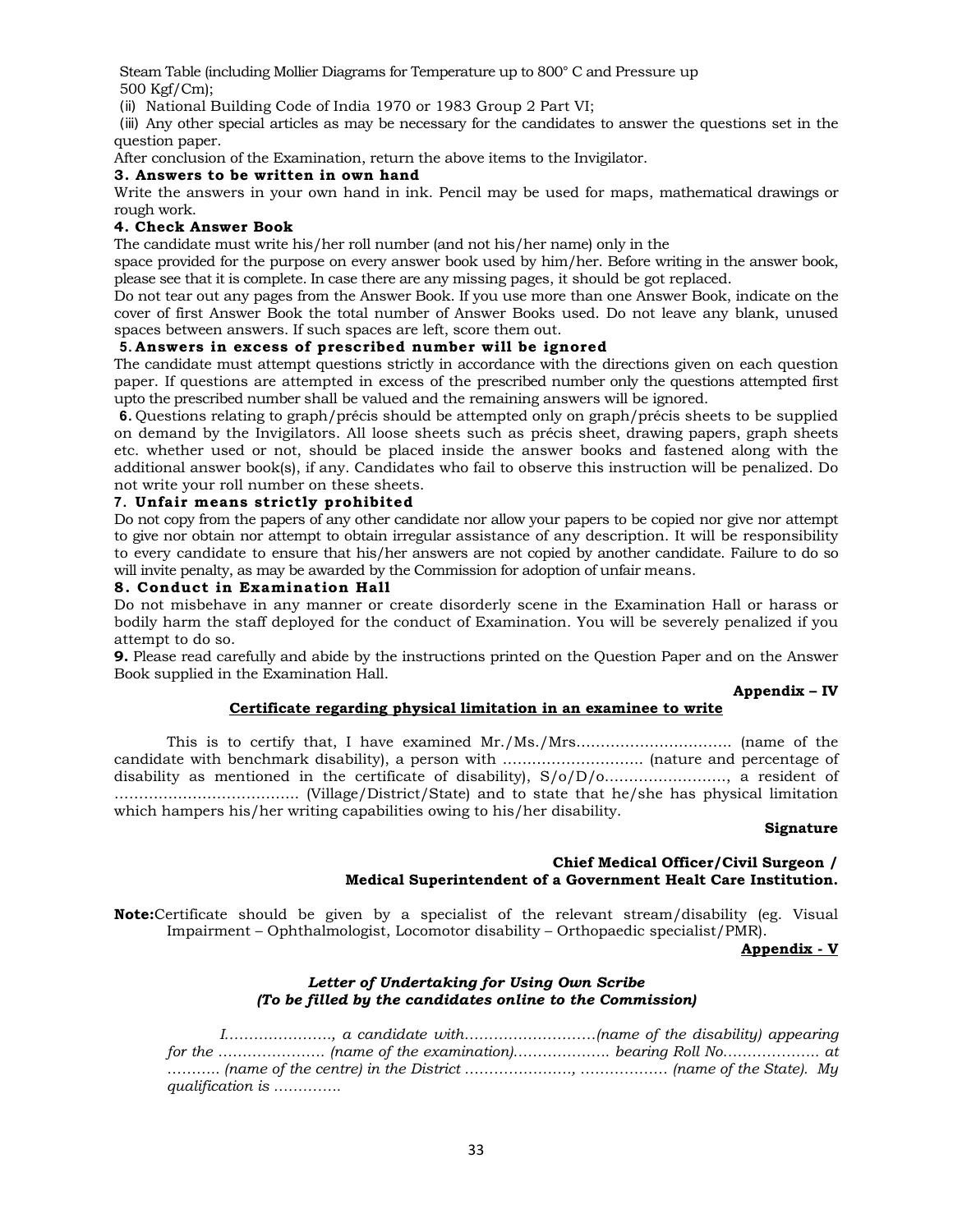Steam Table (including Mollier Diagrams for Temperature up to 800° C and Pressure up 500 Kgf/Cm);

(ii) National Building Code of India 1970 or 1983 Group 2 Part VI;

(iii) Any other special articles as may be necessary for the candidates to answer the questions set in the question paper.

After conclusion of the Examination, return the above items to the Invigilator.

# **3. Answers to be written in own hand**

Write the answers in your own hand in ink. Pencil may be used for maps, mathematical drawings or rough work.

# **4. Check Answer Book**

The candidate must write his/her roll number (and not his/her name) only in the

space provided for the purpose on every answer book used by him/her. Before writing in the answer book, please see that it is complete. In case there are any missing pages, it should be got replaced.

Do not tear out any pages from the Answer Book. If you use more than one Answer Book, indicate on the cover of first Answer Book the total number of Answer Books used. Do not leave any blank, unused spaces between answers. If such spaces are left, score them out.

# **5. Answers in excess of prescribed number will be ignored**

The candidate must attempt questions strictly in accordance with the directions given on each question paper. If questions are attempted in excess of the prescribed number only the questions attempted first upto the prescribed number shall be valued and the remaining answers will be ignored.

**6.** Questions relating to graph/précis should be attempted only on graph/précis sheets to be supplied on demand by the Invigilators. All loose sheets such as précis sheet, drawing papers, graph sheets etc. whether used or not, should be placed inside the answer books and fastened along with the additional answer book(s), if any. Candidates who fail to observe this instruction will be penalized. Do not write your roll number on these sheets.

# **7. Unfair means strictly prohibited**

Do not copy from the papers of any other candidate nor allow your papers to be copied nor give nor attempt to give nor obtain nor attempt to obtain irregular assistance of any description. It will be responsibility to every candidate to ensure that his/her answers are not copied by another candidate. Failure to do so will invite penalty, as may be awarded by the Commission for adoption of unfair means.

# **8. Conduct in Examination Hall**

Do not misbehave in any manner or create disorderly scene in the Examination Hall or harass or bodily harm the staff deployed for the conduct of Examination. You will be severely penalized if you attempt to do so.

**9.** Please read carefully and abide by the instructions printed on the Question Paper and on the Answer Book supplied in the Examination Hall.

# **Appendix – IV**

# **Certificate regarding physical limitation in an examinee to write**

This is to certify that, I have examined Mr./Ms./Mrs………………………….. (name of the candidate with benchmark disability), a person with ……………………….. (nature and percentage of disability as mentioned in the certificate of disability), S/o/D/o……………………., a resident of ……………………………….. (Village/District/State) and to state that he/she has physical limitation which hampers his/her writing capabilities owing to his/her disability.

#### **Signature**

# **Chief Medical Officer/Civil Surgeon / Medical Superintendent of a Government Healt Care Institution.**

**Note:**Certificate should be given by a specialist of the relevant stream/disability (eg. Visual Impairment – Ophthalmologist, Locomotor disability – Orthopaedic specialist/PMR).

#### **Appendix - V**

# *Letter of Undertaking for Using Own Scribe (To be filled by the candidates online to the Commission)*

 *I…………………., a candidate with………………………(name of the disability) appearing for the …………………. (name of the examination)……………….. bearing Roll No……………….. at ……….. (name of the centre) in the District …………………., ……………… (name of the State). My qualification is …………..*